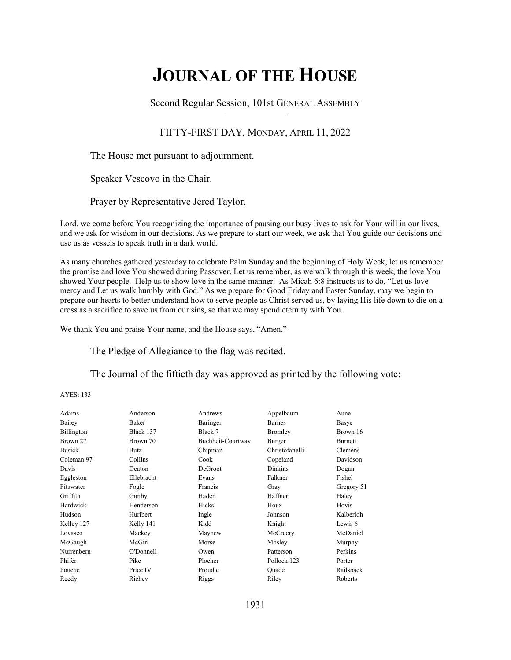# **JOURNAL OF THE HOUSE**

Second Regular Session, 101st GENERAL ASSEMBLY **\_\_\_\_\_\_\_\_\_\_\_\_\_\_\_\_\_\_\_\_\_\_\_\_\_\_**

# FIFTY-FIRST DAY, MONDAY, APRIL 11, 2022

The House met pursuant to adjournment.

Speaker Vescovo in the Chair.

Prayer by Representative Jered Taylor.

Lord, we come before You recognizing the importance of pausing our busy lives to ask for Your will in our lives, and we ask for wisdom in our decisions. As we prepare to start our week, we ask that You guide our decisions and use us as vessels to speak truth in a dark world.

As many churches gathered yesterday to celebrate Palm Sunday and the beginning of Holy Week, let us remember the promise and love You showed during Passover. Let us remember, as we walk through this week, the love You showed Your people. Help us to show love in the same manner. As Micah 6:8 instructs us to do, "Let us love mercy and Let us walk humbly with God." As we prepare for Good Friday and Easter Sunday, may we begin to prepare our hearts to better understand how to serve people as Christ served us, by laying His life down to die on a cross as a sacrifice to save us from our sins, so that we may spend eternity with You.

We thank You and praise Your name, and the House says, "Amen."

The Pledge of Allegiance to the flag was recited.

The Journal of the fiftieth day was approved as printed by the following vote:

AYES: 133

| Adams         | Anderson   | Andrews           | Appelbaum      | Aune       |
|---------------|------------|-------------------|----------------|------------|
| Bailey        | Baker      | Baringer          | <b>Barnes</b>  | Basye      |
| Billington    | Black 137  | Black 7           | Bromley        | Brown 16   |
| Brown 27      | Brown 70   | Buchheit-Courtway | Burger         | Burnett    |
| <b>Busick</b> | Butz       | Chipman           | Christofanelli | Clemens    |
| Coleman 97    | Collins    | Cook              | Copeland       | Davidson   |
| Davis         | Deaton     | DeGroot           | Dinkins        | Dogan      |
| Eggleston     | Ellebracht | Evans             | Falkner        | Fishel     |
| Fitzwater     | Fogle      | Francis           | Gray           | Gregory 51 |
| Griffith      | Gunby      | Haden             | Haffner        | Haley      |
| Hardwick      | Henderson  | Hicks             | Houx           | Hovis      |
| Hudson        | Hurlbert   | Ingle             | Johnson        | Kalberloh  |
| Kelley 127    | Kelly 141  | Kidd              | Knight         | Lewis 6    |
| Lovasco       | Mackey     | Mayhew            | McCreery       | McDaniel   |
| McGaugh       | McGirl     | Morse             | Mosley         | Murphy     |
| Nurrenbern    | O'Donnell  | Owen              | Patterson      | Perkins    |
| Phifer        | Pike       | Plocher           | Pollock 123    | Porter     |
| Pouche        | Price IV   | Proudie           | Quade          | Railsback  |
| Reedy         | Richey     | Riggs             | Riley          | Roberts    |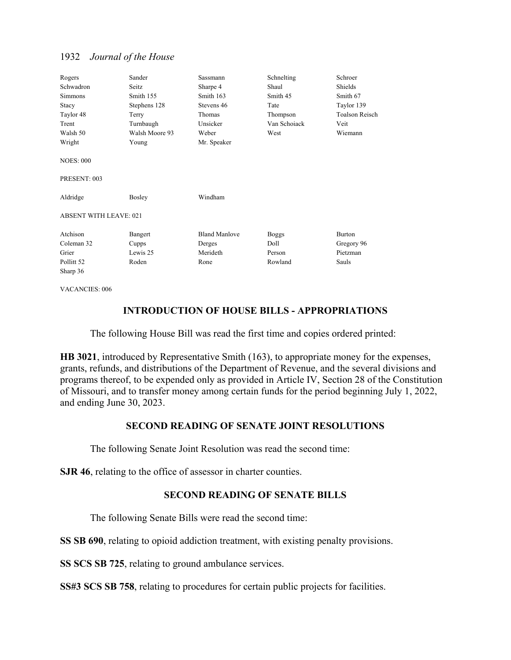| Rogers<br>Schwadron<br><b>Simmons</b><br>Stacy<br>Taylor 48 | Sander<br>Seitz<br>Smith 155<br>Stephens 128<br>Terry | Sassmann<br>Sharpe 4<br>Smith 163<br>Stevens 46<br>Thomas | Schnelting<br>Shaul<br>Smith 45<br>Tate<br>Thompson | Schroer<br>Shields<br>Smith 67<br>Taylor 139<br><b>Toalson Reisch</b> |
|-------------------------------------------------------------|-------------------------------------------------------|-----------------------------------------------------------|-----------------------------------------------------|-----------------------------------------------------------------------|
| Trent                                                       | Turnbaugh                                             | Unsicker                                                  | Van Schoiack                                        | Veit                                                                  |
| Walsh 50                                                    | Walsh Moore 93                                        | Weber                                                     | West                                                | Wiemann                                                               |
| Wright                                                      | Young                                                 | Mr. Speaker                                               |                                                     |                                                                       |
| <b>NOES: 000</b><br>PRESENT: 003                            |                                                       |                                                           |                                                     |                                                                       |
| Aldridge                                                    | Bosley                                                | Windham                                                   |                                                     |                                                                       |
| <b>ABSENT WITH LEAVE: 021</b>                               |                                                       |                                                           |                                                     |                                                                       |
| Atchison                                                    | Bangert                                               | <b>Bland Manlove</b>                                      | <b>Boggs</b>                                        | <b>Burton</b>                                                         |
| Coleman 32                                                  | Cupps                                                 | Derges                                                    | Doll                                                | Gregory 96                                                            |
| Grier                                                       | Lewis 25                                              | Merideth                                                  | Person                                              | Pietzman                                                              |
| Pollitt <sub>52</sub>                                       | Roden                                                 | Rone                                                      | Rowland                                             | Sauls                                                                 |
| Sharp 36                                                    |                                                       |                                                           |                                                     |                                                                       |

VACANCIES: 006

# **INTRODUCTION OF HOUSE BILLS - APPROPRIATIONS**

The following House Bill was read the first time and copies ordered printed:

**HB 3021**, introduced by Representative Smith (163), to appropriate money for the expenses, grants, refunds, and distributions of the Department of Revenue, and the several divisions and programs thereof, to be expended only as provided in Article IV, Section 28 of the Constitution of Missouri, and to transfer money among certain funds for the period beginning July 1, 2022, and ending June 30, 2023.

# **SECOND READING OF SENATE JOINT RESOLUTIONS**

The following Senate Joint Resolution was read the second time:

**SJR 46**, relating to the office of assessor in charter counties.

# **SECOND READING OF SENATE BILLS**

The following Senate Bills were read the second time:

**SS SB 690**, relating to opioid addiction treatment, with existing penalty provisions.

**SS SCS SB 725**, relating to ground ambulance services.

**SS#3 SCS SB 758**, relating to procedures for certain public projects for facilities.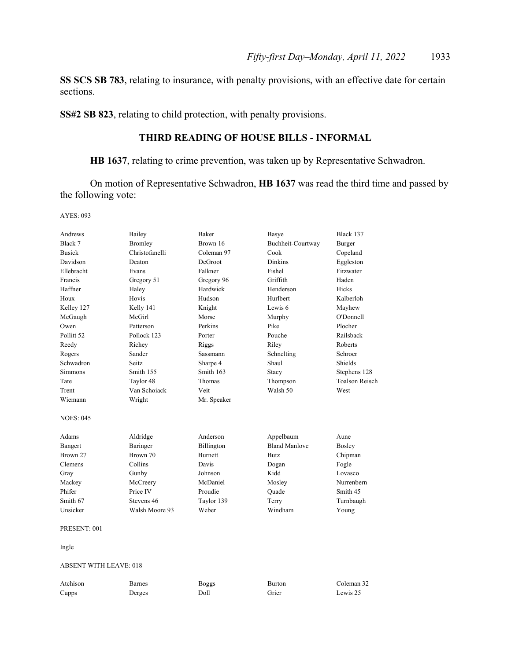**SS SCS SB 783**, relating to insurance, with penalty provisions, with an effective date for certain sections.

**SS#2 SB 823**, relating to child protection, with penalty provisions.

# **THIRD READING OF HOUSE BILLS - INFORMAL**

**HB 1637**, relating to crime prevention, was taken up by Representative Schwadron.

 On motion of Representative Schwadron, **HB 1637** was read the third time and passed by the following vote:

AYES: 093

| Andrews               | Bailey         | <b>Baker</b>   | Basye                | Black 137             |
|-----------------------|----------------|----------------|----------------------|-----------------------|
| Black 7               | <b>Bromley</b> | Brown 16       | Buchheit-Courtway    | Burger                |
| <b>Busick</b>         | Christofanelli | Coleman 97     | Cook                 | Copeland              |
| Davidson              | Deaton         | DeGroot        | <b>Dinkins</b>       | Eggleston             |
| Ellebracht            | Evans          | Falkner        | Fishel               | Fitzwater             |
| Francis               | Gregory 51     | Gregory 96     | Griffith             | Haden                 |
| Haffner               | Haley          | Hardwick       | Henderson            | Hicks                 |
| Houx                  | Hovis          | Hudson         | Hurlbert             | Kalberloh             |
| Kelley 127            | Kelly 141      | Knight         | Lewis 6              | Mayhew                |
| McGaugh               | McGirl         | Morse          | Murphy               | O'Donnell             |
| Owen                  | Patterson      | Perkins        | Pike                 | Plocher               |
| Pollitt <sub>52</sub> | Pollock 123    | Porter         | Pouche               | Railsback             |
| Reedy                 | Richey         | Riggs          | Riley                | Roberts               |
| Rogers                | Sander         | Sassmann       | Schnelting           | Schroer               |
| Schwadron             | Seitz.         | Sharpe 4       | Shaul                | <b>Shields</b>        |
| <b>Simmons</b>        | Smith 155      | Smith 163      | Stacy                | Stephens 128          |
| Tate                  | Taylor 48      | Thomas         | Thompson             | <b>Toalson Reisch</b> |
| Trent                 | Van Schoiack   | Veit           | Walsh 50             | West                  |
| Wiemann               | Wright         | Mr. Speaker    |                      |                       |
| <b>NOES: 045</b>      |                |                |                      |                       |
| Adams                 | Aldridge       | Anderson       | Appelbaum            | Aune                  |
| Bangert               | Baringer       | Billington     | <b>Bland Manlove</b> | <b>Bosley</b>         |
| Brown 27              | Brown 70       | <b>Burnett</b> | <b>Butz</b>          | Chipman               |
| Clemens               | Collins        | Davis          | Dogan                | Fogle                 |
| Gray                  | Gunby          | Johnson        | Kidd                 | Lovasco               |
| Mackey                | McCreery       | McDaniel       | Mosley               | Nurrenbern            |
| Phifer                | Price IV       | Proudie        | Ouade                | Smith 45              |
| Smith 67              | Stevens 46     | Taylor 139     | Terry                | Turnbaugh             |
| Unsicker              | Walsh Moore 93 | Weber          | Windham              | Young                 |
| PRESENT: 001          |                |                |                      |                       |
| Ingle                 |                |                |                      |                       |

## ABSENT WITH LEAVE: 018

| Atchison | Barnes | Boggs | Burton | Coleman 32 |
|----------|--------|-------|--------|------------|
| Cupps    | Derges | Doll  | Grier  | Lewis 25   |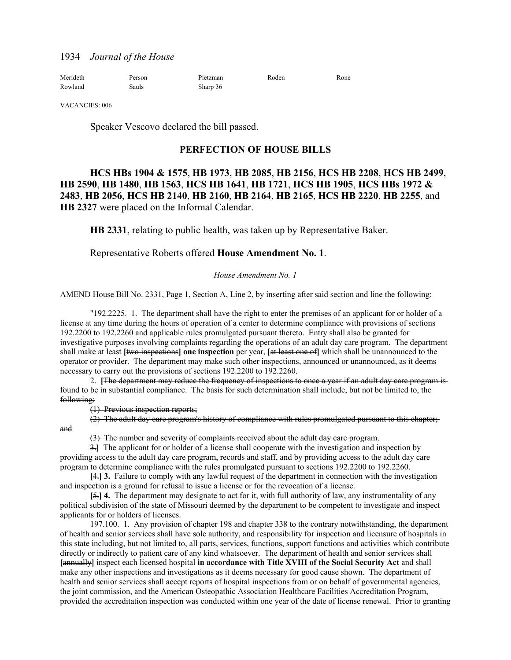| Merideth | Person | Pietzman | Roden | Rone |
|----------|--------|----------|-------|------|
| Rowland  | Sauls  | Sharp 36 |       |      |

VACANCIES: 006

Speaker Vescovo declared the bill passed.

# **PERFECTION OF HOUSE BILLS**

# **HCS HBs 1904 & 1575**, **HB 1973**, **HB 2085**, **HB 2156**, **HCS HB 2208**, **HCS HB 2499**, **HB 2590**, **HB 1480**, **HB 1563**, **HCS HB 1641**, **HB 1721**, **HCS HB 1905**, **HCS HBs 1972 & 2483**, **HB 2056**, **HCS HB 2140**, **HB 2160**, **HB 2164**, **HB 2165**, **HCS HB 2220**, **HB 2255**, and **HB 2327** were placed on the Informal Calendar.

**HB 2331**, relating to public health, was taken up by Representative Baker.

# Representative Roberts offered **House Amendment No. 1**.

# *House Amendment No. 1*

AMEND House Bill No. 2331, Page 1, Section A, Line 2, by inserting after said section and line the following:

"192.2225. 1. The department shall have the right to enter the premises of an applicant for or holder of a license at any time during the hours of operation of a center to determine compliance with provisions of sections 192.2200 to 192.2260 and applicable rules promulgated pursuant thereto. Entry shall also be granted for investigative purposes involving complaints regarding the operations of an adult day care program. The department shall make at least **[**two inspections**] one inspection** per year, **[**at least one of**]** which shall be unannounced to the operator or provider. The department may make such other inspections, announced or unannounced, as it deems necessary to carry out the provisions of sections 192.2200 to 192.2260.

2. **[**The department may reduce the frequency of inspections to once a year if an adult day care program is found to be in substantial compliance. The basis for such determination shall include, but not be limited to, the following:

(1) Previous inspection reports;

and

(2) The adult day care program's history of compliance with rules promulgated pursuant to this chapter;

(3) The number and severity of complaints received about the adult day care program.

3.**]** The applicant for or holder of a license shall cooperate with the investigation and inspection by providing access to the adult day care program, records and staff, and by providing access to the adult day care program to determine compliance with the rules promulgated pursuant to sections 192.2200 to 192.2260.

**[**4.**] 3.** Failure to comply with any lawful request of the department in connection with the investigation and inspection is a ground for refusal to issue a license or for the revocation of a license.

**[**5.**] 4.** The department may designate to act for it, with full authority of law, any instrumentality of any political subdivision of the state of Missouri deemed by the department to be competent to investigate and inspect applicants for or holders of licenses.

197.100. 1. Any provision of chapter 198 and chapter 338 to the contrary notwithstanding, the department of health and senior services shall have sole authority, and responsibility for inspection and licensure of hospitals in this state including, but not limited to, all parts, services, functions, support functions and activities which contribute directly or indirectly to patient care of any kind whatsoever. The department of health and senior services shall **[**annually**]** inspect each licensed hospital **in accordance with Title XVIII of the Social Security Act** and shall make any other inspections and investigations as it deems necessary for good cause shown. The department of health and senior services shall accept reports of hospital inspections from or on behalf of governmental agencies, the joint commission, and the American Osteopathic Association Healthcare Facilities Accreditation Program, provided the accreditation inspection was conducted within one year of the date of license renewal. Prior to granting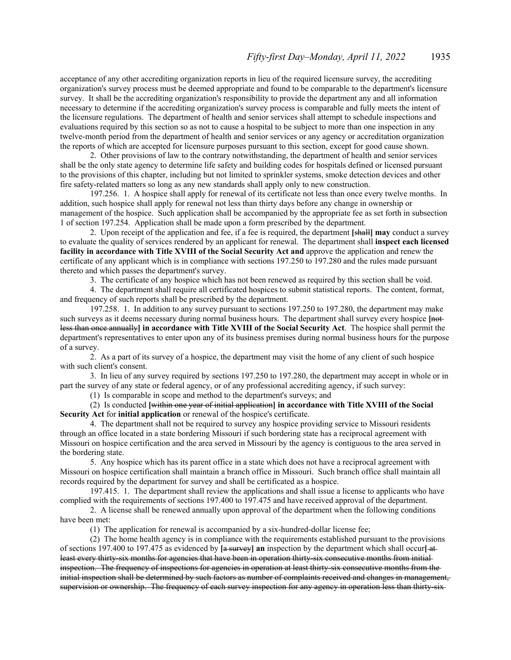acceptance of any other accrediting organization reports in lieu of the required licensure survey, the accrediting organization's survey process must be deemed appropriate and found to be comparable to the department's licensure survey. It shall be the accrediting organization's responsibility to provide the department any and all information necessary to determine if the accrediting organization's survey process is comparable and fully meets the intent of the licensure regulations. The department of health and senior services shall attempt to schedule inspections and evaluations required by this section so as not to cause a hospital to be subject to more than one inspection in any twelve-month period from the department of health and senior services or any agency or accreditation organization the reports of which are accepted for licensure purposes pursuant to this section, except for good cause shown.

2. Other provisions of law to the contrary notwithstanding, the department of health and senior services shall be the only state agency to determine life safety and building codes for hospitals defined or licensed pursuant to the provisions of this chapter, including but not limited to sprinkler systems, smoke detection devices and other fire safety-related matters so long as any new standards shall apply only to new construction.

197.256. 1. A hospice shall apply for renewal of its certificate not less than once every twelve months. In addition, such hospice shall apply for renewal not less than thirty days before any change in ownership or management of the hospice. Such application shall be accompanied by the appropriate fee as set forth in subsection 1 of section 197.254. Application shall be made upon a form prescribed by the department.

2. Upon receipt of the application and fee, if a fee is required, the department **[**shall**] may** conduct a survey to evaluate the quality of services rendered by an applicant for renewal. The department shall **inspect each licensed facility in accordance with Title XVIII of the Social Security Act and** approve the application and renew the certificate of any applicant which is in compliance with sections 197.250 to 197.280 and the rules made pursuant thereto and which passes the department's survey.

3. The certificate of any hospice which has not been renewed as required by this section shall be void.

4. The department shall require all certificated hospices to submit statistical reports. The content, format, and frequency of such reports shall be prescribed by the department.

197.258. 1. In addition to any survey pursuant to sections 197.250 to 197.280, the department may make such surveys as it deems necessary during normal business hours. The department shall survey every hospice [notless than once annually**] in accordance with Title XVIII of the Social Security Act**. The hospice shall permit the department's representatives to enter upon any of its business premises during normal business hours for the purpose of a survey.

2. As a part of its survey of a hospice, the department may visit the home of any client of such hospice with such client's consent.

3. In lieu of any survey required by sections 197.250 to 197.280, the department may accept in whole or in part the survey of any state or federal agency, or of any professional accrediting agency, if such survey:

(1) Is comparable in scope and method to the department's surveys; and

(2) Is conducted **[**within one year of initial application**] in accordance with Title XVIII of the Social Security Act** for **initial application** or renewal of the hospice's certificate.

4. The department shall not be required to survey any hospice providing service to Missouri residents through an office located in a state bordering Missouri if such bordering state has a reciprocal agreement with Missouri on hospice certification and the area served in Missouri by the agency is contiguous to the area served in the bordering state.

5. Any hospice which has its parent office in a state which does not have a reciprocal agreement with Missouri on hospice certification shall maintain a branch office in Missouri. Such branch office shall maintain all records required by the department for survey and shall be certificated as a hospice.

197.415. 1. The department shall review the applications and shall issue a license to applicants who have complied with the requirements of sections 197.400 to 197.475 and have received approval of the department.

2. A license shall be renewed annually upon approval of the department when the following conditions have been met:

(1) The application for renewal is accompanied by a six-hundred-dollar license fee;

(2) The home health agency is in compliance with the requirements established pursuant to the provisions of sections 197.400 to 197.475 as evidenced by **[**a survey**] an** inspection by the department which shall occur**[** at least every thirty-six months for agencies that have been in operation thirty-six consecutive months from initial inspection. The frequency of inspections for agencies in operation at least thirty-six consecutive months from the initial inspection shall be determined by such factors as number of complaints received and changes in management, supervision or ownership. The frequency of each survey inspection for any agency in operation less than thirty-six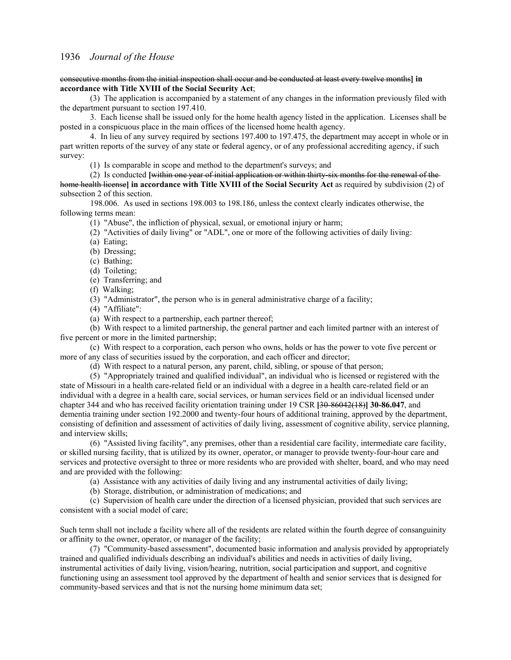## consecutive months from the initial inspection shall occur and be conducted at least every twelve months**] in accordance with Title XVIII of the Social Security Act**;

(3) The application is accompanied by a statement of any changes in the information previously filed with the department pursuant to section 197.410.

3. Each license shall be issued only for the home health agency listed in the application. Licenses shall be posted in a conspicuous place in the main offices of the licensed home health agency.

4. In lieu of any survey required by sections 197.400 to 197.475, the department may accept in whole or in part written reports of the survey of any state or federal agency, or of any professional accrediting agency, if such survey:

(1) Is comparable in scope and method to the department's surveys; and

(2) Is conducted **[**within one year of initial application or within thirty-six months for the renewal of the home health license**] in accordance with Title XVIII of the Social Security Act** as required by subdivision (2) of subsection 2 of this section.

198.006. As used in sections 198.003 to 198.186, unless the context clearly indicates otherwise, the following terms mean:

(1) "Abuse", the infliction of physical, sexual, or emotional injury or harm;

(2) "Activities of daily living" or "ADL", one or more of the following activities of daily living:

(a) Eating;

(b) Dressing;

(c) Bathing;

(d) Toileting;

(e) Transferring; and

(f) Walking;

(3) "Administrator", the person who is in general administrative charge of a facility;

(4) "Affiliate":

(a) With respect to a partnership, each partner thereof;

(b) With respect to a limited partnership, the general partner and each limited partner with an interest of five percent or more in the limited partnership;

(c) With respect to a corporation, each person who owns, holds or has the power to vote five percent or more of any class of securities issued by the corporation, and each officer and director;

(d) With respect to a natural person, any parent, child, sibling, or spouse of that person;

(5) "Appropriately trained and qualified individual", an individual who is licensed or registered with the state of Missouri in a health care-related field or an individual with a degree in a health care-related field or an individual with a degree in a health care, social services, or human services field or an individual licensed under chapter 344 and who has received facility orientation training under 19 CSR **[**30-86042(18)**] 30-86.047**, and dementia training under section 192.2000 and twenty-four hours of additional training, approved by the department, consisting of definition and assessment of activities of daily living, assessment of cognitive ability, service planning, and interview skills;

(6) "Assisted living facility", any premises, other than a residential care facility, intermediate care facility, or skilled nursing facility, that is utilized by its owner, operator, or manager to provide twenty-four-hour care and services and protective oversight to three or more residents who are provided with shelter, board, and who may need and are provided with the following:

(a) Assistance with any activities of daily living and any instrumental activities of daily living;

(b) Storage, distribution, or administration of medications; and

(c) Supervision of health care under the direction of a licensed physician, provided that such services are consistent with a social model of care;

Such term shall not include a facility where all of the residents are related within the fourth degree of consanguinity or affinity to the owner, operator, or manager of the facility;

(7) "Community-based assessment", documented basic information and analysis provided by appropriately trained and qualified individuals describing an individual's abilities and needs in activities of daily living, instrumental activities of daily living, vision/hearing, nutrition, social participation and support, and cognitive functioning using an assessment tool approved by the department of health and senior services that is designed for community-based services and that is not the nursing home minimum data set;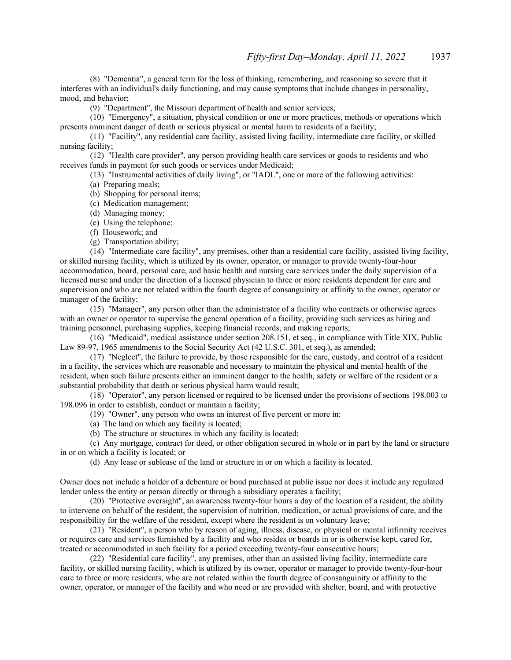(8) "Dementia", a general term for the loss of thinking, remembering, and reasoning so severe that it interferes with an individual's daily functioning, and may cause symptoms that include changes in personality, mood, and behavior;

(9) "Department", the Missouri department of health and senior services;

(10) "Emergency", a situation, physical condition or one or more practices, methods or operations which presents imminent danger of death or serious physical or mental harm to residents of a facility;

(11) "Facility", any residential care facility, assisted living facility, intermediate care facility, or skilled nursing facility;

(12) "Health care provider", any person providing health care services or goods to residents and who receives funds in payment for such goods or services under Medicaid;

(13) "Instrumental activities of daily living", or "IADL", one or more of the following activities:

(a) Preparing meals;

- (b) Shopping for personal items;
- (c) Medication management;
- (d) Managing money;
- (e) Using the telephone;
- (f) Housework; and
- (g) Transportation ability;

(14) "Intermediate care facility", any premises, other than a residential care facility, assisted living facility, or skilled nursing facility, which is utilized by its owner, operator, or manager to provide twenty-four-hour accommodation, board, personal care, and basic health and nursing care services under the daily supervision of a licensed nurse and under the direction of a licensed physician to three or more residents dependent for care and supervision and who are not related within the fourth degree of consanguinity or affinity to the owner, operator or manager of the facility;

(15) "Manager", any person other than the administrator of a facility who contracts or otherwise agrees with an owner or operator to supervise the general operation of a facility, providing such services as hiring and training personnel, purchasing supplies, keeping financial records, and making reports;

(16) "Medicaid", medical assistance under section 208.151, et seq., in compliance with Title XIX, Public Law 89-97, 1965 amendments to the Social Security Act (42 U.S.C. 301, et seq.), as amended;

(17) "Neglect", the failure to provide, by those responsible for the care, custody, and control of a resident in a facility, the services which are reasonable and necessary to maintain the physical and mental health of the resident, when such failure presents either an imminent danger to the health, safety or welfare of the resident or a substantial probability that death or serious physical harm would result;

(18) "Operator", any person licensed or required to be licensed under the provisions of sections 198.003 to 198.096 in order to establish, conduct or maintain a facility;

(19) "Owner", any person who owns an interest of five percent or more in:

- (a) The land on which any facility is located;
- (b) The structure or structures in which any facility is located;

(c) Any mortgage, contract for deed, or other obligation secured in whole or in part by the land or structure in or on which a facility is located; or

(d) Any lease or sublease of the land or structure in or on which a facility is located.

Owner does not include a holder of a debenture or bond purchased at public issue nor does it include any regulated lender unless the entity or person directly or through a subsidiary operates a facility;

(20) "Protective oversight", an awareness twenty-four hours a day of the location of a resident, the ability to intervene on behalf of the resident, the supervision of nutrition, medication, or actual provisions of care, and the responsibility for the welfare of the resident, except where the resident is on voluntary leave;

(21) "Resident", a person who by reason of aging, illness, disease, or physical or mental infirmity receives or requires care and services furnished by a facility and who resides or boards in or is otherwise kept, cared for, treated or accommodated in such facility for a period exceeding twenty-four consecutive hours;

(22) "Residential care facility", any premises, other than an assisted living facility, intermediate care facility, or skilled nursing facility, which is utilized by its owner, operator or manager to provide twenty-four-hour care to three or more residents, who are not related within the fourth degree of consanguinity or affinity to the owner, operator, or manager of the facility and who need or are provided with shelter, board, and with protective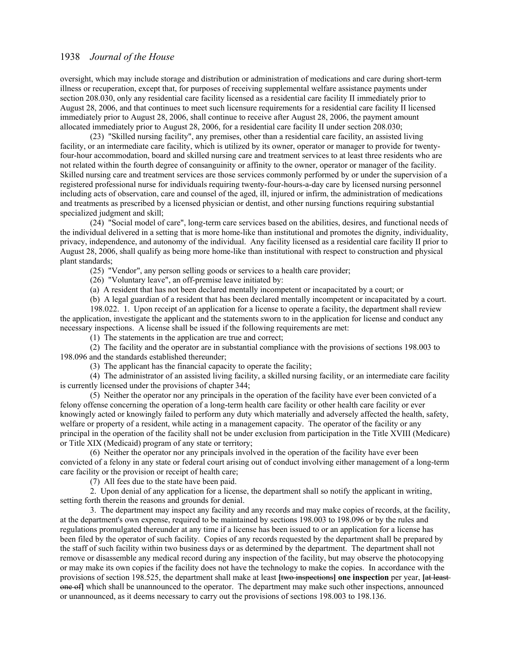oversight, which may include storage and distribution or administration of medications and care during short-term illness or recuperation, except that, for purposes of receiving supplemental welfare assistance payments under section 208.030, only any residential care facility licensed as a residential care facility II immediately prior to August 28, 2006, and that continues to meet such licensure requirements for a residential care facility II licensed immediately prior to August 28, 2006, shall continue to receive after August 28, 2006, the payment amount allocated immediately prior to August 28, 2006, for a residential care facility II under section 208.030;

(23) "Skilled nursing facility", any premises, other than a residential care facility, an assisted living facility, or an intermediate care facility, which is utilized by its owner, operator or manager to provide for twentyfour-hour accommodation, board and skilled nursing care and treatment services to at least three residents who are not related within the fourth degree of consanguinity or affinity to the owner, operator or manager of the facility. Skilled nursing care and treatment services are those services commonly performed by or under the supervision of a registered professional nurse for individuals requiring twenty-four-hours-a-day care by licensed nursing personnel including acts of observation, care and counsel of the aged, ill, injured or infirm, the administration of medications and treatments as prescribed by a licensed physician or dentist, and other nursing functions requiring substantial specialized judgment and skill;

(24) "Social model of care", long-term care services based on the abilities, desires, and functional needs of the individual delivered in a setting that is more home-like than institutional and promotes the dignity, individuality, privacy, independence, and autonomy of the individual. Any facility licensed as a residential care facility II prior to August 28, 2006, shall qualify as being more home-like than institutional with respect to construction and physical plant standards;

(25) "Vendor", any person selling goods or services to a health care provider;

(26) "Voluntary leave", an off-premise leave initiated by:

(a) A resident that has not been declared mentally incompetent or incapacitated by a court; or

(b) A legal guardian of a resident that has been declared mentally incompetent or incapacitated by a court.

198.022. 1. Upon receipt of an application for a license to operate a facility, the department shall review the application, investigate the applicant and the statements sworn to in the application for license and conduct any necessary inspections. A license shall be issued if the following requirements are met:

(1) The statements in the application are true and correct;

(2) The facility and the operator are in substantial compliance with the provisions of sections 198.003 to 198.096 and the standards established thereunder;

(3) The applicant has the financial capacity to operate the facility;

(4) The administrator of an assisted living facility, a skilled nursing facility, or an intermediate care facility is currently licensed under the provisions of chapter 344;

(5) Neither the operator nor any principals in the operation of the facility have ever been convicted of a felony offense concerning the operation of a long-term health care facility or other health care facility or ever knowingly acted or knowingly failed to perform any duty which materially and adversely affected the health, safety, welfare or property of a resident, while acting in a management capacity. The operator of the facility or any principal in the operation of the facility shall not be under exclusion from participation in the Title XVIII (Medicare) or Title XIX (Medicaid) program of any state or territory;

(6) Neither the operator nor any principals involved in the operation of the facility have ever been convicted of a felony in any state or federal court arising out of conduct involving either management of a long-term care facility or the provision or receipt of health care;

(7) All fees due to the state have been paid.

2. Upon denial of any application for a license, the department shall so notify the applicant in writing, setting forth therein the reasons and grounds for denial.

3. The department may inspect any facility and any records and may make copies of records, at the facility, at the department's own expense, required to be maintained by sections 198.003 to 198.096 or by the rules and regulations promulgated thereunder at any time if a license has been issued to or an application for a license has been filed by the operator of such facility. Copies of any records requested by the department shall be prepared by the staff of such facility within two business days or as determined by the department. The department shall not remove or disassemble any medical record during any inspection of the facility, but may observe the photocopying or may make its own copies if the facility does not have the technology to make the copies. In accordance with the provisions of section 198.525, the department shall make at least **[**two inspections**] one inspection** per year, **[**at least one of**]** which shall be unannounced to the operator. The department may make such other inspections, announced or unannounced, as it deems necessary to carry out the provisions of sections 198.003 to 198.136.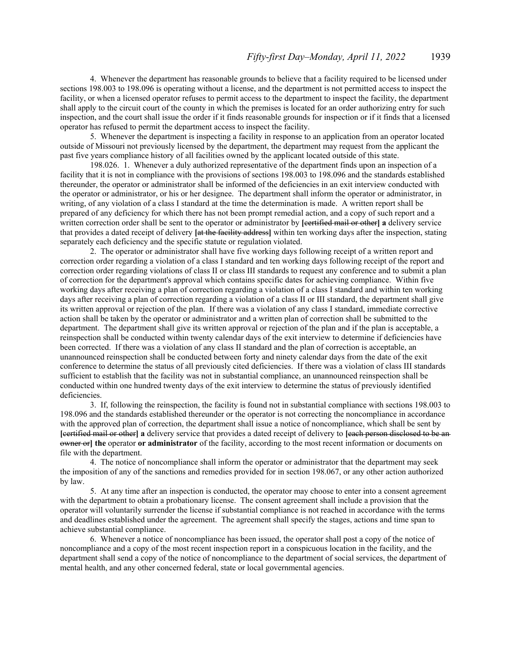4. Whenever the department has reasonable grounds to believe that a facility required to be licensed under sections 198.003 to 198.096 is operating without a license, and the department is not permitted access to inspect the facility, or when a licensed operator refuses to permit access to the department to inspect the facility, the department shall apply to the circuit court of the county in which the premises is located for an order authorizing entry for such inspection, and the court shall issue the order if it finds reasonable grounds for inspection or if it finds that a licensed operator has refused to permit the department access to inspect the facility.

5. Whenever the department is inspecting a facility in response to an application from an operator located outside of Missouri not previously licensed by the department, the department may request from the applicant the past five years compliance history of all facilities owned by the applicant located outside of this state.

198.026. 1. Whenever a duly authorized representative of the department finds upon an inspection of a facility that it is not in compliance with the provisions of sections 198.003 to 198.096 and the standards established thereunder, the operator or administrator shall be informed of the deficiencies in an exit interview conducted with the operator or administrator, or his or her designee. The department shall inform the operator or administrator, in writing, of any violation of a class I standard at the time the determination is made. A written report shall be prepared of any deficiency for which there has not been prompt remedial action, and a copy of such report and a written correction order shall be sent to the operator or administrator by **[**certified mail or other**] a** delivery service that provides a dated receipt of delivery **[**at the facility address**]** within ten working days after the inspection, stating separately each deficiency and the specific statute or regulation violated.

2. The operator or administrator shall have five working days following receipt of a written report and correction order regarding a violation of a class I standard and ten working days following receipt of the report and correction order regarding violations of class II or class III standards to request any conference and to submit a plan of correction for the department's approval which contains specific dates for achieving compliance. Within five working days after receiving a plan of correction regarding a violation of a class I standard and within ten working days after receiving a plan of correction regarding a violation of a class II or III standard, the department shall give its written approval or rejection of the plan. If there was a violation of any class I standard, immediate corrective action shall be taken by the operator or administrator and a written plan of correction shall be submitted to the department. The department shall give its written approval or rejection of the plan and if the plan is acceptable, a reinspection shall be conducted within twenty calendar days of the exit interview to determine if deficiencies have been corrected. If there was a violation of any class II standard and the plan of correction is acceptable, an unannounced reinspection shall be conducted between forty and ninety calendar days from the date of the exit conference to determine the status of all previously cited deficiencies. If there was a violation of class III standards sufficient to establish that the facility was not in substantial compliance, an unannounced reinspection shall be conducted within one hundred twenty days of the exit interview to determine the status of previously identified deficiencies.

3. If, following the reinspection, the facility is found not in substantial compliance with sections 198.003 to 198.096 and the standards established thereunder or the operator is not correcting the noncompliance in accordance with the approved plan of correction, the department shall issue a notice of noncompliance, which shall be sent by **[**certified mail or other**] a** delivery service that provides a dated receipt of delivery to **[**each person disclosed to be an owner or**] the** operator **or administrator** of the facility, according to the most recent information or documents on file with the department.

4. The notice of noncompliance shall inform the operator or administrator that the department may seek the imposition of any of the sanctions and remedies provided for in section 198.067, or any other action authorized by law.

5. At any time after an inspection is conducted, the operator may choose to enter into a consent agreement with the department to obtain a probationary license. The consent agreement shall include a provision that the operator will voluntarily surrender the license if substantial compliance is not reached in accordance with the terms and deadlines established under the agreement. The agreement shall specify the stages, actions and time span to achieve substantial compliance.

6. Whenever a notice of noncompliance has been issued, the operator shall post a copy of the notice of noncompliance and a copy of the most recent inspection report in a conspicuous location in the facility, and the department shall send a copy of the notice of noncompliance to the department of social services, the department of mental health, and any other concerned federal, state or local governmental agencies.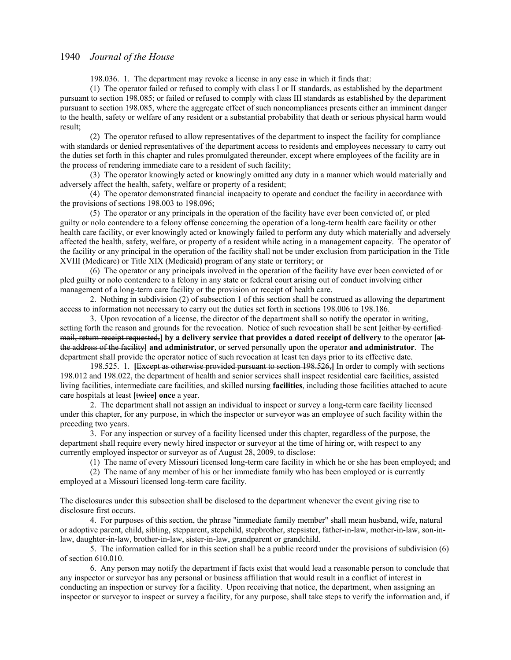198.036. 1. The department may revoke a license in any case in which it finds that:

(1) The operator failed or refused to comply with class I or II standards, as established by the department pursuant to section 198.085; or failed or refused to comply with class III standards as established by the department pursuant to section 198.085, where the aggregate effect of such noncompliances presents either an imminent danger to the health, safety or welfare of any resident or a substantial probability that death or serious physical harm would result;

(2) The operator refused to allow representatives of the department to inspect the facility for compliance with standards or denied representatives of the department access to residents and employees necessary to carry out the duties set forth in this chapter and rules promulgated thereunder, except where employees of the facility are in the process of rendering immediate care to a resident of such facility;

(3) The operator knowingly acted or knowingly omitted any duty in a manner which would materially and adversely affect the health, safety, welfare or property of a resident;

(4) The operator demonstrated financial incapacity to operate and conduct the facility in accordance with the provisions of sections 198.003 to 198.096;

(5) The operator or any principals in the operation of the facility have ever been convicted of, or pled guilty or nolo contendere to a felony offense concerning the operation of a long-term health care facility or other health care facility, or ever knowingly acted or knowingly failed to perform any duty which materially and adversely affected the health, safety, welfare, or property of a resident while acting in a management capacity. The operator of the facility or any principal in the operation of the facility shall not be under exclusion from participation in the Title XVIII (Medicare) or Title XIX (Medicaid) program of any state or territory; or

(6) The operator or any principals involved in the operation of the facility have ever been convicted of or pled guilty or nolo contendere to a felony in any state or federal court arising out of conduct involving either management of a long-term care facility or the provision or receipt of health care.

2. Nothing in subdivision (2) of subsection 1 of this section shall be construed as allowing the department access to information not necessary to carry out the duties set forth in sections 198.006 to 198.186.

3. Upon revocation of a license, the director of the department shall so notify the operator in writing, setting forth the reason and grounds for the revocation. Notice of such revocation shall be sent leither by certified mail, return receipt requested,**] by a delivery service that provides a dated receipt of delivery** to the operator **[**at the address of the facility**] and administrator**, or served personally upon the operator **and administrator**. The department shall provide the operator notice of such revocation at least ten days prior to its effective date.

198.525. 1. **[**Except as otherwise provided pursuant to section 198.526,**]** In order to comply with sections 198.012 and 198.022, the department of health and senior services shall inspect residential care facilities, assisted living facilities, intermediate care facilities, and skilled nursing **facilities**, including those facilities attached to acute care hospitals at least **[**twice**] once** a year.

2. The department shall not assign an individual to inspect or survey a long-term care facility licensed under this chapter, for any purpose, in which the inspector or surveyor was an employee of such facility within the preceding two years.

3. For any inspection or survey of a facility licensed under this chapter, regardless of the purpose, the department shall require every newly hired inspector or surveyor at the time of hiring or, with respect to any currently employed inspector or surveyor as of August 28, 2009, to disclose:

(1) The name of every Missouri licensed long-term care facility in which he or she has been employed; and

(2) The name of any member of his or her immediate family who has been employed or is currently employed at a Missouri licensed long-term care facility.

The disclosures under this subsection shall be disclosed to the department whenever the event giving rise to disclosure first occurs.

4. For purposes of this section, the phrase "immediate family member" shall mean husband, wife, natural or adoptive parent, child, sibling, stepparent, stepchild, stepbrother, stepsister, father-in-law, mother-in-law, son-inlaw, daughter-in-law, brother-in-law, sister-in-law, grandparent or grandchild.

5. The information called for in this section shall be a public record under the provisions of subdivision (6) of section 610.010.

6. Any person may notify the department if facts exist that would lead a reasonable person to conclude that any inspector or surveyor has any personal or business affiliation that would result in a conflict of interest in conducting an inspection or survey for a facility. Upon receiving that notice, the department, when assigning an inspector or surveyor to inspect or survey a facility, for any purpose, shall take steps to verify the information and, if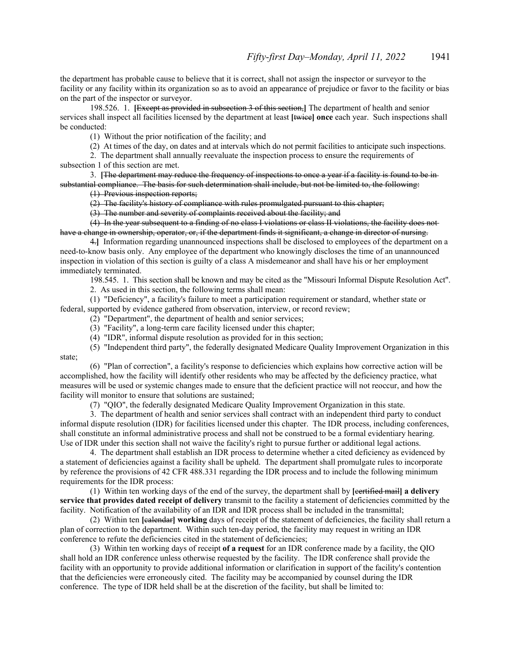the department has probable cause to believe that it is correct, shall not assign the inspector or surveyor to the facility or any facility within its organization so as to avoid an appearance of prejudice or favor to the facility or bias on the part of the inspector or surveyor.

198.526. 1. **[**Except as provided in subsection 3 of this section,**]** The department of health and senior services shall inspect all facilities licensed by the department at least **[**twice**] once** each year. Such inspections shall be conducted:

(1) Without the prior notification of the facility; and

(2) At times of the day, on dates and at intervals which do not permit facilities to anticipate such inspections.

2. The department shall annually reevaluate the inspection process to ensure the requirements of subsection 1 of this section are met.

3. **[**The department may reduce the frequency of inspections to once a year if a facility is found to be in substantial compliance. The basis for such determination shall include, but not be limited to, the following:

(1) Previous inspection reports;

(2) The facility's history of compliance with rules promulgated pursuant to this chapter;

(3) The number and severity of complaints received about the facility; and

(4) In the year subsequent to a finding of no class I violations or class II violations, the facility does not have a change in ownership, operator, or, if the department finds it significant, a change in director of nursing.

4.**]** Information regarding unannounced inspections shall be disclosed to employees of the department on a need-to-know basis only. Any employee of the department who knowingly discloses the time of an unannounced inspection in violation of this section is guilty of a class A misdemeanor and shall have his or her employment immediately terminated.

198.545. 1. This section shall be known and may be cited as the "Missouri Informal Dispute Resolution Act".

2. As used in this section, the following terms shall mean:

(1) "Deficiency", a facility's failure to meet a participation requirement or standard, whether state or

federal, supported by evidence gathered from observation, interview, or record review;

(2) "Department", the department of health and senior services;

(3) "Facility", a long-term care facility licensed under this chapter;

(4) "IDR", informal dispute resolution as provided for in this section;

(5) "Independent third party", the federally designated Medicare Quality Improvement Organization in this state;

(6) "Plan of correction", a facility's response to deficiencies which explains how corrective action will be accomplished, how the facility will identify other residents who may be affected by the deficiency practice, what measures will be used or systemic changes made to ensure that the deficient practice will not reoccur, and how the facility will monitor to ensure that solutions are sustained;

(7) "QIO", the federally designated Medicare Quality Improvement Organization in this state.

3. The department of health and senior services shall contract with an independent third party to conduct informal dispute resolution (IDR) for facilities licensed under this chapter. The IDR process, including conferences, shall constitute an informal administrative process and shall not be construed to be a formal evidentiary hearing. Use of IDR under this section shall not waive the facility's right to pursue further or additional legal actions.

4. The department shall establish an IDR process to determine whether a cited deficiency as evidenced by a statement of deficiencies against a facility shall be upheld. The department shall promulgate rules to incorporate by reference the provisions of 42 CFR 488.331 regarding the IDR process and to include the following minimum requirements for the IDR process:

(1) Within ten working days of the end of the survey, the department shall by **[**certified mail**] a delivery service that provides dated receipt of delivery** transmit to the facility a statement of deficiencies committed by the facility. Notification of the availability of an IDR and IDR process shall be included in the transmittal;

(2) Within ten **[**calendar**] working** days of receipt of the statement of deficiencies, the facility shall return a plan of correction to the department. Within such ten-day period, the facility may request in writing an IDR conference to refute the deficiencies cited in the statement of deficiencies;

(3) Within ten working days of receipt **of a request** for an IDR conference made by a facility, the QIO shall hold an IDR conference unless otherwise requested by the facility. The IDR conference shall provide the facility with an opportunity to provide additional information or clarification in support of the facility's contention that the deficiencies were erroneously cited. The facility may be accompanied by counsel during the IDR conference. The type of IDR held shall be at the discretion of the facility, but shall be limited to: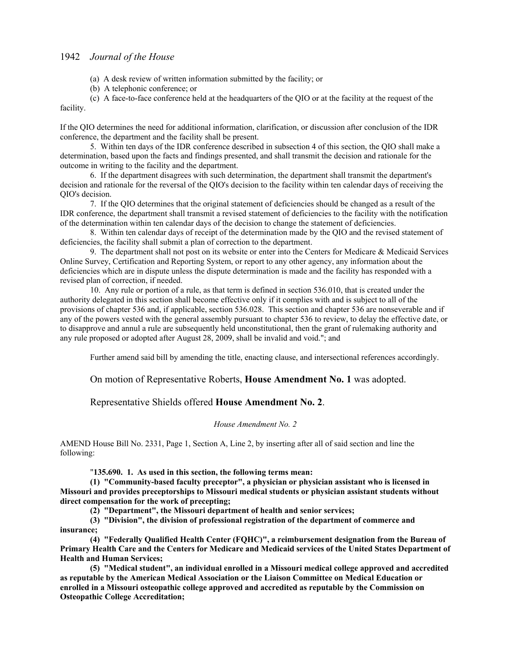- (a) A desk review of written information submitted by the facility; or
- (b) A telephonic conference; or

(c) A face-to-face conference held at the headquarters of the QIO or at the facility at the request of the facility.

If the QIO determines the need for additional information, clarification, or discussion after conclusion of the IDR conference, the department and the facility shall be present.

5. Within ten days of the IDR conference described in subsection 4 of this section, the QIO shall make a determination, based upon the facts and findings presented, and shall transmit the decision and rationale for the outcome in writing to the facility and the department.

6. If the department disagrees with such determination, the department shall transmit the department's decision and rationale for the reversal of the QIO's decision to the facility within ten calendar days of receiving the QIO's decision.

7. If the QIO determines that the original statement of deficiencies should be changed as a result of the IDR conference, the department shall transmit a revised statement of deficiencies to the facility with the notification of the determination within ten calendar days of the decision to change the statement of deficiencies.

8. Within ten calendar days of receipt of the determination made by the QIO and the revised statement of deficiencies, the facility shall submit a plan of correction to the department.

9. The department shall not post on its website or enter into the Centers for Medicare  $\&$  Medicaid Services Online Survey, Certification and Reporting System, or report to any other agency, any information about the deficiencies which are in dispute unless the dispute determination is made and the facility has responded with a revised plan of correction, if needed.

10. Any rule or portion of a rule, as that term is defined in section 536.010, that is created under the authority delegated in this section shall become effective only if it complies with and is subject to all of the provisions of chapter 536 and, if applicable, section 536.028. This section and chapter 536 are nonseverable and if any of the powers vested with the general assembly pursuant to chapter 536 to review, to delay the effective date, or to disapprove and annul a rule are subsequently held unconstitutional, then the grant of rulemaking authority and any rule proposed or adopted after August 28, 2009, shall be invalid and void."; and

Further amend said bill by amending the title, enacting clause, and intersectional references accordingly.

On motion of Representative Roberts, **House Amendment No. 1** was adopted.

# Representative Shields offered **House Amendment No. 2**.

### *House Amendment No. 2*

AMEND House Bill No. 2331, Page 1, Section A, Line 2, by inserting after all of said section and line the following:

"**135.690. 1. As used in this section, the following terms mean:**

**(1) "Community-based faculty preceptor", a physician or physician assistant who is licensed in Missouri and provides preceptorships to Missouri medical students or physician assistant students without direct compensation for the work of precepting;**

**(2) "Department", the Missouri department of health and senior services;** 

**(3) "Division", the division of professional registration of the department of commerce and insurance;**

**(4) "Federally Qualified Health Center (FQHC)", a reimbursement designation from the Bureau of Primary Health Care and the Centers for Medicare and Medicaid services of the United States Department of Health and Human Services;**

**(5) "Medical student", an individual enrolled in a Missouri medical college approved and accredited as reputable by the American Medical Association or the Liaison Committee on Medical Education or enrolled in a Missouri osteopathic college approved and accredited as reputable by the Commission on Osteopathic College Accreditation;**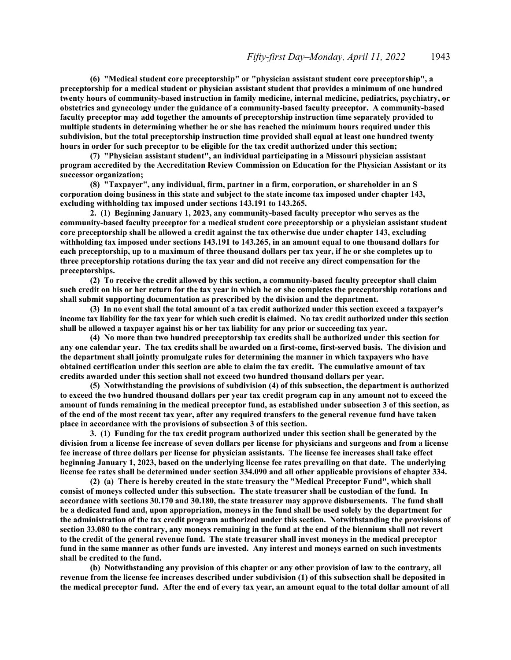**(6) "Medical student core preceptorship" or "physician assistant student core preceptorship", a preceptorship for a medical student or physician assistant student that provides a minimum of one hundred twenty hours of community-based instruction in family medicine, internal medicine, pediatrics, psychiatry, or obstetrics and gynecology under the guidance of a community-based faculty preceptor. A community-based faculty preceptor may add together the amounts of preceptorship instruction time separately provided to multiple students in determining whether he or she has reached the minimum hours required under this subdivision, but the total preceptorship instruction time provided shall equal at least one hundred twenty hours in order for such preceptor to be eligible for the tax credit authorized under this section;**

**(7) "Physician assistant student", an individual participating in a Missouri physician assistant program accredited by the Accreditation Review Commission on Education for the Physician Assistant or its successor organization;**

**(8) "Taxpayer", any individual, firm, partner in a firm, corporation, or shareholder in an S corporation doing business in this state and subject to the state income tax imposed under chapter 143, excluding withholding tax imposed under sections 143.191 to 143.265.**

**2. (1) Beginning January 1, 2023, any community-based faculty preceptor who serves as the community-based faculty preceptor for a medical student core preceptorship or a physician assistant student core preceptorship shall be allowed a credit against the tax otherwise due under chapter 143, excluding withholding tax imposed under sections 143.191 to 143.265, in an amount equal to one thousand dollars for each preceptorship, up to a maximum of three thousand dollars per tax year, if he or she completes up to three preceptorship rotations during the tax year and did not receive any direct compensation for the preceptorships.**

**(2) To receive the credit allowed by this section, a community-based faculty preceptor shall claim such credit on his or her return for the tax year in which he or she completes the preceptorship rotations and shall submit supporting documentation as prescribed by the division and the department.**

**(3) In no event shall the total amount of a tax credit authorized under this section exceed a taxpayer's income tax liability for the tax year for which such credit is claimed. No tax credit authorized under this section shall be allowed a taxpayer against his or her tax liability for any prior or succeeding tax year.**

**(4) No more than two hundred preceptorship tax credits shall be authorized under this section for any one calendar year. The tax credits shall be awarded on a first-come, first-served basis. The division and the department shall jointly promulgate rules for determining the manner in which taxpayers who have obtained certification under this section are able to claim the tax credit. The cumulative amount of tax credits awarded under this section shall not exceed two hundred thousand dollars per year.**

**(5) Notwithstanding the provisions of subdivision (4) of this subsection, the department is authorized to exceed the two hundred thousand dollars per year tax credit program cap in any amount not to exceed the amount of funds remaining in the medical preceptor fund, as established under subsection 3 of this section, as of the end of the most recent tax year, after any required transfers to the general revenue fund have taken place in accordance with the provisions of subsection 3 of this section.**

**3. (1) Funding for the tax credit program authorized under this section shall be generated by the division from a license fee increase of seven dollars per license for physicians and surgeons and from a license fee increase of three dollars per license for physician assistants. The license fee increases shall take effect beginning January 1, 2023, based on the underlying license fee rates prevailing on that date. The underlying license fee rates shall be determined under section 334.090 and all other applicable provisions of chapter 334.**

**(2) (a) There is hereby created in the state treasury the "Medical Preceptor Fund", which shall consist of moneys collected under this subsection. The state treasurer shall be custodian of the fund. In accordance with sections 30.170 and 30.180, the state treasurer may approve disbursements. The fund shall be a dedicated fund and, upon appropriation, moneys in the fund shall be used solely by the department for the administration of the tax credit program authorized under this section. Notwithstanding the provisions of section 33.080 to the contrary, any moneys remaining in the fund at the end of the biennium shall not revert to the credit of the general revenue fund. The state treasurer shall invest moneys in the medical preceptor fund in the same manner as other funds are invested. Any interest and moneys earned on such investments shall be credited to the fund.**

**(b) Notwithstanding any provision of this chapter or any other provision of law to the contrary, all revenue from the license fee increases described under subdivision (1) of this subsection shall be deposited in the medical preceptor fund. After the end of every tax year, an amount equal to the total dollar amount of all**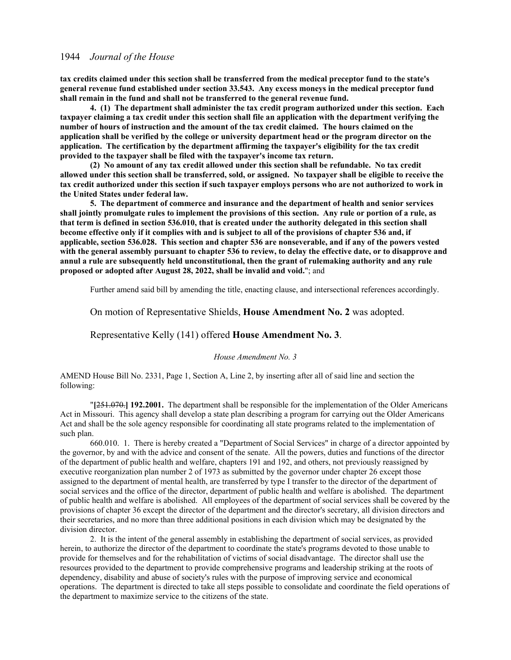**tax credits claimed under this section shall be transferred from the medical preceptor fund to the state's general revenue fund established under section 33.543. Any excess moneys in the medical preceptor fund shall remain in the fund and shall not be transferred to the general revenue fund.**

**4. (1) The department shall administer the tax credit program authorized under this section. Each taxpayer claiming a tax credit under this section shall file an application with the department verifying the number of hours of instruction and the amount of the tax credit claimed. The hours claimed on the application shall be verified by the college or university department head or the program director on the application. The certification by the department affirming the taxpayer's eligibility for the tax credit provided to the taxpayer shall be filed with the taxpayer's income tax return.**

**(2) No amount of any tax credit allowed under this section shall be refundable. No tax credit allowed under this section shall be transferred, sold, or assigned. No taxpayer shall be eligible to receive the tax credit authorized under this section if such taxpayer employs persons who are not authorized to work in the United States under federal law.**

**5. The department of commerce and insurance and the department of health and senior services shall jointly promulgate rules to implement the provisions of this section. Any rule or portion of a rule, as that term is defined in section 536.010, that is created under the authority delegated in this section shall become effective only if it complies with and is subject to all of the provisions of chapter 536 and, if applicable, section 536.028. This section and chapter 536 are nonseverable, and if any of the powers vested with the general assembly pursuant to chapter 536 to review, to delay the effective date, or to disapprove and annul a rule are subsequently held unconstitutional, then the grant of rulemaking authority and any rule proposed or adopted after August 28, 2022, shall be invalid and void.**"; and

Further amend said bill by amending the title, enacting clause, and intersectional references accordingly.

# On motion of Representative Shields, **House Amendment No. 2** was adopted.

# Representative Kelly (141) offered **House Amendment No. 3**.

#### *House Amendment No. 3*

AMEND House Bill No. 2331, Page 1, Section A, Line 2, by inserting after all of said line and section the following:

"**[**251.070.**] 192.2001.** The department shall be responsible for the implementation of the Older Americans Act in Missouri. This agency shall develop a state plan describing a program for carrying out the Older Americans Act and shall be the sole agency responsible for coordinating all state programs related to the implementation of such plan.

660.010. 1. There is hereby created a "Department of Social Services" in charge of a director appointed by the governor, by and with the advice and consent of the senate. All the powers, duties and functions of the director of the department of public health and welfare, chapters 191 and 192, and others, not previously reassigned by executive reorganization plan number 2 of 1973 as submitted by the governor under chapter 26 except those assigned to the department of mental health, are transferred by type I transfer to the director of the department of social services and the office of the director, department of public health and welfare is abolished. The department of public health and welfare is abolished. All employees of the department of social services shall be covered by the provisions of chapter 36 except the director of the department and the director's secretary, all division directors and their secretaries, and no more than three additional positions in each division which may be designated by the division director.

2. It is the intent of the general assembly in establishing the department of social services, as provided herein, to authorize the director of the department to coordinate the state's programs devoted to those unable to provide for themselves and for the rehabilitation of victims of social disadvantage. The director shall use the resources provided to the department to provide comprehensive programs and leadership striking at the roots of dependency, disability and abuse of society's rules with the purpose of improving service and economical operations. The department is directed to take all steps possible to consolidate and coordinate the field operations of the department to maximize service to the citizens of the state.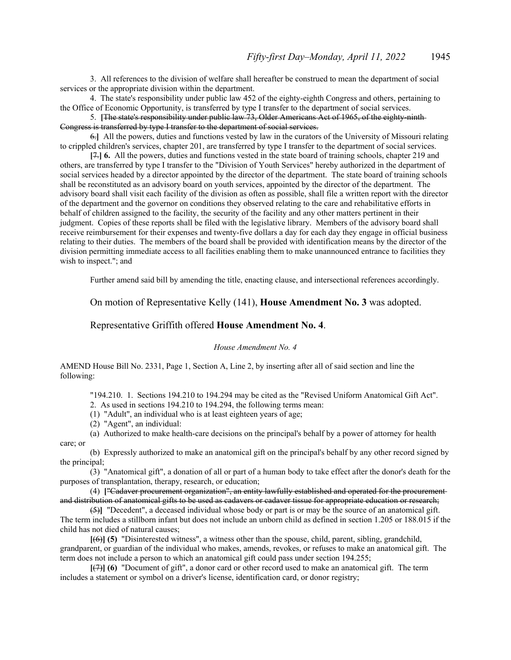3. All references to the division of welfare shall hereafter be construed to mean the department of social services or the appropriate division within the department.

4. The state's responsibility under public law 452 of the eighty-eighth Congress and others, pertaining to the Office of Economic Opportunity, is transferred by type I transfer to the department of social services.

5. **[**The state's responsibility under public law 73, Older Americans Act of 1965, of the eighty-ninth Congress is transferred by type I transfer to the department of social services.

6.**]** All the powers, duties and functions vested by law in the curators of the University of Missouri relating to crippled children's services, chapter 201, are transferred by type I transfer to the department of social services.

**[**7.**] 6.** All the powers, duties and functions vested in the state board of training schools, chapter 219 and others, are transferred by type I transfer to the "Division of Youth Services" hereby authorized in the department of social services headed by a director appointed by the director of the department. The state board of training schools shall be reconstituted as an advisory board on youth services, appointed by the director of the department. The advisory board shall visit each facility of the division as often as possible, shall file a written report with the director of the department and the governor on conditions they observed relating to the care and rehabilitative efforts in behalf of children assigned to the facility, the security of the facility and any other matters pertinent in their judgment. Copies of these reports shall be filed with the legislative library. Members of the advisory board shall receive reimbursement for their expenses and twenty-five dollars a day for each day they engage in official business relating to their duties. The members of the board shall be provided with identification means by the director of the division permitting immediate access to all facilities enabling them to make unannounced entrance to facilities they wish to inspect."; and

Further amend said bill by amending the title, enacting clause, and intersectional references accordingly.

# On motion of Representative Kelly (141), **House Amendment No. 3** was adopted.

# Representative Griffith offered **House Amendment No. 4**.

#### *House Amendment No. 4*

AMEND House Bill No. 2331, Page 1, Section A, Line 2, by inserting after all of said section and line the following:

"194.210. 1. Sections 194.210 to 194.294 may be cited as the "Revised Uniform Anatomical Gift Act".

2. As used in sections 194.210 to 194.294, the following terms mean:

(1) "Adult", an individual who is at least eighteen years of age;

(2) "Agent", an individual:

(a) Authorized to make health-care decisions on the principal's behalf by a power of attorney for health care; or

(b) Expressly authorized to make an anatomical gift on the principal's behalf by any other record signed by the principal;

(3) "Anatomical gift", a donation of all or part of a human body to take effect after the donor's death for the purposes of transplantation, therapy, research, or education;

(4) **[**"Cadaver procurement organization", an entity lawfully established and operated for the procurement and distribution of anatomical gifts to be used as cadavers or cadaver tissue for appropriate education or research;

(5)**]** "Decedent", a deceased individual whose body or part is or may be the source of an anatomical gift. The term includes a stillborn infant but does not include an unborn child as defined in section 1.205 or 188.015 if the child has not died of natural causes;

**[**(6)**] (5)** "Disinterested witness", a witness other than the spouse, child, parent, sibling, grandchild, grandparent, or guardian of the individual who makes, amends, revokes, or refuses to make an anatomical gift. The term does not include a person to which an anatomical gift could pass under section 194.255;

**[**(7)**] (6)** "Document of gift", a donor card or other record used to make an anatomical gift. The term includes a statement or symbol on a driver's license, identification card, or donor registry;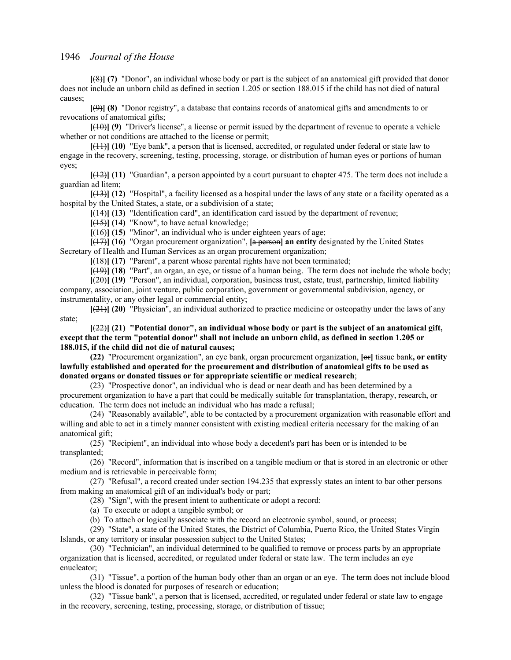**[**(8)**] (7)** "Donor", an individual whose body or part is the subject of an anatomical gift provided that donor does not include an unborn child as defined in section 1.205 or section 188.015 if the child has not died of natural causes;

**[**(9)**] (8)** "Donor registry", a database that contains records of anatomical gifts and amendments to or revocations of anatomical gifts;

**[**(10)**] (9)** "Driver's license", a license or permit issued by the department of revenue to operate a vehicle whether or not conditions are attached to the license or permit;

**[**(11)**] (10)** "Eye bank", a person that is licensed, accredited, or regulated under federal or state law to engage in the recovery, screening, testing, processing, storage, or distribution of human eyes or portions of human eyes;

**[**(12)**] (11)** "Guardian", a person appointed by a court pursuant to chapter 475. The term does not include a guardian ad litem;

**[**(13)**] (12)** "Hospital", a facility licensed as a hospital under the laws of any state or a facility operated as a hospital by the United States, a state, or a subdivision of a state;

**[**(14)**] (13)** "Identification card", an identification card issued by the department of revenue;

**[**(15)**] (14)** "Know", to have actual knowledge;

**[**(16)**] (15)** "Minor", an individual who is under eighteen years of age;

**[**(17)**] (16)** "Organ procurement organization", **[**a person**] an entity** designated by the United States Secretary of Health and Human Services as an organ procurement organization;

**[**(18)**] (17)** "Parent", a parent whose parental rights have not been terminated;

**[**(19)**] (18)** "Part", an organ, an eye, or tissue of a human being. The term does not include the whole body;

**[**(20)**] (19)** "Person", an individual, corporation, business trust, estate, trust, partnership, limited liability company, association, joint venture, public corporation, government or governmental subdivision, agency, or instrumentality, or any other legal or commercial entity;

**[**(21)**] (20)** "Physician", an individual authorized to practice medicine or osteopathy under the laws of any state;

**[**(22)**] (21) "Potential donor", an individual whose body or part is the subject of an anatomical gift, except that the term "potential donor" shall not include an unborn child, as defined in section 1.205 or 188.015, if the child did not die of natural causes;**

**(22)** "Procurement organization", an eye bank, organ procurement organization, **[**or**]** tissue bank**, or entity lawfully established and operated for the procurement and distribution of anatomical gifts to be used as donated organs or donated tissues or for appropriate scientific or medical research**;

(23) "Prospective donor", an individual who is dead or near death and has been determined by a procurement organization to have a part that could be medically suitable for transplantation, therapy, research, or education. The term does not include an individual who has made a refusal;

(24) "Reasonably available", able to be contacted by a procurement organization with reasonable effort and willing and able to act in a timely manner consistent with existing medical criteria necessary for the making of an anatomical gift;

(25) "Recipient", an individual into whose body a decedent's part has been or is intended to be transplanted;

(26) "Record", information that is inscribed on a tangible medium or that is stored in an electronic or other medium and is retrievable in perceivable form;

(27) "Refusal", a record created under section 194.235 that expressly states an intent to bar other persons from making an anatomical gift of an individual's body or part;

(28) "Sign", with the present intent to authenticate or adopt a record:

(a) To execute or adopt a tangible symbol; or

(b) To attach or logically associate with the record an electronic symbol, sound, or process;

(29) "State", a state of the United States, the District of Columbia, Puerto Rico, the United States Virgin Islands, or any territory or insular possession subject to the United States;

(30) "Technician", an individual determined to be qualified to remove or process parts by an appropriate organization that is licensed, accredited, or regulated under federal or state law. The term includes an eye enucleator;

(31) "Tissue", a portion of the human body other than an organ or an eye. The term does not include blood unless the blood is donated for purposes of research or education;

(32) "Tissue bank", a person that is licensed, accredited, or regulated under federal or state law to engage in the recovery, screening, testing, processing, storage, or distribution of tissue;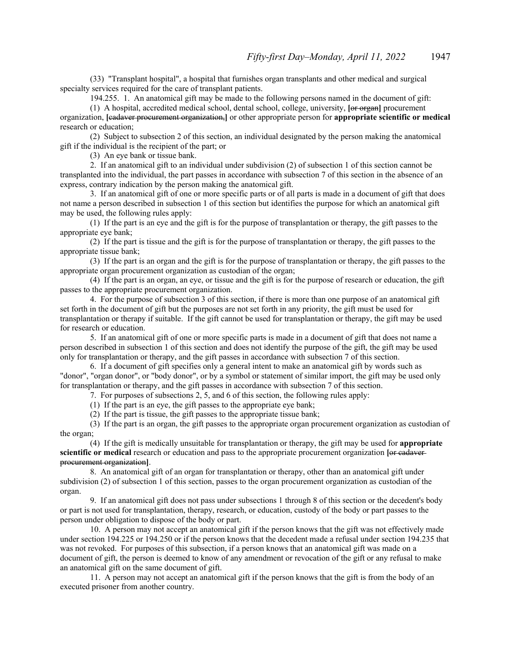(33) "Transplant hospital", a hospital that furnishes organ transplants and other medical and surgical specialty services required for the care of transplant patients.

194.255. 1. An anatomical gift may be made to the following persons named in the document of gift:

(1) A hospital, accredited medical school, dental school, college, university, **[**or organ**]** procurement organization, **[**cadaver procurement organization,**]** or other appropriate person for **appropriate scientific or medical** research or education;

(2) Subject to subsection 2 of this section, an individual designated by the person making the anatomical gift if the individual is the recipient of the part; or

(3) An eye bank or tissue bank.

2. If an anatomical gift to an individual under subdivision (2) of subsection 1 of this section cannot be transplanted into the individual, the part passes in accordance with subsection 7 of this section in the absence of an express, contrary indication by the person making the anatomical gift.

3. If an anatomical gift of one or more specific parts or of all parts is made in a document of gift that does not name a person described in subsection 1 of this section but identifies the purpose for which an anatomical gift may be used, the following rules apply:

(1) If the part is an eye and the gift is for the purpose of transplantation or therapy, the gift passes to the appropriate eye bank;

(2) If the part is tissue and the gift is for the purpose of transplantation or therapy, the gift passes to the appropriate tissue bank;

(3) If the part is an organ and the gift is for the purpose of transplantation or therapy, the gift passes to the appropriate organ procurement organization as custodian of the organ;

(4) If the part is an organ, an eye, or tissue and the gift is for the purpose of research or education, the gift passes to the appropriate procurement organization.

4. For the purpose of subsection 3 of this section, if there is more than one purpose of an anatomical gift set forth in the document of gift but the purposes are not set forth in any priority, the gift must be used for transplantation or therapy if suitable. If the gift cannot be used for transplantation or therapy, the gift may be used for research or education.

5. If an anatomical gift of one or more specific parts is made in a document of gift that does not name a person described in subsection 1 of this section and does not identify the purpose of the gift, the gift may be used only for transplantation or therapy, and the gift passes in accordance with subsection 7 of this section.

6. If a document of gift specifies only a general intent to make an anatomical gift by words such as "donor", "organ donor", or "body donor", or by a symbol or statement of similar import, the gift may be used only for transplantation or therapy, and the gift passes in accordance with subsection 7 of this section.

7. For purposes of subsections 2, 5, and 6 of this section, the following rules apply:

(1) If the part is an eye, the gift passes to the appropriate eye bank;

(2) If the part is tissue, the gift passes to the appropriate tissue bank;

(3) If the part is an organ, the gift passes to the appropriate organ procurement organization as custodian of the organ;

(4) If the gift is medically unsuitable for transplantation or therapy, the gift may be used for **appropriate scientific or medical** research or education and pass to the appropriate procurement organization **[**or cadaver procurement organization**]**.

8. An anatomical gift of an organ for transplantation or therapy, other than an anatomical gift under subdivision (2) of subsection 1 of this section, passes to the organ procurement organization as custodian of the organ.

9. If an anatomical gift does not pass under subsections 1 through 8 of this section or the decedent's body or part is not used for transplantation, therapy, research, or education, custody of the body or part passes to the person under obligation to dispose of the body or part.

10. A person may not accept an anatomical gift if the person knows that the gift was not effectively made under section 194.225 or 194.250 or if the person knows that the decedent made a refusal under section 194.235 that was not revoked. For purposes of this subsection, if a person knows that an anatomical gift was made on a document of gift, the person is deemed to know of any amendment or revocation of the gift or any refusal to make an anatomical gift on the same document of gift.

11. A person may not accept an anatomical gift if the person knows that the gift is from the body of an executed prisoner from another country.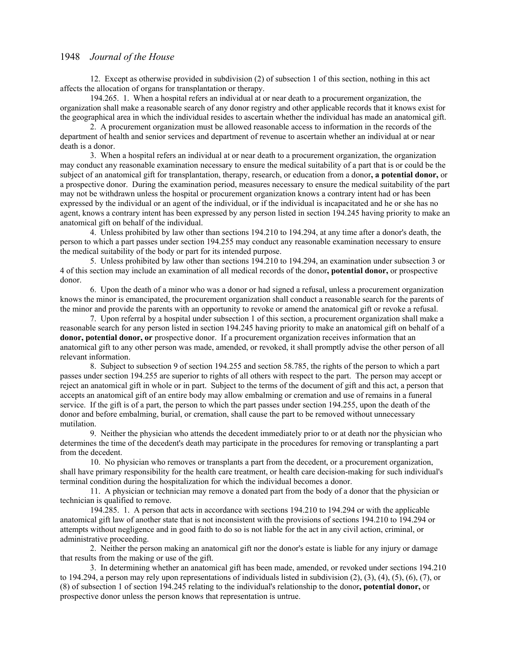12. Except as otherwise provided in subdivision (2) of subsection 1 of this section, nothing in this act affects the allocation of organs for transplantation or therapy.

194.265. 1. When a hospital refers an individual at or near death to a procurement organization, the organization shall make a reasonable search of any donor registry and other applicable records that it knows exist for the geographical area in which the individual resides to ascertain whether the individual has made an anatomical gift.

2. A procurement organization must be allowed reasonable access to information in the records of the department of health and senior services and department of revenue to ascertain whether an individual at or near death is a donor.

3. When a hospital refers an individual at or near death to a procurement organization, the organization may conduct any reasonable examination necessary to ensure the medical suitability of a part that is or could be the subject of an anatomical gift for transplantation, therapy, research, or education from a donor**, a potential donor,** or a prospective donor. During the examination period, measures necessary to ensure the medical suitability of the part may not be withdrawn unless the hospital or procurement organization knows a contrary intent had or has been expressed by the individual or an agent of the individual, or if the individual is incapacitated and he or she has no agent, knows a contrary intent has been expressed by any person listed in section 194.245 having priority to make an anatomical gift on behalf of the individual.

4. Unless prohibited by law other than sections 194.210 to 194.294, at any time after a donor's death, the person to which a part passes under section 194.255 may conduct any reasonable examination necessary to ensure the medical suitability of the body or part for its intended purpose.

5. Unless prohibited by law other than sections 194.210 to 194.294, an examination under subsection 3 or 4 of this section may include an examination of all medical records of the donor**, potential donor,** or prospective donor.

6. Upon the death of a minor who was a donor or had signed a refusal, unless a procurement organization knows the minor is emancipated, the procurement organization shall conduct a reasonable search for the parents of the minor and provide the parents with an opportunity to revoke or amend the anatomical gift or revoke a refusal.

7. Upon referral by a hospital under subsection 1 of this section, a procurement organization shall make a reasonable search for any person listed in section 194.245 having priority to make an anatomical gift on behalf of a **donor, potential donor, or** prospective donor. If a procurement organization receives information that an anatomical gift to any other person was made, amended, or revoked, it shall promptly advise the other person of all relevant information.

8. Subject to subsection 9 of section 194.255 and section 58.785, the rights of the person to which a part passes under section 194.255 are superior to rights of all others with respect to the part. The person may accept or reject an anatomical gift in whole or in part. Subject to the terms of the document of gift and this act, a person that accepts an anatomical gift of an entire body may allow embalming or cremation and use of remains in a funeral service. If the gift is of a part, the person to which the part passes under section 194.255, upon the death of the donor and before embalming, burial, or cremation, shall cause the part to be removed without unnecessary mutilation.

9. Neither the physician who attends the decedent immediately prior to or at death nor the physician who determines the time of the decedent's death may participate in the procedures for removing or transplanting a part from the decedent.

10. No physician who removes or transplants a part from the decedent, or a procurement organization, shall have primary responsibility for the health care treatment, or health care decision-making for such individual's terminal condition during the hospitalization for which the individual becomes a donor.

11. A physician or technician may remove a donated part from the body of a donor that the physician or technician is qualified to remove.

194.285. 1. A person that acts in accordance with sections 194.210 to 194.294 or with the applicable anatomical gift law of another state that is not inconsistent with the provisions of sections 194.210 to 194.294 or attempts without negligence and in good faith to do so is not liable for the act in any civil action, criminal, or administrative proceeding.

2. Neither the person making an anatomical gift nor the donor's estate is liable for any injury or damage that results from the making or use of the gift.

3. In determining whether an anatomical gift has been made, amended, or revoked under sections 194.210 to 194.294, a person may rely upon representations of individuals listed in subdivision (2), (3), (4), (5), (6), (7), or (8) of subsection 1 of section 194.245 relating to the individual's relationship to the donor**, potential donor,** or prospective donor unless the person knows that representation is untrue.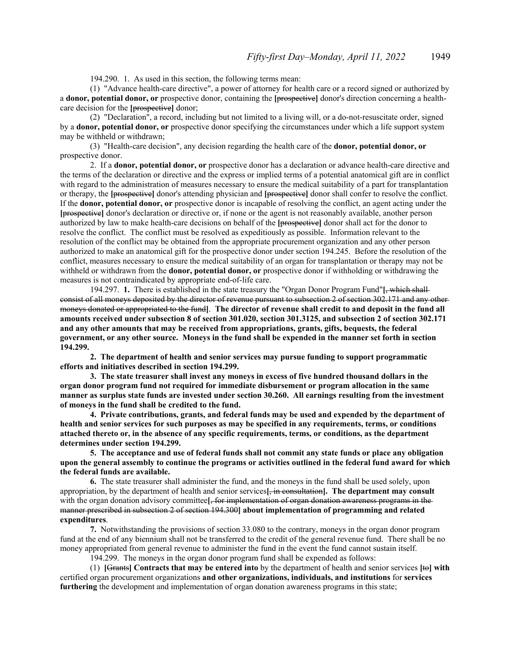194.290. 1. As used in this section, the following terms mean:

(1) "Advance health-care directive", a power of attorney for health care or a record signed or authorized by a **donor, potential donor, or** prospective donor, containing the **[**prospective**]** donor's direction concerning a healthcare decision for the **[**prospective**]** donor;

(2) "Declaration", a record, including but not limited to a living will, or a do-not-resuscitate order, signed by a **donor, potential donor, or** prospective donor specifying the circumstances under which a life support system may be withheld or withdrawn;

(3) "Health-care decision", any decision regarding the health care of the **donor, potential donor, or** prospective donor.

2. If a **donor, potential donor, or** prospective donor has a declaration or advance health-care directive and the terms of the declaration or directive and the express or implied terms of a potential anatomical gift are in conflict with regard to the administration of measures necessary to ensure the medical suitability of a part for transplantation or therapy, the **[**prospective**]** donor's attending physician and **[**prospective**]** donor shall confer to resolve the conflict. If the **donor, potential donor, or** prospective donor is incapable of resolving the conflict, an agent acting under the **[**prospective**]** donor's declaration or directive or, if none or the agent is not reasonably available, another person authorized by law to make health-care decisions on behalf of the **[**prospective**]** donor shall act for the donor to resolve the conflict. The conflict must be resolved as expeditiously as possible. Information relevant to the resolution of the conflict may be obtained from the appropriate procurement organization and any other person authorized to make an anatomical gift for the prospective donor under section 194.245. Before the resolution of the conflict, measures necessary to ensure the medical suitability of an organ for transplantation or therapy may not be withheld or withdrawn from the **donor, potential donor, or** prospective donor if withholding or withdrawing the measures is not contraindicated by appropriate end-of-life care.

194.297. **1.** There is established in the state treasury the "Organ Donor Program Fund"**[**, which shall consist of all moneys deposited by the director of revenue pursuant to subsection 2 of section 302.171 and any other moneys donated or appropriated to the fund**]**. **The director of revenue shall credit to and deposit in the fund all amounts received under subsection 8 of section 301.020, section 301.3125, and subsection 2 of section 302.171 and any other amounts that may be received from appropriations, grants, gifts, bequests, the federal government, or any other source. Moneys in the fund shall be expended in the manner set forth in section 194.299.**

**2. The department of health and senior services may pursue funding to support programmatic efforts and initiatives described in section 194.299.**

**3. The state treasurer shall invest any moneys in excess of five hundred thousand dollars in the organ donor program fund not required for immediate disbursement or program allocation in the same manner as surplus state funds are invested under section 30.260. All earnings resulting from the investment of moneys in the fund shall be credited to the fund.**

**4. Private contributions, grants, and federal funds may be used and expended by the department of health and senior services for such purposes as may be specified in any requirements, terms, or conditions attached thereto or, in the absence of any specific requirements, terms, or conditions, as the department determines under section 194.299.**

**5. The acceptance and use of federal funds shall not commit any state funds or place any obligation upon the general assembly to continue the programs or activities outlined in the federal fund award for which the federal funds are available.**

**6.** The state treasurer shall administer the fund, and the moneys in the fund shall be used solely, upon appropriation, by the department of health and senior services**[**, in consultation**]. The department may consult** with the organ donation advisory committee**[**, for implementation of organ donation awareness programs in the manner prescribed in subsection 2 of section 194.300**] about implementation of programming and related expenditures**.

**7.** Notwithstanding the provisions of section 33.080 to the contrary, moneys in the organ donor program fund at the end of any biennium shall not be transferred to the credit of the general revenue fund. There shall be no money appropriated from general revenue to administer the fund in the event the fund cannot sustain itself.

194.299. The moneys in the organ donor program fund shall be expended as follows:

(1) **[**Grants**] Contracts that may be entered into** by the department of health and senior services **[**to**] with** certified organ procurement organizations **and other organizations, individuals, and institutions** for **services furthering** the development and implementation of organ donation awareness programs in this state;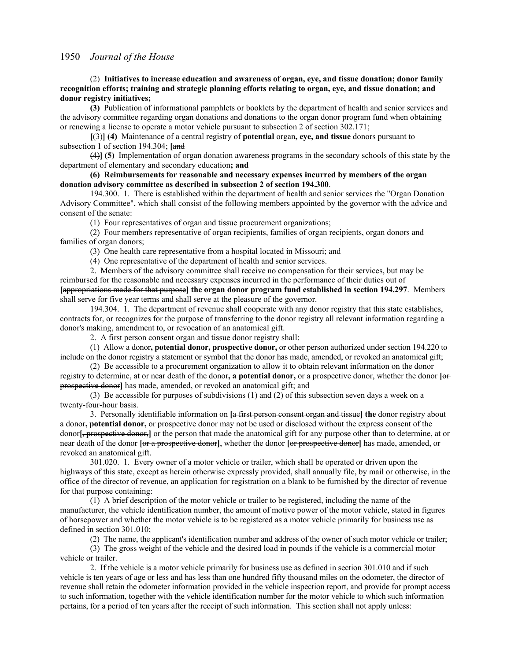## (2) **Initiatives to increase education and awareness of organ, eye, and tissue donation; donor family recognition efforts; training and strategic planning efforts relating to organ, eye, and tissue donation; and donor registry initiatives;**

**(3)** Publication of informational pamphlets or booklets by the department of health and senior services and the advisory committee regarding organ donations and donations to the organ donor program fund when obtaining or renewing a license to operate a motor vehicle pursuant to subsection 2 of section 302.171;

**[**(3)**] (4)** Maintenance of a central registry of **potential** organ**, eye, and tissue** donors pursuant to subsection 1 of section 194.304; [and

(4)**] (5)** Implementation of organ donation awareness programs in the secondary schools of this state by the department of elementary and secondary education**; and**

# **(6) Reimbursements for reasonable and necessary expenses incurred by members of the organ donation advisory committee as described in subsection 2 of section 194.300**.

194.300. 1. There is established within the department of health and senior services the "Organ Donation Advisory Committee", which shall consist of the following members appointed by the governor with the advice and consent of the senate:

(1) Four representatives of organ and tissue procurement organizations;

(2) Four members representative of organ recipients, families of organ recipients, organ donors and families of organ donors;

(3) One health care representative from a hospital located in Missouri; and

(4) One representative of the department of health and senior services.

2. Members of the advisory committee shall receive no compensation for their services, but may be reimbursed for the reasonable and necessary expenses incurred in the performance of their duties out of **[**appropriations made for that purpose**] the organ donor program fund established in section 194.297**. Members shall serve for five year terms and shall serve at the pleasure of the governor.

194.304. 1. The department of revenue shall cooperate with any donor registry that this state establishes, contracts for, or recognizes for the purpose of transferring to the donor registry all relevant information regarding a donor's making, amendment to, or revocation of an anatomical gift.

2. A first person consent organ and tissue donor registry shall:

(1) Allow a donor**, potential donor, prospective donor,** or other person authorized under section 194.220 to include on the donor registry a statement or symbol that the donor has made, amended, or revoked an anatomical gift;

(2) Be accessible to a procurement organization to allow it to obtain relevant information on the donor registry to determine, at or near death of the donor**, a potential donor,** or a prospective donor, whether the donor **[**or prospective donor**]** has made, amended, or revoked an anatomical gift; and

(3) Be accessible for purposes of subdivisions (1) and (2) of this subsection seven days a week on a twenty-four-hour basis.

3. Personally identifiable information on **[**a first person consent organ and tissue**] the** donor registry about a donor**, potential donor,** or prospective donor may not be used or disclosed without the express consent of the donor**[**, prospective donor,**]** or the person that made the anatomical gift for any purpose other than to determine, at or near death of the donor **[**or a prospective donor**]**, whether the donor **[**or prospective donor**]** has made, amended, or revoked an anatomical gift.

301.020. 1. Every owner of a motor vehicle or trailer, which shall be operated or driven upon the highways of this state, except as herein otherwise expressly provided, shall annually file, by mail or otherwise, in the office of the director of revenue, an application for registration on a blank to be furnished by the director of revenue for that purpose containing:

(1) A brief description of the motor vehicle or trailer to be registered, including the name of the manufacturer, the vehicle identification number, the amount of motive power of the motor vehicle, stated in figures of horsepower and whether the motor vehicle is to be registered as a motor vehicle primarily for business use as defined in section 301.010;

(2) The name, the applicant's identification number and address of the owner of such motor vehicle or trailer;

(3) The gross weight of the vehicle and the desired load in pounds if the vehicle is a commercial motor vehicle or trailer.

2. If the vehicle is a motor vehicle primarily for business use as defined in section 301.010 and if such vehicle is ten years of age or less and has less than one hundred fifty thousand miles on the odometer, the director of revenue shall retain the odometer information provided in the vehicle inspection report, and provide for prompt access to such information, together with the vehicle identification number for the motor vehicle to which such information pertains, for a period of ten years after the receipt of such information. This section shall not apply unless: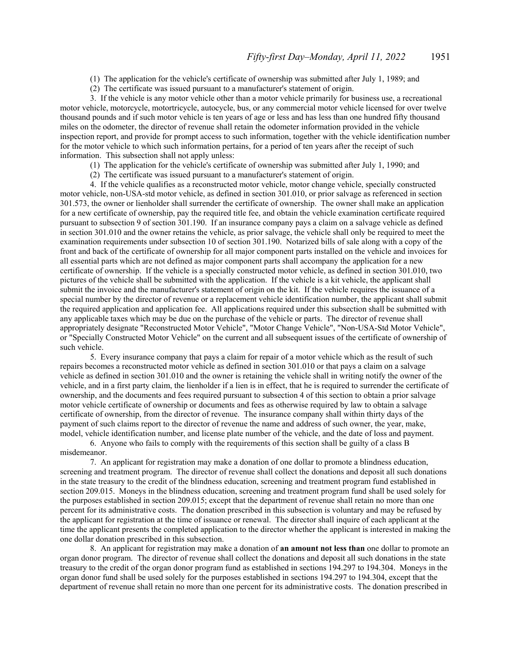(1) The application for the vehicle's certificate of ownership was submitted after July 1, 1989; and

(2) The certificate was issued pursuant to a manufacturer's statement of origin.

3. If the vehicle is any motor vehicle other than a motor vehicle primarily for business use, a recreational motor vehicle, motorcycle, motortricycle, autocycle, bus, or any commercial motor vehicle licensed for over twelve thousand pounds and if such motor vehicle is ten years of age or less and has less than one hundred fifty thousand miles on the odometer, the director of revenue shall retain the odometer information provided in the vehicle inspection report, and provide for prompt access to such information, together with the vehicle identification number for the motor vehicle to which such information pertains, for a period of ten years after the receipt of such information. This subsection shall not apply unless:

- (1) The application for the vehicle's certificate of ownership was submitted after July 1, 1990; and
- (2) The certificate was issued pursuant to a manufacturer's statement of origin.

4. If the vehicle qualifies as a reconstructed motor vehicle, motor change vehicle, specially constructed motor vehicle, non-USA-std motor vehicle, as defined in section 301.010, or prior salvage as referenced in section 301.573, the owner or lienholder shall surrender the certificate of ownership. The owner shall make an application for a new certificate of ownership, pay the required title fee, and obtain the vehicle examination certificate required pursuant to subsection 9 of section 301.190. If an insurance company pays a claim on a salvage vehicle as defined in section 301.010 and the owner retains the vehicle, as prior salvage, the vehicle shall only be required to meet the examination requirements under subsection 10 of section 301.190. Notarized bills of sale along with a copy of the front and back of the certificate of ownership for all major component parts installed on the vehicle and invoices for all essential parts which are not defined as major component parts shall accompany the application for a new certificate of ownership. If the vehicle is a specially constructed motor vehicle, as defined in section 301.010, two pictures of the vehicle shall be submitted with the application. If the vehicle is a kit vehicle, the applicant shall submit the invoice and the manufacturer's statement of origin on the kit. If the vehicle requires the issuance of a special number by the director of revenue or a replacement vehicle identification number, the applicant shall submit the required application and application fee. All applications required under this subsection shall be submitted with any applicable taxes which may be due on the purchase of the vehicle or parts. The director of revenue shall appropriately designate "Reconstructed Motor Vehicle", "Motor Change Vehicle", "Non-USA-Std Motor Vehicle", or "Specially Constructed Motor Vehicle" on the current and all subsequent issues of the certificate of ownership of such vehicle.

5. Every insurance company that pays a claim for repair of a motor vehicle which as the result of such repairs becomes a reconstructed motor vehicle as defined in section 301.010 or that pays a claim on a salvage vehicle as defined in section 301.010 and the owner is retaining the vehicle shall in writing notify the owner of the vehicle, and in a first party claim, the lienholder if a lien is in effect, that he is required to surrender the certificate of ownership, and the documents and fees required pursuant to subsection 4 of this section to obtain a prior salvage motor vehicle certificate of ownership or documents and fees as otherwise required by law to obtain a salvage certificate of ownership, from the director of revenue. The insurance company shall within thirty days of the payment of such claims report to the director of revenue the name and address of such owner, the year, make, model, vehicle identification number, and license plate number of the vehicle, and the date of loss and payment.

6. Anyone who fails to comply with the requirements of this section shall be guilty of a class B misdemeanor.

7. An applicant for registration may make a donation of one dollar to promote a blindness education, screening and treatment program. The director of revenue shall collect the donations and deposit all such donations in the state treasury to the credit of the blindness education, screening and treatment program fund established in section 209.015. Moneys in the blindness education, screening and treatment program fund shall be used solely for the purposes established in section 209.015; except that the department of revenue shall retain no more than one percent for its administrative costs. The donation prescribed in this subsection is voluntary and may be refused by the applicant for registration at the time of issuance or renewal. The director shall inquire of each applicant at the time the applicant presents the completed application to the director whether the applicant is interested in making the one dollar donation prescribed in this subsection.

8. An applicant for registration may make a donation of **an amount not less than** one dollar to promote an organ donor program. The director of revenue shall collect the donations and deposit all such donations in the state treasury to the credit of the organ donor program fund as established in sections 194.297 to 194.304. Moneys in the organ donor fund shall be used solely for the purposes established in sections 194.297 to 194.304, except that the department of revenue shall retain no more than one percent for its administrative costs. The donation prescribed in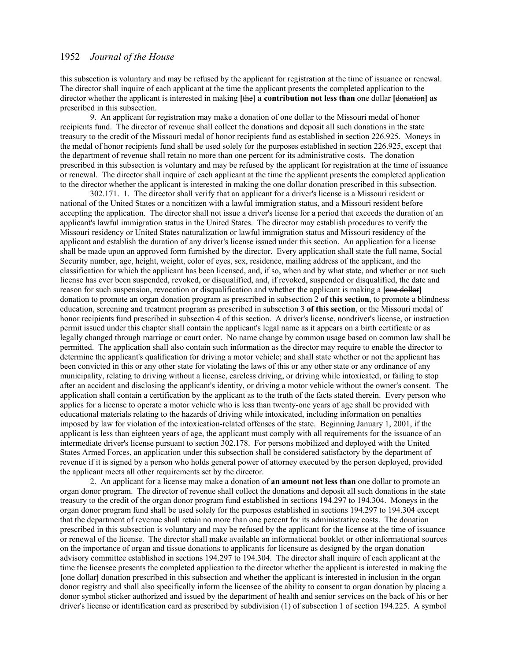this subsection is voluntary and may be refused by the applicant for registration at the time of issuance or renewal. The director shall inquire of each applicant at the time the applicant presents the completed application to the director whether the applicant is interested in making **[**the**] a contribution not less than** one dollar **[**donation**] as** prescribed in this subsection.

9. An applicant for registration may make a donation of one dollar to the Missouri medal of honor recipients fund. The director of revenue shall collect the donations and deposit all such donations in the state treasury to the credit of the Missouri medal of honor recipients fund as established in section 226.925. Moneys in the medal of honor recipients fund shall be used solely for the purposes established in section 226.925, except that the department of revenue shall retain no more than one percent for its administrative costs. The donation prescribed in this subsection is voluntary and may be refused by the applicant for registration at the time of issuance or renewal. The director shall inquire of each applicant at the time the applicant presents the completed application to the director whether the applicant is interested in making the one dollar donation prescribed in this subsection.

302.171. 1. The director shall verify that an applicant for a driver's license is a Missouri resident or national of the United States or a noncitizen with a lawful immigration status, and a Missouri resident before accepting the application. The director shall not issue a driver's license for a period that exceeds the duration of an applicant's lawful immigration status in the United States. The director may establish procedures to verify the Missouri residency or United States naturalization or lawful immigration status and Missouri residency of the applicant and establish the duration of any driver's license issued under this section. An application for a license shall be made upon an approved form furnished by the director. Every application shall state the full name, Social Security number, age, height, weight, color of eyes, sex, residence, mailing address of the applicant, and the classification for which the applicant has been licensed, and, if so, when and by what state, and whether or not such license has ever been suspended, revoked, or disqualified, and, if revoked, suspended or disqualified, the date and reason for such suspension, revocation or disqualification and whether the applicant is making a **[**one dollar**]** donation to promote an organ donation program as prescribed in subsection 2 **of this section**, to promote a blindness education, screening and treatment program as prescribed in subsection 3 **of this section**, or the Missouri medal of honor recipients fund prescribed in subsection 4 of this section. A driver's license, nondriver's license, or instruction permit issued under this chapter shall contain the applicant's legal name as it appears on a birth certificate or as legally changed through marriage or court order. No name change by common usage based on common law shall be permitted. The application shall also contain such information as the director may require to enable the director to determine the applicant's qualification for driving a motor vehicle; and shall state whether or not the applicant has been convicted in this or any other state for violating the laws of this or any other state or any ordinance of any municipality, relating to driving without a license, careless driving, or driving while intoxicated, or failing to stop after an accident and disclosing the applicant's identity, or driving a motor vehicle without the owner's consent. The application shall contain a certification by the applicant as to the truth of the facts stated therein. Every person who applies for a license to operate a motor vehicle who is less than twenty-one years of age shall be provided with educational materials relating to the hazards of driving while intoxicated, including information on penalties imposed by law for violation of the intoxication-related offenses of the state. Beginning January 1, 2001, if the applicant is less than eighteen years of age, the applicant must comply with all requirements for the issuance of an intermediate driver's license pursuant to section 302.178. For persons mobilized and deployed with the United States Armed Forces, an application under this subsection shall be considered satisfactory by the department of revenue if it is signed by a person who holds general power of attorney executed by the person deployed, provided the applicant meets all other requirements set by the director.

2. An applicant for a license may make a donation of **an amount not less than** one dollar to promote an organ donor program. The director of revenue shall collect the donations and deposit all such donations in the state treasury to the credit of the organ donor program fund established in sections 194.297 to 194.304. Moneys in the organ donor program fund shall be used solely for the purposes established in sections 194.297 to 194.304 except that the department of revenue shall retain no more than one percent for its administrative costs. The donation prescribed in this subsection is voluntary and may be refused by the applicant for the license at the time of issuance or renewal of the license. The director shall make available an informational booklet or other informational sources on the importance of organ and tissue donations to applicants for licensure as designed by the organ donation advisory committee established in sections 194.297 to 194.304. The director shall inquire of each applicant at the time the licensee presents the completed application to the director whether the applicant is interested in making the **[**one dollar**]** donation prescribed in this subsection and whether the applicant is interested in inclusion in the organ donor registry and shall also specifically inform the licensee of the ability to consent to organ donation by placing a donor symbol sticker authorized and issued by the department of health and senior services on the back of his or her driver's license or identification card as prescribed by subdivision (1) of subsection 1 of section 194.225. A symbol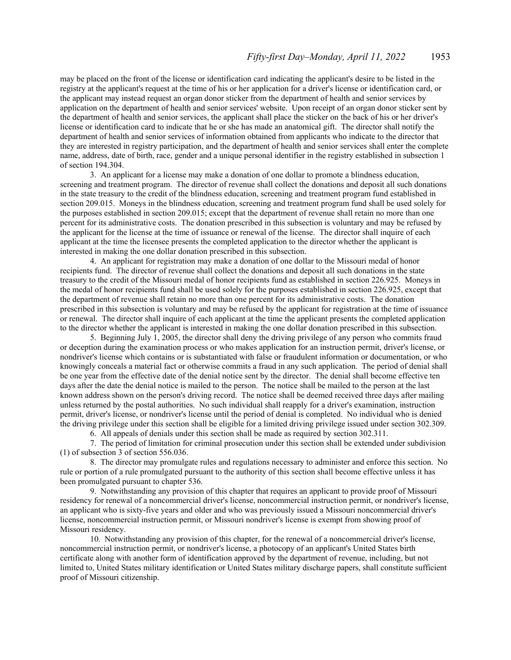may be placed on the front of the license or identification card indicating the applicant's desire to be listed in the registry at the applicant's request at the time of his or her application for a driver's license or identification card, or the applicant may instead request an organ donor sticker from the department of health and senior services by application on the department of health and senior services' website. Upon receipt of an organ donor sticker sent by the department of health and senior services, the applicant shall place the sticker on the back of his or her driver's license or identification card to indicate that he or she has made an anatomical gift. The director shall notify the department of health and senior services of information obtained from applicants who indicate to the director that they are interested in registry participation, and the department of health and senior services shall enter the complete name, address, date of birth, race, gender and a unique personal identifier in the registry established in subsection 1 of section 194.304.

3. An applicant for a license may make a donation of one dollar to promote a blindness education, screening and treatment program. The director of revenue shall collect the donations and deposit all such donations in the state treasury to the credit of the blindness education, screening and treatment program fund established in section 209.015. Moneys in the blindness education, screening and treatment program fund shall be used solely for the purposes established in section 209.015; except that the department of revenue shall retain no more than one percent for its administrative costs. The donation prescribed in this subsection is voluntary and may be refused by the applicant for the license at the time of issuance or renewal of the license. The director shall inquire of each applicant at the time the licensee presents the completed application to the director whether the applicant is interested in making the one dollar donation prescribed in this subsection.

4. An applicant for registration may make a donation of one dollar to the Missouri medal of honor recipients fund. The director of revenue shall collect the donations and deposit all such donations in the state treasury to the credit of the Missouri medal of honor recipients fund as established in section 226.925. Moneys in the medal of honor recipients fund shall be used solely for the purposes established in section 226.925, except that the department of revenue shall retain no more than one percent for its administrative costs. The donation prescribed in this subsection is voluntary and may be refused by the applicant for registration at the time of issuance or renewal. The director shall inquire of each applicant at the time the applicant presents the completed application to the director whether the applicant is interested in making the one dollar donation prescribed in this subsection.

5. Beginning July 1, 2005, the director shall deny the driving privilege of any person who commits fraud or deception during the examination process or who makes application for an instruction permit, driver's license, or nondriver's license which contains or is substantiated with false or fraudulent information or documentation, or who knowingly conceals a material fact or otherwise commits a fraud in any such application. The period of denial shall be one year from the effective date of the denial notice sent by the director. The denial shall become effective ten days after the date the denial notice is mailed to the person. The notice shall be mailed to the person at the last known address shown on the person's driving record. The notice shall be deemed received three days after mailing unless returned by the postal authorities. No such individual shall reapply for a driver's examination, instruction permit, driver's license, or nondriver's license until the period of denial is completed. No individual who is denied the driving privilege under this section shall be eligible for a limited driving privilege issued under section 302.309.

6. All appeals of denials under this section shall be made as required by section 302.311.

7. The period of limitation for criminal prosecution under this section shall be extended under subdivision (1) of subsection 3 of section 556.036.

8. The director may promulgate rules and regulations necessary to administer and enforce this section. No rule or portion of a rule promulgated pursuant to the authority of this section shall become effective unless it has been promulgated pursuant to chapter 536.

9. Notwithstanding any provision of this chapter that requires an applicant to provide proof of Missouri residency for renewal of a noncommercial driver's license, noncommercial instruction permit, or nondriver's license, an applicant who is sixty-five years and older and who was previously issued a Missouri noncommercial driver's license, noncommercial instruction permit, or Missouri nondriver's license is exempt from showing proof of Missouri residency.

10. Notwithstanding any provision of this chapter, for the renewal of a noncommercial driver's license, noncommercial instruction permit, or nondriver's license, a photocopy of an applicant's United States birth certificate along with another form of identification approved by the department of revenue, including, but not limited to, United States military identification or United States military discharge papers, shall constitute sufficient proof of Missouri citizenship.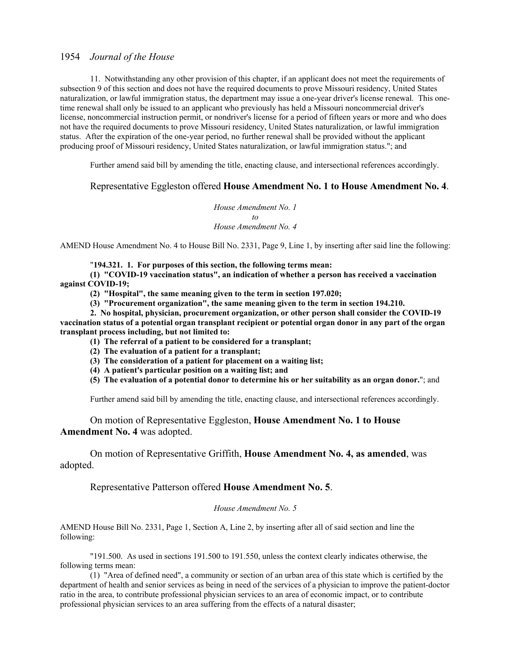11. Notwithstanding any other provision of this chapter, if an applicant does not meet the requirements of subsection 9 of this section and does not have the required documents to prove Missouri residency, United States naturalization, or lawful immigration status, the department may issue a one-year driver's license renewal. This onetime renewal shall only be issued to an applicant who previously has held a Missouri noncommercial driver's license, noncommercial instruction permit, or nondriver's license for a period of fifteen years or more and who does not have the required documents to prove Missouri residency, United States naturalization, or lawful immigration status. After the expiration of the one-year period, no further renewal shall be provided without the applicant producing proof of Missouri residency, United States naturalization, or lawful immigration status."; and

Further amend said bill by amending the title, enacting clause, and intersectional references accordingly.

# Representative Eggleston offered **House Amendment No. 1 to House Amendment No. 4**.

*House Amendment No. 1 to House Amendment No. 4*

AMEND House Amendment No. 4 to House Bill No. 2331, Page 9, Line 1, by inserting after said line the following:

"**194.321. 1. For purposes of this section, the following terms mean:**

**(1) "COVID-19 vaccination status", an indication of whether a person has received a vaccination against COVID-19;**

- **(2) "Hospital", the same meaning given to the term in section 197.020;**
- **(3) "Procurement organization", the same meaning given to the term in section 194.210.**

**2. No hospital, physician, procurement organization, or other person shall consider the COVID-19 vaccination status of a potential organ transplant recipient or potential organ donor in any part of the organ transplant process including, but not limited to:**

- **(1) The referral of a patient to be considered for a transplant;**
- **(2) The evaluation of a patient for a transplant;**
- **(3) The consideration of a patient for placement on a waiting list;**
- **(4) A patient's particular position on a waiting list; and**
- **(5) The evaluation of a potential donor to determine his or her suitability as an organ donor.**"; and

Further amend said bill by amending the title, enacting clause, and intersectional references accordingly.

# On motion of Representative Eggleston, **House Amendment No. 1 to House Amendment No. 4** was adopted.

 On motion of Representative Griffith, **House Amendment No. 4, as amended**, was adopted.

# Representative Patterson offered **House Amendment No. 5**.

## *House Amendment No. 5*

AMEND House Bill No. 2331, Page 1, Section A, Line 2, by inserting after all of said section and line the following:

"191.500. As used in sections 191.500 to 191.550, unless the context clearly indicates otherwise, the following terms mean:

(1) "Area of defined need", a community or section of an urban area of this state which is certified by the department of health and senior services as being in need of the services of a physician to improve the patient-doctor ratio in the area, to contribute professional physician services to an area of economic impact, or to contribute professional physician services to an area suffering from the effects of a natural disaster;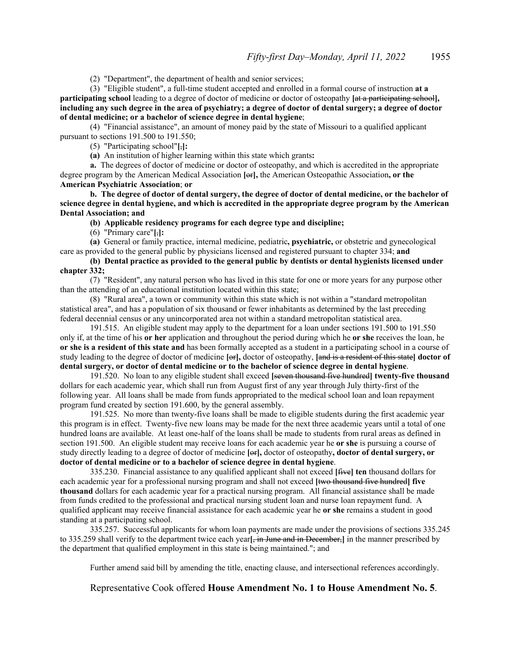(2) "Department", the department of health and senior services;

(3) "Eligible student", a full-time student accepted and enrolled in a formal course of instruction **at a participating school** leading to a degree of doctor of medicine or doctor of osteopathy **[**at a participating school**], including any such degree in the area of psychiatry; a degree of doctor of dental surgery; a degree of doctor of dental medicine; or a bachelor of science degree in dental hygiene**;

(4) "Financial assistance", an amount of money paid by the state of Missouri to a qualified applicant pursuant to sections 191.500 to 191.550;

(5) "Participating school"**[**,**]:**

**(a)** An institution of higher learning within this state which grants**:**

**a.** The degrees of doctor of medicine or doctor of osteopathy, and which is accredited in the appropriate degree program by the American Medical Association **[**or**],** the American Osteopathic Association**, or the American Psychiatric Association**; **or**

**b. The degree of doctor of dental surgery, the degree of doctor of dental medicine, or the bachelor of science degree in dental hygiene, and which is accredited in the appropriate degree program by the American Dental Association; and**

**(b) Applicable residency programs for each degree type and discipline;**

(6) "Primary care"**[**,**]:**

**(a)** General or family practice, internal medicine, pediatric**, psychiatric,** or obstetric and gynecological care as provided to the general public by physicians licensed and registered pursuant to chapter 334; **and**

# **(b) Dental practice as provided to the general public by dentists or dental hygienists licensed under chapter 332;**

(7) "Resident", any natural person who has lived in this state for one or more years for any purpose other than the attending of an educational institution located within this state;

(8) "Rural area", a town or community within this state which is not within a "standard metropolitan statistical area", and has a population of six thousand or fewer inhabitants as determined by the last preceding federal decennial census or any unincorporated area not within a standard metropolitan statistical area.

191.515. An eligible student may apply to the department for a loan under sections 191.500 to 191.550 only if, at the time of his **or her** application and throughout the period during which he **or she** receives the loan, he **or she is a resident of this state and** has been formally accepted as a student in a participating school in a course of study leading to the degree of doctor of medicine **[**or**],** doctor of osteopathy, **[**and is a resident of this state**] doctor of dental surgery, or doctor of dental medicine or to the bachelor of science degree in dental hygiene**.

191.520. No loan to any eligible student shall exceed **[**seven thousand five hundred**] twenty-five thousand** dollars for each academic year, which shall run from August first of any year through July thirty-first of the following year. All loans shall be made from funds appropriated to the medical school loan and loan repayment program fund created by section 191.600, by the general assembly.

191.525. No more than twenty-five loans shall be made to eligible students during the first academic year this program is in effect. Twenty-five new loans may be made for the next three academic years until a total of one hundred loans are available. At least one-half of the loans shall be made to students from rural areas as defined in section 191.500. An eligible student may receive loans for each academic year he **or she** is pursuing a course of study directly leading to a degree of doctor of medicine **[**or**],** doctor of osteopathy**, doctor of dental surgery, or doctor of dental medicine or to a bachelor of science degree in dental hygiene**.

335.230. Financial assistance to any qualified applicant shall not exceed **[**five**] ten** thousand dollars for each academic year for a professional nursing program and shall not exceed **[**two thousand five hundred**] five thousand** dollars for each academic year for a practical nursing program. All financial assistance shall be made from funds credited to the professional and practical nursing student loan and nurse loan repayment fund. A qualified applicant may receive financial assistance for each academic year he **or she** remains a student in good standing at a participating school.

335.257. Successful applicants for whom loan payments are made under the provisions of sections 335.245 to 335.259 shall verify to the department twice each year**[**, in June and in December,**]** in the manner prescribed by the department that qualified employment in this state is being maintained."; and

Further amend said bill by amending the title, enacting clause, and intersectional references accordingly.

Representative Cook offered **House Amendment No. 1 to House Amendment No. 5**.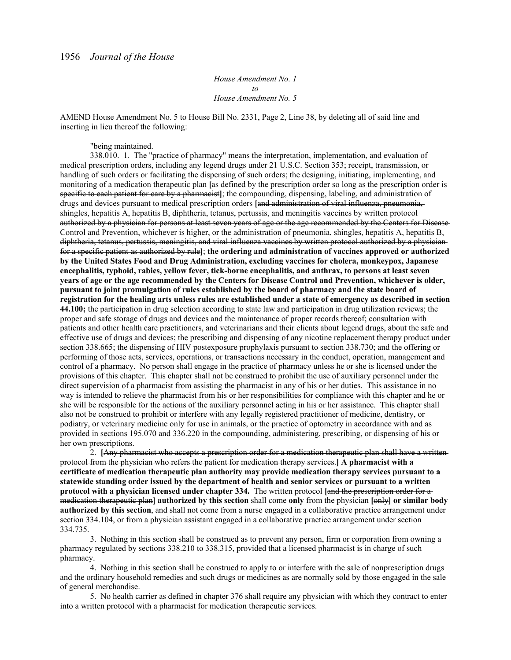*House Amendment No. 1 to House Amendment No. 5*

AMEND House Amendment No. 5 to House Bill No. 2331, Page 2, Line 38, by deleting all of said line and inserting in lieu thereof the following:

"being maintained.

338.010. 1. The "practice of pharmacy" means the interpretation, implementation, and evaluation of medical prescription orders, including any legend drugs under 21 U.S.C. Section 353; receipt, transmission, or handling of such orders or facilitating the dispensing of such orders; the designing, initiating, implementing, and monitoring of a medication therapeutic plan **[**as defined by the prescription order so long as the prescription order is specific to each patient for care by a pharmacist**]**; the compounding, dispensing, labeling, and administration of drugs and devices pursuant to medical prescription orders **[**and administration of viral influenza, pneumonia, shingles, hepatitis A, hepatitis B, diphtheria, tetanus, pertussis, and meningitis vaccines by written protocol authorized by a physician for persons at least seven years of age or the age recommended by the Centers for Disease Control and Prevention, whichever is higher, or the administration of pneumonia, shingles, hepatitis A, hepatitis B, diphtheria, tetanus, pertussis, meningitis, and viral influenza vaccines by written protocol authorized by a physician for a specific patient as authorized by rule**]**; **the ordering and administration of vaccines approved or authorized by the United States Food and Drug Administration, excluding vaccines for cholera, monkeypox, Japanese encephalitis, typhoid, rabies, yellow fever, tick-borne encephalitis, and anthrax, to persons at least seven years of age or the age recommended by the Centers for Disease Control and Prevention, whichever is older, pursuant to joint promulgation of rules established by the board of pharmacy and the state board of registration for the healing arts unless rules are established under a state of emergency as described in section 44.100;** the participation in drug selection according to state law and participation in drug utilization reviews; the proper and safe storage of drugs and devices and the maintenance of proper records thereof; consultation with patients and other health care practitioners, and veterinarians and their clients about legend drugs, about the safe and effective use of drugs and devices; the prescribing and dispensing of any nicotine replacement therapy product under section 338.665; the dispensing of HIV postexposure prophylaxis pursuant to section 338.730; and the offering or performing of those acts, services, operations, or transactions necessary in the conduct, operation, management and control of a pharmacy. No person shall engage in the practice of pharmacy unless he or she is licensed under the provisions of this chapter. This chapter shall not be construed to prohibit the use of auxiliary personnel under the direct supervision of a pharmacist from assisting the pharmacist in any of his or her duties. This assistance in no way is intended to relieve the pharmacist from his or her responsibilities for compliance with this chapter and he or she will be responsible for the actions of the auxiliary personnel acting in his or her assistance. This chapter shall also not be construed to prohibit or interfere with any legally registered practitioner of medicine, dentistry, or podiatry, or veterinary medicine only for use in animals, or the practice of optometry in accordance with and as provided in sections 195.070 and 336.220 in the compounding, administering, prescribing, or dispensing of his or her own prescriptions.

2. **[**Any pharmacist who accepts a prescription order for a medication therapeutic plan shall have a written protocol from the physician who refers the patient for medication therapy services.**] A pharmacist with a certificate of medication therapeutic plan authority may provide medication therapy services pursuant to a statewide standing order issued by the department of health and senior services or pursuant to a written protocol with a physician licensed under chapter 334.** The written protocol **[**and the prescription order for a medication therapeutic plan**] authorized by this section** shall come **only** from the physician **[**only**] or similar body authorized by this section**, and shall not come from a nurse engaged in a collaborative practice arrangement under section 334.104, or from a physician assistant engaged in a collaborative practice arrangement under section 334.735.

3. Nothing in this section shall be construed as to prevent any person, firm or corporation from owning a pharmacy regulated by sections 338.210 to 338.315, provided that a licensed pharmacist is in charge of such pharmacy.

4. Nothing in this section shall be construed to apply to or interfere with the sale of nonprescription drugs and the ordinary household remedies and such drugs or medicines as are normally sold by those engaged in the sale of general merchandise.

5. No health carrier as defined in chapter 376 shall require any physician with which they contract to enter into a written protocol with a pharmacist for medication therapeutic services.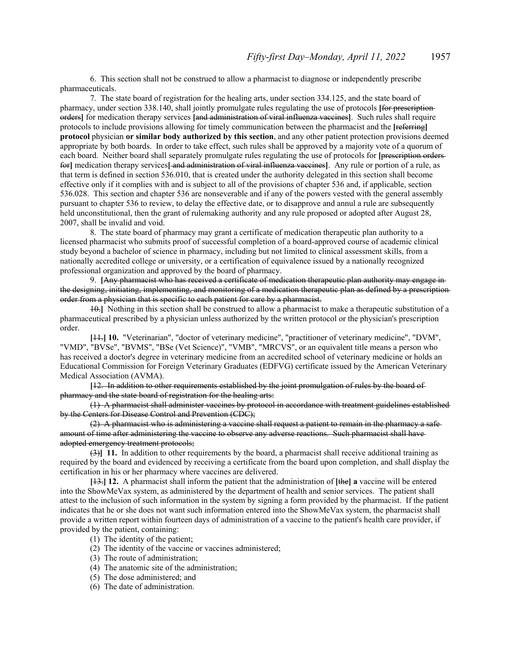6. This section shall not be construed to allow a pharmacist to diagnose or independently prescribe pharmaceuticals.

7. The state board of registration for the healing arts, under section 334.125, and the state board of pharmacy, under section 338.140, shall jointly promulgate rules regulating the use of protocols **[**for prescription orders**]** for medication therapy services **[**and administration of viral influenza vaccines**]**. Such rules shall require protocols to include provisions allowing for timely communication between the pharmacist and the **[**referring**] protocol** physician **or similar body authorized by this section**, and any other patient protection provisions deemed appropriate by both boards. In order to take effect, such rules shall be approved by a majority vote of a quorum of each board. Neither board shall separately promulgate rules regulating the use of protocols for [*prescription orders*for**]** medication therapy services**[** and administration of viral influenza vaccines**]**. Any rule or portion of a rule, as that term is defined in section 536.010, that is created under the authority delegated in this section shall become effective only if it complies with and is subject to all of the provisions of chapter 536 and, if applicable, section 536.028. This section and chapter 536 are nonseverable and if any of the powers vested with the general assembly pursuant to chapter 536 to review, to delay the effective date, or to disapprove and annul a rule are subsequently held unconstitutional, then the grant of rulemaking authority and any rule proposed or adopted after August 28, 2007, shall be invalid and void.

8. The state board of pharmacy may grant a certificate of medication therapeutic plan authority to a licensed pharmacist who submits proof of successful completion of a board-approved course of academic clinical study beyond a bachelor of science in pharmacy, including but not limited to clinical assessment skills, from a nationally accredited college or university, or a certification of equivalence issued by a nationally recognized professional organization and approved by the board of pharmacy.

9. **[**Any pharmacist who has received a certificate of medication therapeutic plan authority may engage in the designing, initiating, implementing, and monitoring of a medication therapeutic plan as defined by a prescription order from a physician that is specific to each patient for care by a pharmacist.

10.**]** Nothing in this section shall be construed to allow a pharmacist to make a therapeutic substitution of a pharmaceutical prescribed by a physician unless authorized by the written protocol or the physician's prescription order.

**[**11.**] 10.** "Veterinarian", "doctor of veterinary medicine", "practitioner of veterinary medicine", "DVM", "VMD", "BVSe", "BVMS", "BSe (Vet Science)", "VMB", "MRCVS", or an equivalent title means a person who has received a doctor's degree in veterinary medicine from an accredited school of veterinary medicine or holds an Educational Commission for Foreign Veterinary Graduates (EDFVG) certificate issued by the American Veterinary Medical Association (AVMA).

**[**12. In addition to other requirements established by the joint promulgation of rules by the board of pharmacy and the state board of registration for the healing arts:

(1) A pharmacist shall administer vaccines by protocol in accordance with treatment guidelines established by the Centers for Disease Control and Prevention (CDC);

(2) A pharmacist who is administering a vaccine shall request a patient to remain in the pharmacy a safe amount of time after administering the vaccine to observe any adverse reactions. Such pharmacist shall have adopted emergency treatment protocols;

(3)**] 11.** In addition to other requirements by the board, a pharmacist shall receive additional training as required by the board and evidenced by receiving a certificate from the board upon completion, and shall display the certification in his or her pharmacy where vaccines are delivered.

**[**13.**] 12.** A pharmacist shall inform the patient that the administration of **[**the**] a** vaccine will be entered into the ShowMeVax system, as administered by the department of health and senior services. The patient shall attest to the inclusion of such information in the system by signing a form provided by the pharmacist. If the patient indicates that he or she does not want such information entered into the ShowMeVax system, the pharmacist shall provide a written report within fourteen days of administration of a vaccine to the patient's health care provider, if provided by the patient, containing:

- (1) The identity of the patient;
- (2) The identity of the vaccine or vaccines administered;
- (3) The route of administration;
- (4) The anatomic site of the administration;
- (5) The dose administered; and
- (6) The date of administration.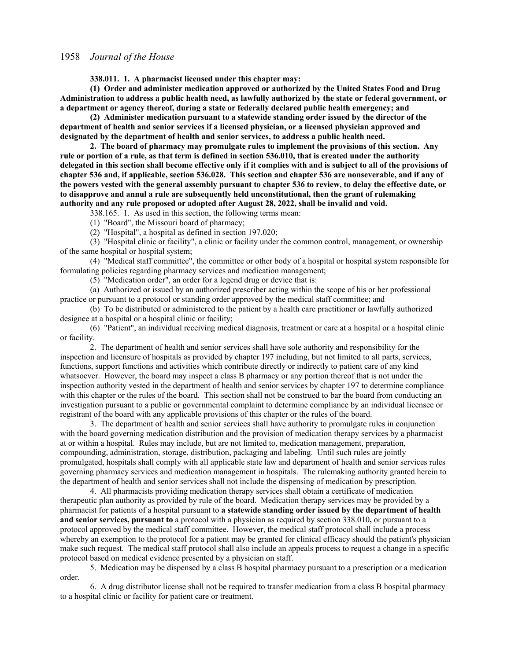**338.011. 1. A pharmacist licensed under this chapter may:**

**(1) Order and administer medication approved or authorized by the United States Food and Drug Administration to address a public health need, as lawfully authorized by the state or federal government, or a department or agency thereof, during a state or federally declared public health emergency; and**

**(2) Administer medication pursuant to a statewide standing order issued by the director of the department of health and senior services if a licensed physician, or a licensed physician approved and designated by the department of health and senior services, to address a public health need.**

**2. The board of pharmacy may promulgate rules to implement the provisions of this section. Any rule or portion of a rule, as that term is defined in section 536.010, that is created under the authority delegated in this section shall become effective only if it complies with and is subject to all of the provisions of chapter 536 and, if applicable, section 536.028. This section and chapter 536 are nonseverable, and if any of the powers vested with the general assembly pursuant to chapter 536 to review, to delay the effective date, or to disapprove and annul a rule are subsequently held unconstitutional, then the grant of rulemaking authority and any rule proposed or adopted after August 28, 2022, shall be invalid and void.**

338.165. 1. As used in this section, the following terms mean:

(1) "Board", the Missouri board of pharmacy;

(2) "Hospital", a hospital as defined in section 197.020;

(3) "Hospital clinic or facility", a clinic or facility under the common control, management, or ownership of the same hospital or hospital system;

(4) "Medical staff committee", the committee or other body of a hospital or hospital system responsible for formulating policies regarding pharmacy services and medication management;

(5) "Medication order", an order for a legend drug or device that is:

(a) Authorized or issued by an authorized prescriber acting within the scope of his or her professional practice or pursuant to a protocol or standing order approved by the medical staff committee; and

(b) To be distributed or administered to the patient by a health care practitioner or lawfully authorized designee at a hospital or a hospital clinic or facility;

(6) "Patient", an individual receiving medical diagnosis, treatment or care at a hospital or a hospital clinic or facility.

2. The department of health and senior services shall have sole authority and responsibility for the inspection and licensure of hospitals as provided by chapter 197 including, but not limited to all parts, services, functions, support functions and activities which contribute directly or indirectly to patient care of any kind whatsoever. However, the board may inspect a class B pharmacy or any portion thereof that is not under the inspection authority vested in the department of health and senior services by chapter 197 to determine compliance with this chapter or the rules of the board. This section shall not be construed to bar the board from conducting an investigation pursuant to a public or governmental complaint to determine compliance by an individual licensee or registrant of the board with any applicable provisions of this chapter or the rules of the board.

3. The department of health and senior services shall have authority to promulgate rules in conjunction with the board governing medication distribution and the provision of medication therapy services by a pharmacist at or within a hospital. Rules may include, but are not limited to, medication management, preparation, compounding, administration, storage, distribution, packaging and labeling. Until such rules are jointly promulgated, hospitals shall comply with all applicable state law and department of health and senior services rules governing pharmacy services and medication management in hospitals. The rulemaking authority granted herein to the department of health and senior services shall not include the dispensing of medication by prescription.

4. All pharmacists providing medication therapy services shall obtain a certificate of medication therapeutic plan authority as provided by rule of the board. Medication therapy services may be provided by a pharmacist for patients of a hospital pursuant to **a statewide standing order issued by the department of health and senior services, pursuant to** a protocol with a physician as required by section 338.010**,** or pursuant to a protocol approved by the medical staff committee. However, the medical staff protocol shall include a process whereby an exemption to the protocol for a patient may be granted for clinical efficacy should the patient's physician make such request. The medical staff protocol shall also include an appeals process to request a change in a specific protocol based on medical evidence presented by a physician on staff.

5. Medication may be dispensed by a class B hospital pharmacy pursuant to a prescription or a medication order.

6. A drug distributor license shall not be required to transfer medication from a class B hospital pharmacy to a hospital clinic or facility for patient care or treatment.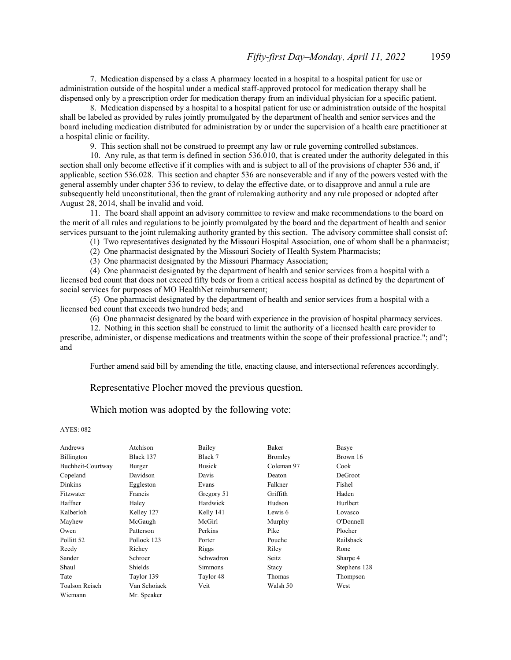7. Medication dispensed by a class A pharmacy located in a hospital to a hospital patient for use or administration outside of the hospital under a medical staff-approved protocol for medication therapy shall be dispensed only by a prescription order for medication therapy from an individual physician for a specific patient.

8. Medication dispensed by a hospital to a hospital patient for use or administration outside of the hospital shall be labeled as provided by rules jointly promulgated by the department of health and senior services and the board including medication distributed for administration by or under the supervision of a health care practitioner at a hospital clinic or facility.

9. This section shall not be construed to preempt any law or rule governing controlled substances.

10. Any rule, as that term is defined in section 536.010, that is created under the authority delegated in this section shall only become effective if it complies with and is subject to all of the provisions of chapter 536 and, if applicable, section 536.028. This section and chapter 536 are nonseverable and if any of the powers vested with the general assembly under chapter 536 to review, to delay the effective date, or to disapprove and annul a rule are subsequently held unconstitutional, then the grant of rulemaking authority and any rule proposed or adopted after August 28, 2014, shall be invalid and void.

11. The board shall appoint an advisory committee to review and make recommendations to the board on the merit of all rules and regulations to be jointly promulgated by the board and the department of health and senior services pursuant to the joint rulemaking authority granted by this section. The advisory committee shall consist of:

(1) Two representatives designated by the Missouri Hospital Association, one of whom shall be a pharmacist;

(2) One pharmacist designated by the Missouri Society of Health System Pharmacists;

(3) One pharmacist designated by the Missouri Pharmacy Association;

(4) One pharmacist designated by the department of health and senior services from a hospital with a licensed bed count that does not exceed fifty beds or from a critical access hospital as defined by the department of social services for purposes of MO HealthNet reimbursement;

(5) One pharmacist designated by the department of health and senior services from a hospital with a licensed bed count that exceeds two hundred beds; and

(6) One pharmacist designated by the board with experience in the provision of hospital pharmacy services.

12. Nothing in this section shall be construed to limit the authority of a licensed health care provider to prescribe, administer, or dispense medications and treatments within the scope of their professional practice."; and"; and

Further amend said bill by amending the title, enacting clause, and intersectional references accordingly.

Representative Plocher moved the previous question.

Which motion was adopted by the following vote:

#### AYES: 082

| Andrews               | Atchison     | Bailey        | Baker      | Basye        |
|-----------------------|--------------|---------------|------------|--------------|
| Billington            | Black 137    | Black 7       | Bromley    | Brown 16     |
| Buchheit-Courtway     | Burger       | <b>Busick</b> | Coleman 97 | Cook         |
| Copeland              | Davidson     | Davis         | Deaton     | DeGroot      |
| <b>Dinkins</b>        | Eggleston    | Evans         | Falkner    | Fishel       |
| Fitzwater             | Francis      | Gregory 51    | Griffith   | Haden        |
| Haffner               | Haley        | Hardwick      | Hudson     | Hurlbert     |
| Kalberloh             | Kelley 127   | Kelly 141     | Lewis 6    | Lovasco      |
| Mayhew                | McGaugh      | McGirl        | Murphy     | O'Donnell    |
| Owen                  | Patterson    | Perkins       | Pike       | Plocher      |
| Pollitt <sub>52</sub> | Pollock 123  | Porter        | Pouche     | Railsback    |
| Reedy                 | Richey       | Riggs         | Riley      | Rone         |
| Sander                | Schroer      | Schwadron     | Seitz      | Sharpe 4     |
| Shaul                 | Shields      | Simmons       | Stacy      | Stephens 128 |
| Tate                  | Taylor 139   | Taylor 48     | Thomas     | Thompson     |
| Toalson Reisch        | Van Schoiack | Veit          | Walsh 50   | West         |
| Wiemann               | Mr. Speaker  |               |            |              |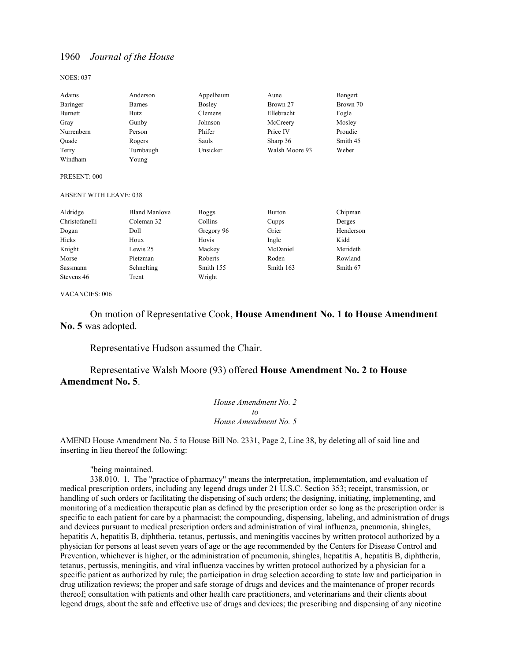NOES: 037

| Adams      | Anderson  | Appelbaum | Aune           | Bangert  |
|------------|-----------|-----------|----------------|----------|
| Baringer   | Barnes    | Bosley    | Brown 27       | Brown 70 |
| Burnett    | Butz      | Clemens   | Ellebracht     | Fogle    |
| Gray       | Gunby     | Johnson   | McCreery       | Mosley   |
| Nurrenbern | Person    | Phifer    | Price IV       | Proudie  |
| Ouade      | Rogers    | Sauls     | Sharp 36       | Smith 45 |
| Terry      | Turnbaugh | Unsicker  | Walsh Moore 93 | Weber    |
| Windham    | Young     |           |                |          |

#### PRESENT: 000

#### ABSENT WITH LEAVE: 038

| Aldridge       | <b>Bland Manlove</b> | <b>Boggs</b> | <b>Burton</b> | Chipman   |
|----------------|----------------------|--------------|---------------|-----------|
| Christofanelli | Coleman 32           | Collins      | Cupps         | Derges    |
| Dogan          | Doll                 | Gregory 96   | Grier         | Henderson |
| Hicks          | Houx                 | Hovis        | Ingle         | Kidd      |
| Knight         | Lewis 25             | Mackey       | McDaniel      | Merideth  |
| Morse          | Pietzman             | Roberts      | Roden         | Rowland   |
| Sassmann       | Schnelting           | Smith 155    | Smith 163     | Smith 67  |
| Stevens 46     | Trent                | Wright       |               |           |

#### VACANCIES: 006

 On motion of Representative Cook, **House Amendment No. 1 to House Amendment No. 5** was adopted.

Representative Hudson assumed the Chair.

# Representative Walsh Moore (93) offered **House Amendment No. 2 to House Amendment No. 5**.

*House Amendment No. 2 to House Amendment No. 5*

AMEND House Amendment No. 5 to House Bill No. 2331, Page 2, Line 38, by deleting all of said line and inserting in lieu thereof the following:

"being maintained.

338.010. 1. The "practice of pharmacy" means the interpretation, implementation, and evaluation of medical prescription orders, including any legend drugs under 21 U.S.C. Section 353; receipt, transmission, or handling of such orders or facilitating the dispensing of such orders; the designing, initiating, implementing, and monitoring of a medication therapeutic plan as defined by the prescription order so long as the prescription order is specific to each patient for care by a pharmacist; the compounding, dispensing, labeling, and administration of drugs and devices pursuant to medical prescription orders and administration of viral influenza, pneumonia, shingles, hepatitis A, hepatitis B, diphtheria, tetanus, pertussis, and meningitis vaccines by written protocol authorized by a physician for persons at least seven years of age or the age recommended by the Centers for Disease Control and Prevention, whichever is higher, or the administration of pneumonia, shingles, hepatitis A, hepatitis B, diphtheria, tetanus, pertussis, meningitis, and viral influenza vaccines by written protocol authorized by a physician for a specific patient as authorized by rule; the participation in drug selection according to state law and participation in drug utilization reviews; the proper and safe storage of drugs and devices and the maintenance of proper records thereof; consultation with patients and other health care practitioners, and veterinarians and their clients about legend drugs, about the safe and effective use of drugs and devices; the prescribing and dispensing of any nicotine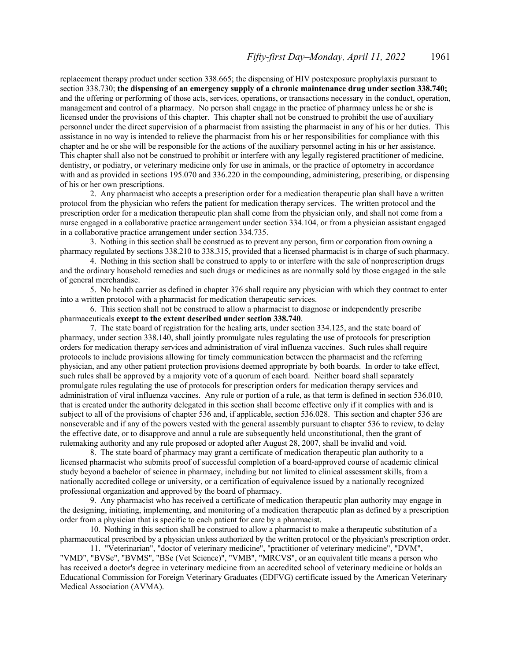replacement therapy product under section 338.665; the dispensing of HIV postexposure prophylaxis pursuant to section 338.730; **the dispensing of an emergency supply of a chronic maintenance drug under section 338.740;** and the offering or performing of those acts, services, operations, or transactions necessary in the conduct, operation, management and control of a pharmacy. No person shall engage in the practice of pharmacy unless he or she is licensed under the provisions of this chapter. This chapter shall not be construed to prohibit the use of auxiliary personnel under the direct supervision of a pharmacist from assisting the pharmacist in any of his or her duties. This assistance in no way is intended to relieve the pharmacist from his or her responsibilities for compliance with this chapter and he or she will be responsible for the actions of the auxiliary personnel acting in his or her assistance. This chapter shall also not be construed to prohibit or interfere with any legally registered practitioner of medicine, dentistry, or podiatry, or veterinary medicine only for use in animals, or the practice of optometry in accordance with and as provided in sections 195.070 and 336.220 in the compounding, administering, prescribing, or dispensing of his or her own prescriptions.

2. Any pharmacist who accepts a prescription order for a medication therapeutic plan shall have a written protocol from the physician who refers the patient for medication therapy services. The written protocol and the prescription order for a medication therapeutic plan shall come from the physician only, and shall not come from a nurse engaged in a collaborative practice arrangement under section 334.104, or from a physician assistant engaged in a collaborative practice arrangement under section 334.735.

3. Nothing in this section shall be construed as to prevent any person, firm or corporation from owning a pharmacy regulated by sections 338.210 to 338.315, provided that a licensed pharmacist is in charge of such pharmacy.

4. Nothing in this section shall be construed to apply to or interfere with the sale of nonprescription drugs and the ordinary household remedies and such drugs or medicines as are normally sold by those engaged in the sale of general merchandise.

5. No health carrier as defined in chapter 376 shall require any physician with which they contract to enter into a written protocol with a pharmacist for medication therapeutic services.

6. This section shall not be construed to allow a pharmacist to diagnose or independently prescribe pharmaceuticals **except to the extent described under section 338.740**.

7. The state board of registration for the healing arts, under section 334.125, and the state board of pharmacy, under section 338.140, shall jointly promulgate rules regulating the use of protocols for prescription orders for medication therapy services and administration of viral influenza vaccines. Such rules shall require protocols to include provisions allowing for timely communication between the pharmacist and the referring physician, and any other patient protection provisions deemed appropriate by both boards. In order to take effect, such rules shall be approved by a majority vote of a quorum of each board. Neither board shall separately promulgate rules regulating the use of protocols for prescription orders for medication therapy services and administration of viral influenza vaccines. Any rule or portion of a rule, as that term is defined in section 536.010, that is created under the authority delegated in this section shall become effective only if it complies with and is subject to all of the provisions of chapter 536 and, if applicable, section 536.028. This section and chapter 536 are nonseverable and if any of the powers vested with the general assembly pursuant to chapter 536 to review, to delay the effective date, or to disapprove and annul a rule are subsequently held unconstitutional, then the grant of rulemaking authority and any rule proposed or adopted after August 28, 2007, shall be invalid and void.

8. The state board of pharmacy may grant a certificate of medication therapeutic plan authority to a licensed pharmacist who submits proof of successful completion of a board-approved course of academic clinical study beyond a bachelor of science in pharmacy, including but not limited to clinical assessment skills, from a nationally accredited college or university, or a certification of equivalence issued by a nationally recognized professional organization and approved by the board of pharmacy.

9. Any pharmacist who has received a certificate of medication therapeutic plan authority may engage in the designing, initiating, implementing, and monitoring of a medication therapeutic plan as defined by a prescription order from a physician that is specific to each patient for care by a pharmacist.

10. Nothing in this section shall be construed to allow a pharmacist to make a therapeutic substitution of a pharmaceutical prescribed by a physician unless authorized by the written protocol or the physician's prescription order.

11. "Veterinarian", "doctor of veterinary medicine", "practitioner of veterinary medicine", "DVM", "VMD", "BVSe", "BVMS", "BSe (Vet Science)", "VMB", "MRCVS", or an equivalent title means a person who has received a doctor's degree in veterinary medicine from an accredited school of veterinary medicine or holds an Educational Commission for Foreign Veterinary Graduates (EDFVG) certificate issued by the American Veterinary Medical Association (AVMA).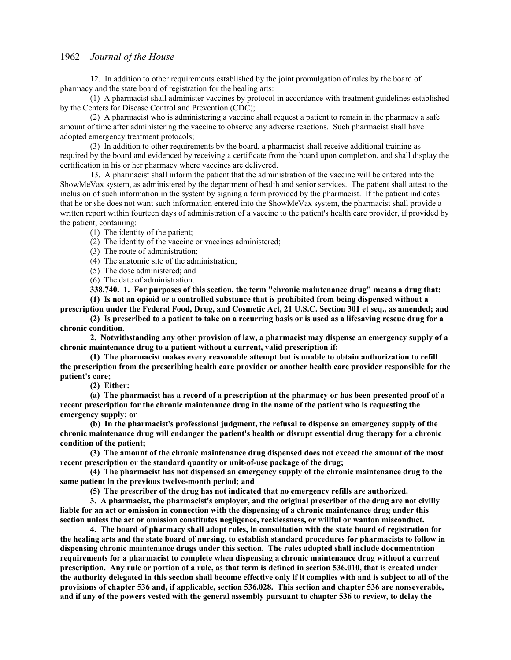12. In addition to other requirements established by the joint promulgation of rules by the board of pharmacy and the state board of registration for the healing arts:

(1) A pharmacist shall administer vaccines by protocol in accordance with treatment guidelines established by the Centers for Disease Control and Prevention (CDC);

(2) A pharmacist who is administering a vaccine shall request a patient to remain in the pharmacy a safe amount of time after administering the vaccine to observe any adverse reactions. Such pharmacist shall have adopted emergency treatment protocols;

(3) In addition to other requirements by the board, a pharmacist shall receive additional training as required by the board and evidenced by receiving a certificate from the board upon completion, and shall display the certification in his or her pharmacy where vaccines are delivered.

13. A pharmacist shall inform the patient that the administration of the vaccine will be entered into the ShowMeVax system, as administered by the department of health and senior services. The patient shall attest to the inclusion of such information in the system by signing a form provided by the pharmacist. If the patient indicates that he or she does not want such information entered into the ShowMeVax system, the pharmacist shall provide a written report within fourteen days of administration of a vaccine to the patient's health care provider, if provided by the patient, containing:

(1) The identity of the patient;

(2) The identity of the vaccine or vaccines administered;

(3) The route of administration;

(4) The anatomic site of the administration;

(5) The dose administered; and

(6) The date of administration.

**338.740. 1. For purposes of this section, the term "chronic maintenance drug" means a drug that: (1) Is not an opioid or a controlled substance that is prohibited from being dispensed without a** 

**prescription under the Federal Food, Drug, and Cosmetic Act, 21 U.S.C. Section 301 et seq., as amended; and (2) Is prescribed to a patient to take on a recurring basis or is used as a lifesaving rescue drug for a chronic condition.**

**2. Notwithstanding any other provision of law, a pharmacist may dispense an emergency supply of a chronic maintenance drug to a patient without a current, valid prescription if:**

**(1) The pharmacist makes every reasonable attempt but is unable to obtain authorization to refill the prescription from the prescribing health care provider or another health care provider responsible for the patient's care;**

**(2) Either:**

**(a) The pharmacist has a record of a prescription at the pharmacy or has been presented proof of a recent prescription for the chronic maintenance drug in the name of the patient who is requesting the emergency supply; or**

**(b) In the pharmacist's professional judgment, the refusal to dispense an emergency supply of the chronic maintenance drug will endanger the patient's health or disrupt essential drug therapy for a chronic condition of the patient;**

**(3) The amount of the chronic maintenance drug dispensed does not exceed the amount of the most recent prescription or the standard quantity or unit-of-use package of the drug;**

**(4) The pharmacist has not dispensed an emergency supply of the chronic maintenance drug to the same patient in the previous twelve-month period; and**

**(5) The prescriber of the drug has not indicated that no emergency refills are authorized.**

**3. A pharmacist, the pharmacist's employer, and the original prescriber of the drug are not civilly liable for an act or omission in connection with the dispensing of a chronic maintenance drug under this section unless the act or omission constitutes negligence, recklessness, or willful or wanton misconduct.**

**4. The board of pharmacy shall adopt rules, in consultation with the state board of registration for the healing arts and the state board of nursing, to establish standard procedures for pharmacists to follow in dispensing chronic maintenance drugs under this section. The rules adopted shall include documentation requirements for a pharmacist to complete when dispensing a chronic maintenance drug without a current prescription. Any rule or portion of a rule, as that term is defined in section 536.010, that is created under the authority delegated in this section shall become effective only if it complies with and is subject to all of the provisions of chapter 536 and, if applicable, section 536.028. This section and chapter 536 are nonseverable, and if any of the powers vested with the general assembly pursuant to chapter 536 to review, to delay the**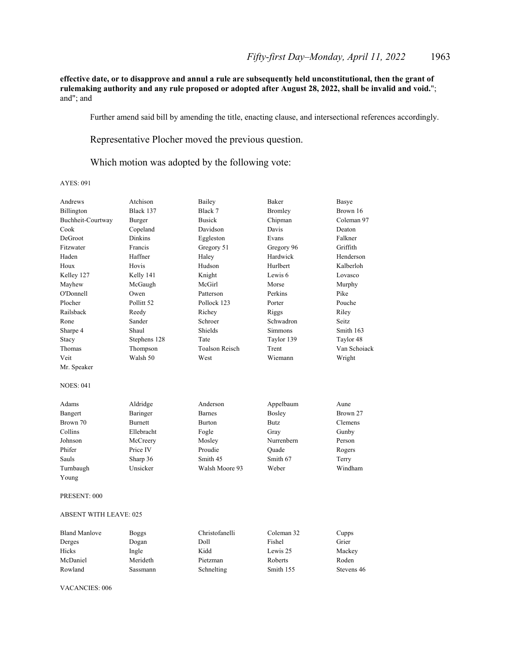**effective date, or to disapprove and annul a rule are subsequently held unconstitutional, then the grant of rulemaking authority and any rule proposed or adopted after August 28, 2022, shall be invalid and void.**"; and"; and

Further amend said bill by amending the title, enacting clause, and intersectional references accordingly.

Representative Plocher moved the previous question.

Which motion was adopted by the following vote:

## AYES: 091

| Andrews                       | Atchison              | Bailey                | <b>Baker</b> | Basye        |
|-------------------------------|-----------------------|-----------------------|--------------|--------------|
| Billington                    | Black 137             | Black 7               | Bromley      | Brown 16     |
| Buchheit-Courtway             | Burger                | <b>Busick</b>         | Chipman      | Coleman 97   |
| Cook                          | Copeland              | Davidson              | Davis        | Deaton       |
| DeGroot                       | <b>Dinkins</b>        | Eggleston             | Evans        | Falkner      |
| Fitzwater                     | Francis               | Gregory 51            | Gregory 96   | Griffith     |
| Haden                         | Haffner               | Haley                 | Hardwick     | Henderson    |
| Houx                          | Hovis                 | Hudson                | Hurlbert     | Kalberloh    |
| Kelley 127                    | Kelly 141             | Knight                | Lewis 6      | Lovasco      |
| Mayhew                        | McGaugh               | McGirl                | Morse        | Murphy       |
| O'Donnell                     | Owen                  | Patterson             | Perkins      | Pike         |
| Plocher                       | Pollitt <sub>52</sub> | Pollock 123           | Porter       | Pouche       |
| Railsback                     | Reedy                 | Richey                | Riggs        | Riley        |
| Rone                          | Sander                | Schroer               | Schwadron    | Seitz        |
| Sharpe 4                      | Shaul                 | Shields               | Simmons      | Smith 163    |
| Stacy                         | Stephens 128          | Tate                  | Taylor 139   | Taylor 48    |
| Thomas                        | Thompson              | <b>Toalson Reisch</b> | Trent        | Van Schoiack |
| Veit                          | Walsh 50              | West                  | Wiemann      | Wright       |
| Mr. Speaker                   |                       |                       |              |              |
| <b>NOES: 041</b>              |                       |                       |              |              |
| Adams                         | Aldridge              | Anderson              | Appelbaum    | Aune         |
| Bangert                       | Baringer              | <b>Barnes</b>         | Bosley       | Brown 27     |
| Brown 70                      | <b>Burnett</b>        | Burton                | Butz         | Clemens      |
| Collins                       | Ellebracht            | Fogle                 | Gray         | Gunby        |
| Johnson                       | McCreery              | Mosley                | Nurrenbern   | Person       |
| Phifer                        | Price IV              | Proudie               | Ouade        | Rogers       |
| Sauls                         | Sharp 36              | Smith 45              | Smith 67     | Terry        |
| Turnbaugh                     | Unsicker              | Walsh Moore 93        | Weber        | Windham      |
| Young                         |                       |                       |              |              |
| PRESENT: 000                  |                       |                       |              |              |
| <b>ABSENT WITH LEAVE: 025</b> |                       |                       |              |              |
| T31<br>1.3.6.1                | $\mathbf{r}$          | $\sim$ $\sim$<br>11.  | $\sim$       |              |

| <b>Bland Manlove</b> | Boggs    | Christofanelli | Coleman 32 | Cupps      |
|----------------------|----------|----------------|------------|------------|
| Derges               | Dogan    | Doll           | Fishel     | Grier      |
| Hicks                | Ingle    | Kidd           | Lewis 25   | Mackey     |
| McDaniel             | Merideth | Pietzman       | Roberts    | Roden      |
| Rowland              | Sassmann | Schnelting     | Smith 155  | Stevens 46 |

VACANCIES: 006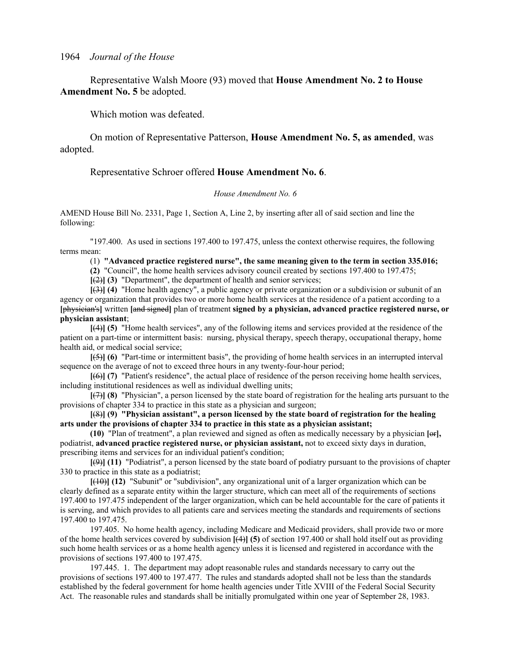Representative Walsh Moore (93) moved that **House Amendment No. 2 to House Amendment No. 5** be adopted.

Which motion was defeated.

 On motion of Representative Patterson, **House Amendment No. 5, as amended**, was adopted.

Representative Schroer offered **House Amendment No. 6**.

# *House Amendment No. 6*

AMEND House Bill No. 2331, Page 1, Section A, Line 2, by inserting after all of said section and line the following:

"197.400. As used in sections 197.400 to 197.475, unless the context otherwise requires, the following terms mean:

(1) **"Advanced practice registered nurse", the same meaning given to the term in section 335.016;**

**(2)** "Council", the home health services advisory council created by sections 197.400 to 197.475;

**[**(2)**] (3)** "Department", the department of health and senior services;

**[**(3)**] (4)** "Home health agency", a public agency or private organization or a subdivision or subunit of an agency or organization that provides two or more home health services at the residence of a patient according to a **[**physician's**]** written **[**and signed**]** plan of treatment **signed by a physician, advanced practice registered nurse, or physician assistant**;

**[**(4)**] (5)** "Home health services", any of the following items and services provided at the residence of the patient on a part-time or intermittent basis: nursing, physical therapy, speech therapy, occupational therapy, home health aid, or medical social service;

**[**(5)**] (6)** "Part-time or intermittent basis", the providing of home health services in an interrupted interval sequence on the average of not to exceed three hours in any twenty-four-hour period;

**[**(6)**] (7)** "Patient's residence", the actual place of residence of the person receiving home health services, including institutional residences as well as individual dwelling units;

**[**(7)**] (8)** "Physician", a person licensed by the state board of registration for the healing arts pursuant to the provisions of chapter 334 to practice in this state as a physician and surgeon;

**[**(8)**] (9) "Physician assistant", a person licensed by the state board of registration for the healing arts under the provisions of chapter 334 to practice in this state as a physician assistant;**

**(10)** "Plan of treatment", a plan reviewed and signed as often as medically necessary by a physician **[**or**],** podiatrist, **advanced practice registered nurse, or physician assistant,** not to exceed sixty days in duration, prescribing items and services for an individual patient's condition;

**[**(9)**] (11)** "Podiatrist", a person licensed by the state board of podiatry pursuant to the provisions of chapter 330 to practice in this state as a podiatrist;

**[**(10)**] (12)** "Subunit" or "subdivision", any organizational unit of a larger organization which can be clearly defined as a separate entity within the larger structure, which can meet all of the requirements of sections 197.400 to 197.475 independent of the larger organization, which can be held accountable for the care of patients it is serving, and which provides to all patients care and services meeting the standards and requirements of sections 197.400 to 197.475.

197.405. No home health agency, including Medicare and Medicaid providers, shall provide two or more of the home health services covered by subdivision **[**(4)**] (5)** of section 197.400 or shall hold itself out as providing such home health services or as a home health agency unless it is licensed and registered in accordance with the provisions of sections 197.400 to 197.475.

197.445. 1. The department may adopt reasonable rules and standards necessary to carry out the provisions of sections 197.400 to 197.477. The rules and standards adopted shall not be less than the standards established by the federal government for home health agencies under Title XVIII of the Federal Social Security Act. The reasonable rules and standards shall be initially promulgated within one year of September 28, 1983.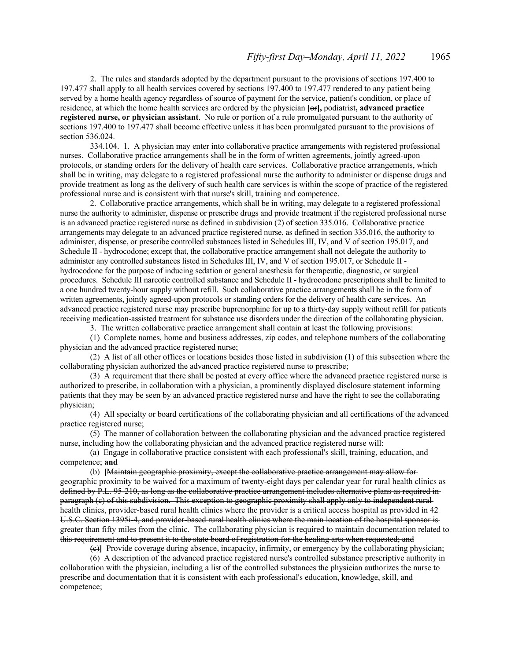2. The rules and standards adopted by the department pursuant to the provisions of sections 197.400 to 197.477 shall apply to all health services covered by sections 197.400 to 197.477 rendered to any patient being served by a home health agency regardless of source of payment for the service, patient's condition, or place of residence, at which the home health services are ordered by the physician **[**or**],** podiatrist**, advanced practice registered nurse, or physician assistant**. No rule or portion of a rule promulgated pursuant to the authority of sections 197.400 to 197.477 shall become effective unless it has been promulgated pursuant to the provisions of section 536.024.

334.104. 1. A physician may enter into collaborative practice arrangements with registered professional nurses. Collaborative practice arrangements shall be in the form of written agreements, jointly agreed-upon protocols, or standing orders for the delivery of health care services. Collaborative practice arrangements, which shall be in writing, may delegate to a registered professional nurse the authority to administer or dispense drugs and provide treatment as long as the delivery of such health care services is within the scope of practice of the registered professional nurse and is consistent with that nurse's skill, training and competence.

2. Collaborative practice arrangements, which shall be in writing, may delegate to a registered professional nurse the authority to administer, dispense or prescribe drugs and provide treatment if the registered professional nurse is an advanced practice registered nurse as defined in subdivision (2) of section 335.016. Collaborative practice arrangements may delegate to an advanced practice registered nurse, as defined in section 335.016, the authority to administer, dispense, or prescribe controlled substances listed in Schedules III, IV, and V of section 195.017, and Schedule II - hydrocodone; except that, the collaborative practice arrangement shall not delegate the authority to administer any controlled substances listed in Schedules III, IV, and V of section 195.017, or Schedule II hydrocodone for the purpose of inducing sedation or general anesthesia for therapeutic, diagnostic, or surgical procedures. Schedule III narcotic controlled substance and Schedule II - hydrocodone prescriptions shall be limited to a one hundred twenty-hour supply without refill. Such collaborative practice arrangements shall be in the form of written agreements, jointly agreed-upon protocols or standing orders for the delivery of health care services. An advanced practice registered nurse may prescribe buprenorphine for up to a thirty-day supply without refill for patients receiving medication-assisted treatment for substance use disorders under the direction of the collaborating physician.

3. The written collaborative practice arrangement shall contain at least the following provisions:

(1) Complete names, home and business addresses, zip codes, and telephone numbers of the collaborating physician and the advanced practice registered nurse;

(2) A list of all other offices or locations besides those listed in subdivision (1) of this subsection where the collaborating physician authorized the advanced practice registered nurse to prescribe;

(3) A requirement that there shall be posted at every office where the advanced practice registered nurse is authorized to prescribe, in collaboration with a physician, a prominently displayed disclosure statement informing patients that they may be seen by an advanced practice registered nurse and have the right to see the collaborating physician;

(4) All specialty or board certifications of the collaborating physician and all certifications of the advanced practice registered nurse;

(5) The manner of collaboration between the collaborating physician and the advanced practice registered nurse, including how the collaborating physician and the advanced practice registered nurse will:

(a) Engage in collaborative practice consistent with each professional's skill, training, education, and competence; **and**

(b) **[**Maintain geographic proximity, except the collaborative practice arrangement may allow for geographic proximity to be waived for a maximum of twenty-eight days per calendar year for rural health clinics as defined by P.L. 95-210, as long as the collaborative practice arrangement includes alternative plans as required in paragraph (c) of this subdivision. This exception to geographic proximity shall apply only to independent rural health clinics, provider-based rural health clinics where the provider is a critical access hospital as provided in 42-U.S.C. Section 1395i-4, and provider-based rural health clinics where the main location of the hospital sponsor isgreater than fifty miles from the clinic. The collaborating physician is required to maintain documentation related to this requirement and to present it to the state board of registration for the healing arts when requested; and

(c)**]** Provide coverage during absence, incapacity, infirmity, or emergency by the collaborating physician;

(6) A description of the advanced practice registered nurse's controlled substance prescriptive authority in collaboration with the physician, including a list of the controlled substances the physician authorizes the nurse to prescribe and documentation that it is consistent with each professional's education, knowledge, skill, and competence;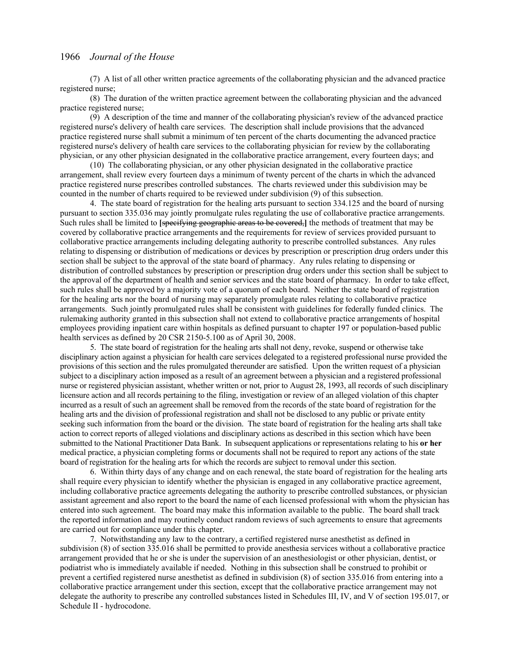(7) A list of all other written practice agreements of the collaborating physician and the advanced practice registered nurse;

(8) The duration of the written practice agreement between the collaborating physician and the advanced practice registered nurse;

(9) A description of the time and manner of the collaborating physician's review of the advanced practice registered nurse's delivery of health care services. The description shall include provisions that the advanced practice registered nurse shall submit a minimum of ten percent of the charts documenting the advanced practice registered nurse's delivery of health care services to the collaborating physician for review by the collaborating physician, or any other physician designated in the collaborative practice arrangement, every fourteen days; and

(10) The collaborating physician, or any other physician designated in the collaborative practice arrangement, shall review every fourteen days a minimum of twenty percent of the charts in which the advanced practice registered nurse prescribes controlled substances. The charts reviewed under this subdivision may be counted in the number of charts required to be reviewed under subdivision (9) of this subsection.

4. The state board of registration for the healing arts pursuant to section 334.125 and the board of nursing pursuant to section 335.036 may jointly promulgate rules regulating the use of collaborative practice arrangements. Such rules shall be limited to **[**specifying geographic areas to be covered,**]** the methods of treatment that may be covered by collaborative practice arrangements and the requirements for review of services provided pursuant to collaborative practice arrangements including delegating authority to prescribe controlled substances. Any rules relating to dispensing or distribution of medications or devices by prescription or prescription drug orders under this section shall be subject to the approval of the state board of pharmacy. Any rules relating to dispensing or distribution of controlled substances by prescription or prescription drug orders under this section shall be subject to the approval of the department of health and senior services and the state board of pharmacy. In order to take effect, such rules shall be approved by a majority vote of a quorum of each board. Neither the state board of registration for the healing arts nor the board of nursing may separately promulgate rules relating to collaborative practice arrangements. Such jointly promulgated rules shall be consistent with guidelines for federally funded clinics. The rulemaking authority granted in this subsection shall not extend to collaborative practice arrangements of hospital employees providing inpatient care within hospitals as defined pursuant to chapter 197 or population-based public health services as defined by 20 CSR 2150-5.100 as of April 30, 2008.

5. The state board of registration for the healing arts shall not deny, revoke, suspend or otherwise take disciplinary action against a physician for health care services delegated to a registered professional nurse provided the provisions of this section and the rules promulgated thereunder are satisfied. Upon the written request of a physician subject to a disciplinary action imposed as a result of an agreement between a physician and a registered professional nurse or registered physician assistant, whether written or not, prior to August 28, 1993, all records of such disciplinary licensure action and all records pertaining to the filing, investigation or review of an alleged violation of this chapter incurred as a result of such an agreement shall be removed from the records of the state board of registration for the healing arts and the division of professional registration and shall not be disclosed to any public or private entity seeking such information from the board or the division. The state board of registration for the healing arts shall take action to correct reports of alleged violations and disciplinary actions as described in this section which have been submitted to the National Practitioner Data Bank. In subsequent applications or representations relating to his **or her** medical practice, a physician completing forms or documents shall not be required to report any actions of the state board of registration for the healing arts for which the records are subject to removal under this section.

6. Within thirty days of any change and on each renewal, the state board of registration for the healing arts shall require every physician to identify whether the physician is engaged in any collaborative practice agreement, including collaborative practice agreements delegating the authority to prescribe controlled substances, or physician assistant agreement and also report to the board the name of each licensed professional with whom the physician has entered into such agreement. The board may make this information available to the public. The board shall track the reported information and may routinely conduct random reviews of such agreements to ensure that agreements are carried out for compliance under this chapter.

7. Notwithstanding any law to the contrary, a certified registered nurse anesthetist as defined in subdivision (8) of section 335.016 shall be permitted to provide anesthesia services without a collaborative practice arrangement provided that he or she is under the supervision of an anesthesiologist or other physician, dentist, or podiatrist who is immediately available if needed. Nothing in this subsection shall be construed to prohibit or prevent a certified registered nurse anesthetist as defined in subdivision (8) of section 335.016 from entering into a collaborative practice arrangement under this section, except that the collaborative practice arrangement may not delegate the authority to prescribe any controlled substances listed in Schedules III, IV, and V of section 195.017, or Schedule II - hydrocodone.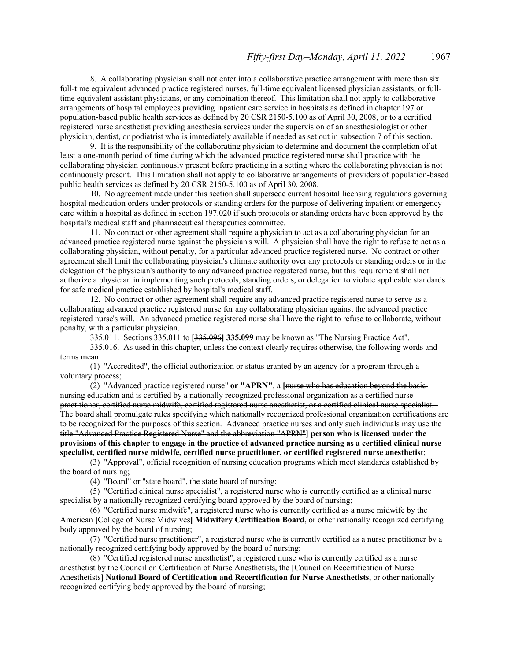8. A collaborating physician shall not enter into a collaborative practice arrangement with more than six full-time equivalent advanced practice registered nurses, full-time equivalent licensed physician assistants, or fulltime equivalent assistant physicians, or any combination thereof. This limitation shall not apply to collaborative arrangements of hospital employees providing inpatient care service in hospitals as defined in chapter 197 or population-based public health services as defined by 20 CSR 2150-5.100 as of April 30, 2008, or to a certified registered nurse anesthetist providing anesthesia services under the supervision of an anesthesiologist or other physician, dentist, or podiatrist who is immediately available if needed as set out in subsection 7 of this section.

9. It is the responsibility of the collaborating physician to determine and document the completion of at least a one-month period of time during which the advanced practice registered nurse shall practice with the collaborating physician continuously present before practicing in a setting where the collaborating physician is not continuously present. This limitation shall not apply to collaborative arrangements of providers of population-based public health services as defined by 20 CSR 2150-5.100 as of April 30, 2008.

10. No agreement made under this section shall supersede current hospital licensing regulations governing hospital medication orders under protocols or standing orders for the purpose of delivering inpatient or emergency care within a hospital as defined in section 197.020 if such protocols or standing orders have been approved by the hospital's medical staff and pharmaceutical therapeutics committee.

11. No contract or other agreement shall require a physician to act as a collaborating physician for an advanced practice registered nurse against the physician's will. A physician shall have the right to refuse to act as a collaborating physician, without penalty, for a particular advanced practice registered nurse. No contract or other agreement shall limit the collaborating physician's ultimate authority over any protocols or standing orders or in the delegation of the physician's authority to any advanced practice registered nurse, but this requirement shall not authorize a physician in implementing such protocols, standing orders, or delegation to violate applicable standards for safe medical practice established by hospital's medical staff.

12. No contract or other agreement shall require any advanced practice registered nurse to serve as a collaborating advanced practice registered nurse for any collaborating physician against the advanced practice registered nurse's will. An advanced practice registered nurse shall have the right to refuse to collaborate, without penalty, with a particular physician.

335.011. Sections 335.011 to **[**335.096**] 335.099** may be known as "The Nursing Practice Act".

335.016. As used in this chapter, unless the context clearly requires otherwise, the following words and terms mean:

(1) "Accredited", the official authorization or status granted by an agency for a program through a voluntary process;

(2) "Advanced practice registered nurse" **or "APRN"**, a **[**nurse who has education beyond the basic nursing education and is certified by a nationally recognized professional organization as a certified nurse practitioner, certified nurse midwife, certified registered nurse anesthetist, or a certified clinical nurse specialist. The board shall promulgate rules specifying which nationally recognized professional organization certifications are to be recognized for the purposes of this section. Advanced practice nurses and only such individuals may use the title "Advanced Practice Registered Nurse" and the abbreviation "APRN"**] person who is licensed under the provisions of this chapter to engage in the practice of advanced practice nursing as a certified clinical nurse specialist, certified nurse midwife, certified nurse practitioner, or certified registered nurse anesthetist**;

(3) "Approval", official recognition of nursing education programs which meet standards established by the board of nursing;

(4) "Board" or "state board", the state board of nursing;

(5) "Certified clinical nurse specialist", a registered nurse who is currently certified as a clinical nurse specialist by a nationally recognized certifying board approved by the board of nursing;

(6) "Certified nurse midwife", a registered nurse who is currently certified as a nurse midwife by the American **[**College of Nurse Midwives**] Midwifery Certification Board**, or other nationally recognized certifying body approved by the board of nursing;

(7) "Certified nurse practitioner", a registered nurse who is currently certified as a nurse practitioner by a nationally recognized certifying body approved by the board of nursing;

(8) "Certified registered nurse anesthetist", a registered nurse who is currently certified as a nurse anesthetist by the Council on Certification of Nurse Anesthetists, the **[**Council on Recertification of Nurse Anesthetists**] National Board of Certification and Recertification for Nurse Anesthetists**, or other nationally recognized certifying body approved by the board of nursing;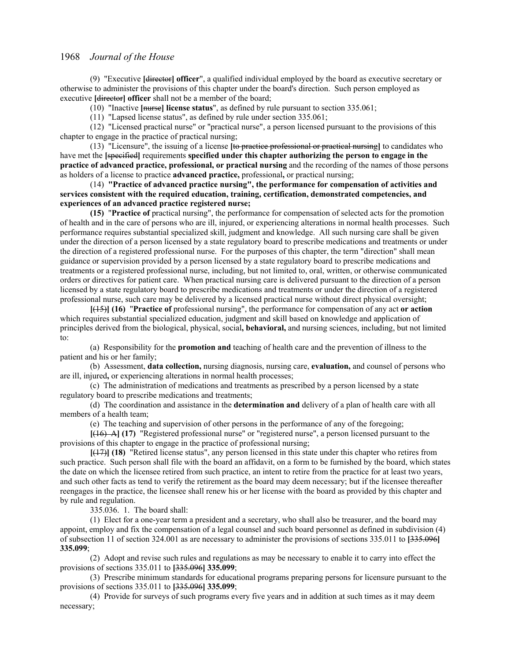(9) "Executive **[**director**] officer**", a qualified individual employed by the board as executive secretary or otherwise to administer the provisions of this chapter under the board's direction. Such person employed as executive **[director] officer** shall not be a member of the board;

(10) "Inactive **[**nurse**] license status**", as defined by rule pursuant to section 335.061;

(11) "Lapsed license status", as defined by rule under section 335.061;

(12) "Licensed practical nurse" or "practical nurse", a person licensed pursuant to the provisions of this chapter to engage in the practice of practical nursing;

(13) "Licensure", the issuing of a license **[**to practice professional or practical nursing**]** to candidates who have met the **[**specified**]** requirements **specified under this chapter authorizing the person to engage in the practice of advanced practice, professional, or practical nursing** and the recording of the names of those persons as holders of a license to practice **advanced practice,** professional**,** or practical nursing;

(14) **"Practice of advanced practice nursing", the performance for compensation of activities and services consistent with the required education, training, certification, demonstrated competencies, and experiences of an advanced practice registered nurse;**

**(15)** "**Practice of** practical nursing", the performance for compensation of selected acts for the promotion of health and in the care of persons who are ill, injured, or experiencing alterations in normal health processes. Such performance requires substantial specialized skill, judgment and knowledge. All such nursing care shall be given under the direction of a person licensed by a state regulatory board to prescribe medications and treatments or under the direction of a registered professional nurse. For the purposes of this chapter, the term "direction" shall mean guidance or supervision provided by a person licensed by a state regulatory board to prescribe medications and treatments or a registered professional nurse, including, but not limited to, oral, written, or otherwise communicated orders or directives for patient care. When practical nursing care is delivered pursuant to the direction of a person licensed by a state regulatory board to prescribe medications and treatments or under the direction of a registered professional nurse, such care may be delivered by a licensed practical nurse without direct physical oversight;

**[**(15)**] (16)** "**Practice of** professional nursing", the performance for compensation of any act **or action** which requires substantial specialized education, judgment and skill based on knowledge and application of principles derived from the biological, physical, social**, behavioral,** and nursing sciences, including, but not limited to:

(a) Responsibility for the **promotion and** teaching of health care and the prevention of illness to the patient and his or her family;

(b) Assessment, **data collection,** nursing diagnosis, nursing care, **evaluation,** and counsel of persons who are ill, injured**,** or experiencing alterations in normal health processes;

(c) The administration of medications and treatments as prescribed by a person licensed by a state regulatory board to prescribe medications and treatments;

(d) The coordination and assistance in the **determination and** delivery of a plan of health care with all members of a health team;

(e) The teaching and supervision of other persons in the performance of any of the foregoing;

**[**(16) A**] (17)** "Registered professional nurse" or "registered nurse", a person licensed pursuant to the provisions of this chapter to engage in the practice of professional nursing;

**[**(17)**] (18)** "Retired license status", any person licensed in this state under this chapter who retires from such practice. Such person shall file with the board an affidavit, on a form to be furnished by the board, which states the date on which the licensee retired from such practice, an intent to retire from the practice for at least two years, and such other facts as tend to verify the retirement as the board may deem necessary; but if the licensee thereafter reengages in the practice, the licensee shall renew his or her license with the board as provided by this chapter and by rule and regulation.

335.036. 1. The board shall:

(1) Elect for a one-year term a president and a secretary, who shall also be treasurer, and the board may appoint, employ and fix the compensation of a legal counsel and such board personnel as defined in subdivision (4) of subsection 11 of section 324.001 as are necessary to administer the provisions of sections 335.011 to **[**335.096**] 335.099**;

(2) Adopt and revise such rules and regulations as may be necessary to enable it to carry into effect the provisions of sections 335.011 to **[**335.096**] 335.099**;

(3) Prescribe minimum standards for educational programs preparing persons for licensure pursuant to the provisions of sections 335.011 to **[**335.096**] 335.099**;

(4) Provide for surveys of such programs every five years and in addition at such times as it may deem necessary;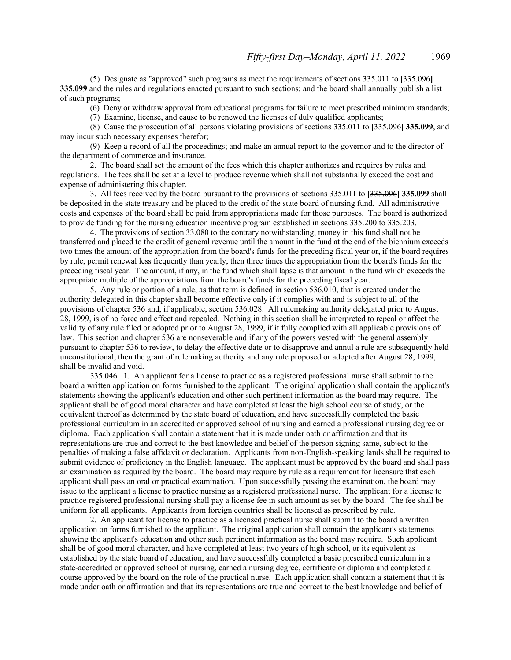(5) Designate as "approved" such programs as meet the requirements of sections 335.011 to **[**335.096**] 335.099** and the rules and regulations enacted pursuant to such sections; and the board shall annually publish a list of such programs;

(6) Deny or withdraw approval from educational programs for failure to meet prescribed minimum standards;

(7) Examine, license, and cause to be renewed the licenses of duly qualified applicants;

(8) Cause the prosecution of all persons violating provisions of sections 335.011 to **[**335.096**] 335.099**, and may incur such necessary expenses therefor;

(9) Keep a record of all the proceedings; and make an annual report to the governor and to the director of the department of commerce and insurance.

2. The board shall set the amount of the fees which this chapter authorizes and requires by rules and regulations. The fees shall be set at a level to produce revenue which shall not substantially exceed the cost and expense of administering this chapter.

3. All fees received by the board pursuant to the provisions of sections 335.011 to **[**335.096**] 335.099** shall be deposited in the state treasury and be placed to the credit of the state board of nursing fund. All administrative costs and expenses of the board shall be paid from appropriations made for those purposes. The board is authorized to provide funding for the nursing education incentive program established in sections 335.200 to 335.203.

4. The provisions of section 33.080 to the contrary notwithstanding, money in this fund shall not be transferred and placed to the credit of general revenue until the amount in the fund at the end of the biennium exceeds two times the amount of the appropriation from the board's funds for the preceding fiscal year or, if the board requires by rule, permit renewal less frequently than yearly, then three times the appropriation from the board's funds for the preceding fiscal year. The amount, if any, in the fund which shall lapse is that amount in the fund which exceeds the appropriate multiple of the appropriations from the board's funds for the preceding fiscal year.

5. Any rule or portion of a rule, as that term is defined in section 536.010, that is created under the authority delegated in this chapter shall become effective only if it complies with and is subject to all of the provisions of chapter 536 and, if applicable, section 536.028. All rulemaking authority delegated prior to August 28, 1999, is of no force and effect and repealed. Nothing in this section shall be interpreted to repeal or affect the validity of any rule filed or adopted prior to August 28, 1999, if it fully complied with all applicable provisions of law. This section and chapter 536 are nonseverable and if any of the powers vested with the general assembly pursuant to chapter 536 to review, to delay the effective date or to disapprove and annul a rule are subsequently held unconstitutional, then the grant of rulemaking authority and any rule proposed or adopted after August 28, 1999, shall be invalid and void.

335.046. 1. An applicant for a license to practice as a registered professional nurse shall submit to the board a written application on forms furnished to the applicant. The original application shall contain the applicant's statements showing the applicant's education and other such pertinent information as the board may require. The applicant shall be of good moral character and have completed at least the high school course of study, or the equivalent thereof as determined by the state board of education, and have successfully completed the basic professional curriculum in an accredited or approved school of nursing and earned a professional nursing degree or diploma. Each application shall contain a statement that it is made under oath or affirmation and that its representations are true and correct to the best knowledge and belief of the person signing same, subject to the penalties of making a false affidavit or declaration. Applicants from non-English-speaking lands shall be required to submit evidence of proficiency in the English language. The applicant must be approved by the board and shall pass an examination as required by the board. The board may require by rule as a requirement for licensure that each applicant shall pass an oral or practical examination. Upon successfully passing the examination, the board may issue to the applicant a license to practice nursing as a registered professional nurse. The applicant for a license to practice registered professional nursing shall pay a license fee in such amount as set by the board. The fee shall be uniform for all applicants. Applicants from foreign countries shall be licensed as prescribed by rule.

2. An applicant for license to practice as a licensed practical nurse shall submit to the board a written application on forms furnished to the applicant. The original application shall contain the applicant's statements showing the applicant's education and other such pertinent information as the board may require. Such applicant shall be of good moral character, and have completed at least two years of high school, or its equivalent as established by the state board of education, and have successfully completed a basic prescribed curriculum in a state-accredited or approved school of nursing, earned a nursing degree, certificate or diploma and completed a course approved by the board on the role of the practical nurse. Each application shall contain a statement that it is made under oath or affirmation and that its representations are true and correct to the best knowledge and belief of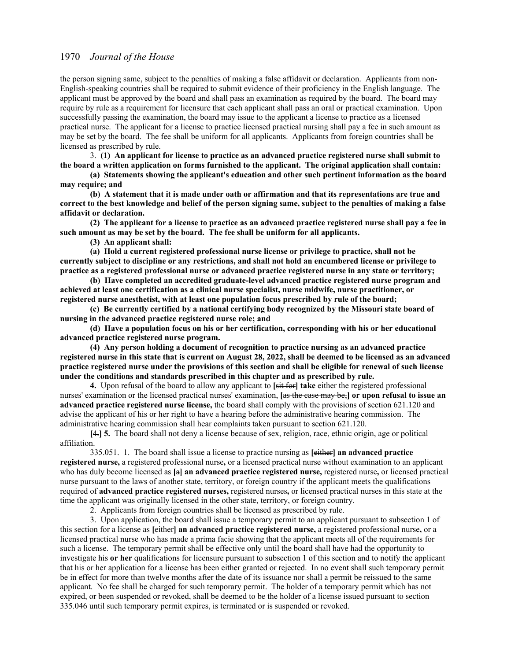the person signing same, subject to the penalties of making a false affidavit or declaration. Applicants from non-English-speaking countries shall be required to submit evidence of their proficiency in the English language. The applicant must be approved by the board and shall pass an examination as required by the board. The board may require by rule as a requirement for licensure that each applicant shall pass an oral or practical examination. Upon successfully passing the examination, the board may issue to the applicant a license to practice as a licensed practical nurse. The applicant for a license to practice licensed practical nursing shall pay a fee in such amount as may be set by the board. The fee shall be uniform for all applicants. Applicants from foreign countries shall be licensed as prescribed by rule.

3. **(1) An applicant for license to practice as an advanced practice registered nurse shall submit to the board a written application on forms furnished to the applicant. The original application shall contain:**

**(a) Statements showing the applicant's education and other such pertinent information as the board may require; and**

**(b) A statement that it is made under oath or affirmation and that its representations are true and correct to the best knowledge and belief of the person signing same, subject to the penalties of making a false affidavit or declaration.**

**(2) The applicant for a license to practice as an advanced practice registered nurse shall pay a fee in such amount as may be set by the board. The fee shall be uniform for all applicants.**

**(3) An applicant shall:**

**(a) Hold a current registered professional nurse license or privilege to practice, shall not be currently subject to discipline or any restrictions, and shall not hold an encumbered license or privilege to practice as a registered professional nurse or advanced practice registered nurse in any state or territory;**

**(b) Have completed an accredited graduate-level advanced practice registered nurse program and achieved at least one certification as a clinical nurse specialist, nurse midwife, nurse practitioner, or registered nurse anesthetist, with at least one population focus prescribed by rule of the board;**

**(c) Be currently certified by a national certifying body recognized by the Missouri state board of nursing in the advanced practice registered nurse role; and**

**(d) Have a population focus on his or her certification, corresponding with his or her educational advanced practice registered nurse program.**

**(4) Any person holding a document of recognition to practice nursing as an advanced practice registered nurse in this state that is current on August 28, 2022, shall be deemed to be licensed as an advanced practice registered nurse under the provisions of this section and shall be eligible for renewal of such license under the conditions and standards prescribed in this chapter and as prescribed by rule.**

**4.** Upon refusal of the board to allow any applicant to **[**sit for**] take** either the registered professional nurses' examination or the licensed practical nurses' examination, **[**as the case may be,**] or upon refusal to issue an advanced practice registered nurse license,** the board shall comply with the provisions of section 621.120 and advise the applicant of his or her right to have a hearing before the administrative hearing commission. The administrative hearing commission shall hear complaints taken pursuant to section 621.120.

**[**4.**] 5.** The board shall not deny a license because of sex, religion, race, ethnic origin, age or political affiliation.

335.051. 1. The board shall issue a license to practice nursing as **[**either**] an advanced practice registered nurse,** a registered professional nurse**,** or a licensed practical nurse without examination to an applicant who has duly become licensed as **[**a**] an advanced practice registered nurse,** registered nurse**,** or licensed practical nurse pursuant to the laws of another state, territory, or foreign country if the applicant meets the qualifications required of **advanced practice registered nurses**, registered nurses, or licensed practical nurses in this state at the time the applicant was originally licensed in the other state, territory, or foreign country.

2. Applicants from foreign countries shall be licensed as prescribed by rule.

3. Upon application, the board shall issue a temporary permit to an applicant pursuant to subsection 1 of this section for a license as **[**either**] an advanced practice registered nurse,** a registered professional nurse**,** or a licensed practical nurse who has made a prima facie showing that the applicant meets all of the requirements for such a license. The temporary permit shall be effective only until the board shall have had the opportunity to investigate his **or her** qualifications for licensure pursuant to subsection 1 of this section and to notify the applicant that his or her application for a license has been either granted or rejected. In no event shall such temporary permit be in effect for more than twelve months after the date of its issuance nor shall a permit be reissued to the same applicant. No fee shall be charged for such temporary permit. The holder of a temporary permit which has not expired, or been suspended or revoked, shall be deemed to be the holder of a license issued pursuant to section 335.046 until such temporary permit expires, is terminated or is suspended or revoked.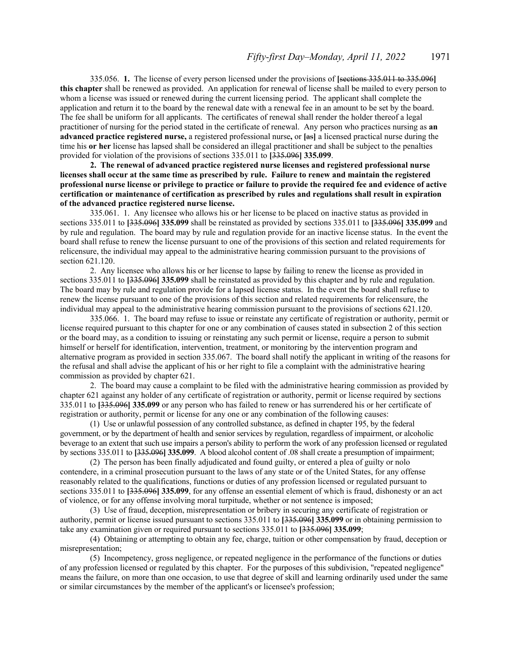335.056. **1.** The license of every person licensed under the provisions of **[**sections 335.011 to 335.096**] this chapter** shall be renewed as provided. An application for renewal of license shall be mailed to every person to whom a license was issued or renewed during the current licensing period. The applicant shall complete the application and return it to the board by the renewal date with a renewal fee in an amount to be set by the board. The fee shall be uniform for all applicants. The certificates of renewal shall render the holder thereof a legal practitioner of nursing for the period stated in the certificate of renewal. Any person who practices nursing as **an advanced practice registered nurse,** a registered professional nurse**,** or **[**as**]** a licensed practical nurse during the time his **or her** license has lapsed shall be considered an illegal practitioner and shall be subject to the penalties provided for violation of the provisions of sections 335.011 to **[**335.096**] 335.099**.

**2. The renewal of advanced practice registered nurse licenses and registered professional nurse licenses shall occur at the same time as prescribed by rule. Failure to renew and maintain the registered professional nurse license or privilege to practice or failure to provide the required fee and evidence of active certification or maintenance of certification as prescribed by rules and regulations shall result in expiration of the advanced practice registered nurse license.**

335.061. 1. Any licensee who allows his or her license to be placed on inactive status as provided in sections 335.011 to **[**335.096**] 335.099** shall be reinstated as provided by sections 335.011 to **[**335.096**] 335.099** and by rule and regulation. The board may by rule and regulation provide for an inactive license status. In the event the board shall refuse to renew the license pursuant to one of the provisions of this section and related requirements for relicensure, the individual may appeal to the administrative hearing commission pursuant to the provisions of section 621.120.

2. Any licensee who allows his or her license to lapse by failing to renew the license as provided in sections 335.011 to **[**335.096**] 335.099** shall be reinstated as provided by this chapter and by rule and regulation. The board may by rule and regulation provide for a lapsed license status. In the event the board shall refuse to renew the license pursuant to one of the provisions of this section and related requirements for relicensure, the individual may appeal to the administrative hearing commission pursuant to the provisions of sections 621.120.

335.066. 1. The board may refuse to issue or reinstate any certificate of registration or authority, permit or license required pursuant to this chapter for one or any combination of causes stated in subsection 2 of this section or the board may, as a condition to issuing or reinstating any such permit or license, require a person to submit himself or herself for identification, intervention, treatment, or monitoring by the intervention program and alternative program as provided in section 335.067. The board shall notify the applicant in writing of the reasons for the refusal and shall advise the applicant of his or her right to file a complaint with the administrative hearing commission as provided by chapter 621.

2. The board may cause a complaint to be filed with the administrative hearing commission as provided by chapter 621 against any holder of any certificate of registration or authority, permit or license required by sections 335.011 to **[**335.096**] 335.099** or any person who has failed to renew or has surrendered his or her certificate of registration or authority, permit or license for any one or any combination of the following causes:

(1) Use or unlawful possession of any controlled substance, as defined in chapter 195, by the federal government, or by the department of health and senior services by regulation, regardless of impairment, or alcoholic beverage to an extent that such use impairs a person's ability to perform the work of any profession licensed or regulated by sections 335.011 to **[**335.096**] 335.099**. A blood alcohol content of .08 shall create a presumption of impairment;

(2) The person has been finally adjudicated and found guilty, or entered a plea of guilty or nolo contendere, in a criminal prosecution pursuant to the laws of any state or of the United States, for any offense reasonably related to the qualifications, functions or duties of any profession licensed or regulated pursuant to sections 335.011 to **[**335.096**] 335.099**, for any offense an essential element of which is fraud, dishonesty or an act of violence, or for any offense involving moral turpitude, whether or not sentence is imposed;

(3) Use of fraud, deception, misrepresentation or bribery in securing any certificate of registration or authority, permit or license issued pursuant to sections 335.011 to **[**335.096**] 335.099** or in obtaining permission to take any examination given or required pursuant to sections 335.011 to **[**335.096**] 335.099**;

(4) Obtaining or attempting to obtain any fee, charge, tuition or other compensation by fraud, deception or misrepresentation;

(5) Incompetency, gross negligence, or repeated negligence in the performance of the functions or duties of any profession licensed or regulated by this chapter. For the purposes of this subdivision, "repeated negligence" means the failure, on more than one occasion, to use that degree of skill and learning ordinarily used under the same or similar circumstances by the member of the applicant's or licensee's profession;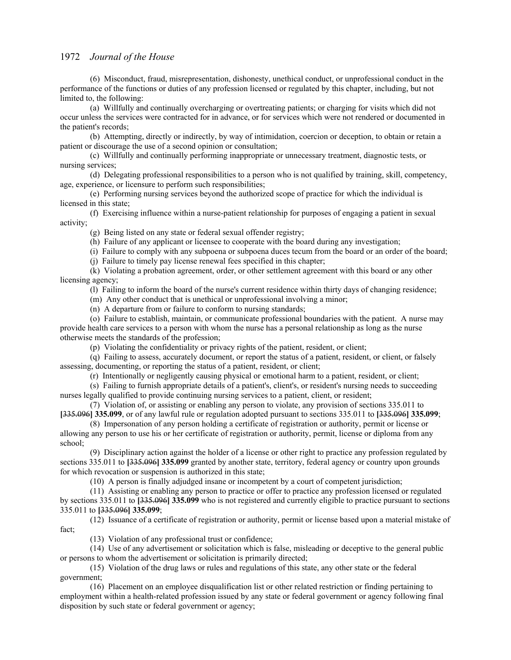(6) Misconduct, fraud, misrepresentation, dishonesty, unethical conduct, or unprofessional conduct in the performance of the functions or duties of any profession licensed or regulated by this chapter, including, but not limited to, the following:

(a) Willfully and continually overcharging or overtreating patients; or charging for visits which did not occur unless the services were contracted for in advance, or for services which were not rendered or documented in the patient's records;

(b) Attempting, directly or indirectly, by way of intimidation, coercion or deception, to obtain or retain a patient or discourage the use of a second opinion or consultation;

(c) Willfully and continually performing inappropriate or unnecessary treatment, diagnostic tests, or nursing services;

(d) Delegating professional responsibilities to a person who is not qualified by training, skill, competency, age, experience, or licensure to perform such responsibilities;

(e) Performing nursing services beyond the authorized scope of practice for which the individual is licensed in this state;

(f) Exercising influence within a nurse-patient relationship for purposes of engaging a patient in sexual activity;

(g) Being listed on any state or federal sexual offender registry;

(h) Failure of any applicant or licensee to cooperate with the board during any investigation;

(i) Failure to comply with any subpoena or subpoena duces tecum from the board or an order of the board;

(j) Failure to timely pay license renewal fees specified in this chapter;

(k) Violating a probation agreement, order, or other settlement agreement with this board or any other licensing agency;

(l) Failing to inform the board of the nurse's current residence within thirty days of changing residence;

(m) Any other conduct that is unethical or unprofessional involving a minor;

(n) A departure from or failure to conform to nursing standards;

(o) Failure to establish, maintain, or communicate professional boundaries with the patient. A nurse may provide health care services to a person with whom the nurse has a personal relationship as long as the nurse otherwise meets the standards of the profession;

(p) Violating the confidentiality or privacy rights of the patient, resident, or client;

(q) Failing to assess, accurately document, or report the status of a patient, resident, or client, or falsely assessing, documenting, or reporting the status of a patient, resident, or client;

(r) Intentionally or negligently causing physical or emotional harm to a patient, resident, or client;

(s) Failing to furnish appropriate details of a patient's, client's, or resident's nursing needs to succeeding nurses legally qualified to provide continuing nursing services to a patient, client, or resident;

(7) Violation of, or assisting or enabling any person to violate, any provision of sections 335.011 to **[**335.096**] 335.099**, or of any lawful rule or regulation adopted pursuant to sections 335.011 to **[**335.096**] 335.099**;

(8) Impersonation of any person holding a certificate of registration or authority, permit or license or allowing any person to use his or her certificate of registration or authority, permit, license or diploma from any school;

(9) Disciplinary action against the holder of a license or other right to practice any profession regulated by sections 335.011 to **[**335.096**] 335.099** granted by another state, territory, federal agency or country upon grounds for which revocation or suspension is authorized in this state;

(10) A person is finally adjudged insane or incompetent by a court of competent jurisdiction;

(11) Assisting or enabling any person to practice or offer to practice any profession licensed or regulated by sections 335.011 to **[**335.096**] 335.099** who is not registered and currently eligible to practice pursuant to sections 335.011 to **[**335.096**] 335.099**;

(12) Issuance of a certificate of registration or authority, permit or license based upon a material mistake of fact;

(13) Violation of any professional trust or confidence;

(14) Use of any advertisement or solicitation which is false, misleading or deceptive to the general public or persons to whom the advertisement or solicitation is primarily directed;

(15) Violation of the drug laws or rules and regulations of this state, any other state or the federal government;

(16) Placement on an employee disqualification list or other related restriction or finding pertaining to employment within a health-related profession issued by any state or federal government or agency following final disposition by such state or federal government or agency;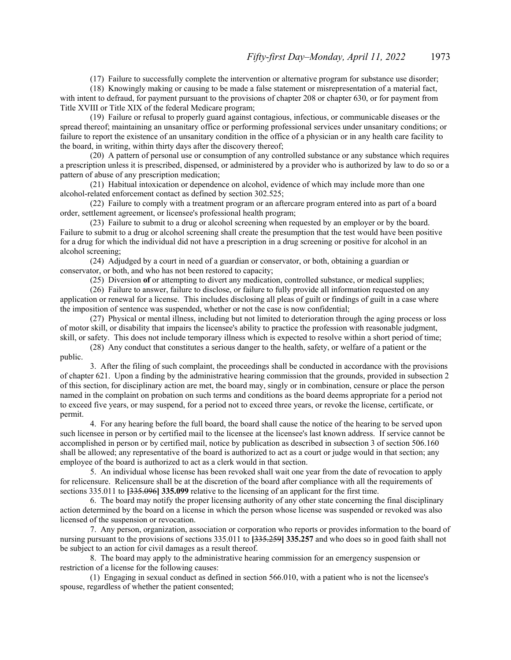(17) Failure to successfully complete the intervention or alternative program for substance use disorder;

(18) Knowingly making or causing to be made a false statement or misrepresentation of a material fact, with intent to defraud, for payment pursuant to the provisions of chapter 208 or chapter 630, or for payment from Title XVIII or Title XIX of the federal Medicare program;

(19) Failure or refusal to properly guard against contagious, infectious, or communicable diseases or the spread thereof; maintaining an unsanitary office or performing professional services under unsanitary conditions; or failure to report the existence of an unsanitary condition in the office of a physician or in any health care facility to the board, in writing, within thirty days after the discovery thereof;

(20) A pattern of personal use or consumption of any controlled substance or any substance which requires a prescription unless it is prescribed, dispensed, or administered by a provider who is authorized by law to do so or a pattern of abuse of any prescription medication;

(21) Habitual intoxication or dependence on alcohol, evidence of which may include more than one alcohol-related enforcement contact as defined by section 302.525;

(22) Failure to comply with a treatment program or an aftercare program entered into as part of a board order, settlement agreement, or licensee's professional health program;

(23) Failure to submit to a drug or alcohol screening when requested by an employer or by the board. Failure to submit to a drug or alcohol screening shall create the presumption that the test would have been positive for a drug for which the individual did not have a prescription in a drug screening or positive for alcohol in an alcohol screening;

(24) Adjudged by a court in need of a guardian or conservator, or both, obtaining a guardian or conservator, or both, and who has not been restored to capacity;

(25) Diversion **of** or attempting to divert any medication, controlled substance, or medical supplies;

(26) Failure to answer, failure to disclose, or failure to fully provide all information requested on any application or renewal for a license. This includes disclosing all pleas of guilt or findings of guilt in a case where the imposition of sentence was suspended, whether or not the case is now confidential;

(27) Physical or mental illness, including but not limited to deterioration through the aging process or loss of motor skill, or disability that impairs the licensee's ability to practice the profession with reasonable judgment, skill, or safety. This does not include temporary illness which is expected to resolve within a short period of time;

(28) Any conduct that constitutes a serious danger to the health, safety, or welfare of a patient or the public.

3. After the filing of such complaint, the proceedings shall be conducted in accordance with the provisions of chapter 621. Upon a finding by the administrative hearing commission that the grounds, provided in subsection 2 of this section, for disciplinary action are met, the board may, singly or in combination, censure or place the person named in the complaint on probation on such terms and conditions as the board deems appropriate for a period not to exceed five years, or may suspend, for a period not to exceed three years, or revoke the license, certificate, or permit.

4. For any hearing before the full board, the board shall cause the notice of the hearing to be served upon such licensee in person or by certified mail to the licensee at the licensee's last known address. If service cannot be accomplished in person or by certified mail, notice by publication as described in subsection 3 of section 506.160 shall be allowed; any representative of the board is authorized to act as a court or judge would in that section; any employee of the board is authorized to act as a clerk would in that section.

5. An individual whose license has been revoked shall wait one year from the date of revocation to apply for relicensure. Relicensure shall be at the discretion of the board after compliance with all the requirements of sections 335.011 to **[**335.096**] 335.099** relative to the licensing of an applicant for the first time.

6. The board may notify the proper licensing authority of any other state concerning the final disciplinary action determined by the board on a license in which the person whose license was suspended or revoked was also licensed of the suspension or revocation.

7. Any person, organization, association or corporation who reports or provides information to the board of nursing pursuant to the provisions of sections 335.011 to **[**335.259**] 335.257** and who does so in good faith shall not be subject to an action for civil damages as a result thereof.

8. The board may apply to the administrative hearing commission for an emergency suspension or restriction of a license for the following causes:

(1) Engaging in sexual conduct as defined in section 566.010, with a patient who is not the licensee's spouse, regardless of whether the patient consented;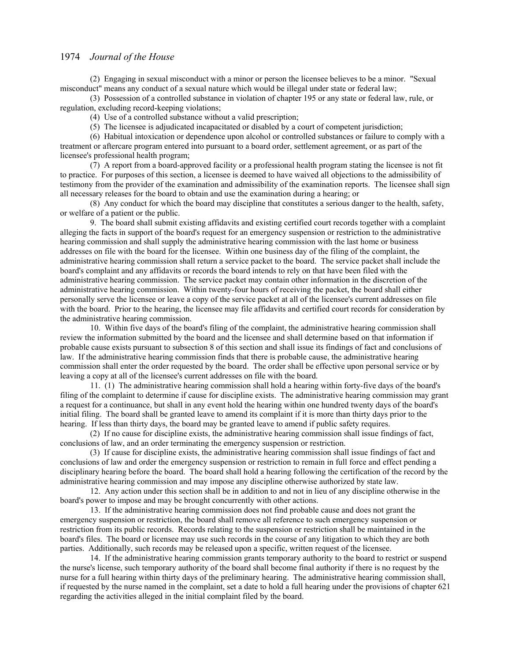(2) Engaging in sexual misconduct with a minor or person the licensee believes to be a minor. "Sexual misconduct" means any conduct of a sexual nature which would be illegal under state or federal law;

(3) Possession of a controlled substance in violation of chapter 195 or any state or federal law, rule, or regulation, excluding record-keeping violations;

(4) Use of a controlled substance without a valid prescription;

(5) The licensee is adjudicated incapacitated or disabled by a court of competent jurisdiction;

(6) Habitual intoxication or dependence upon alcohol or controlled substances or failure to comply with a treatment or aftercare program entered into pursuant to a board order, settlement agreement, or as part of the licensee's professional health program;

(7) A report from a board-approved facility or a professional health program stating the licensee is not fit to practice. For purposes of this section, a licensee is deemed to have waived all objections to the admissibility of testimony from the provider of the examination and admissibility of the examination reports. The licensee shall sign all necessary releases for the board to obtain and use the examination during a hearing; or

(8) Any conduct for which the board may discipline that constitutes a serious danger to the health, safety, or welfare of a patient or the public.

9. The board shall submit existing affidavits and existing certified court records together with a complaint alleging the facts in support of the board's request for an emergency suspension or restriction to the administrative hearing commission and shall supply the administrative hearing commission with the last home or business addresses on file with the board for the licensee. Within one business day of the filing of the complaint, the administrative hearing commission shall return a service packet to the board. The service packet shall include the board's complaint and any affidavits or records the board intends to rely on that have been filed with the administrative hearing commission. The service packet may contain other information in the discretion of the administrative hearing commission. Within twenty-four hours of receiving the packet, the board shall either personally serve the licensee or leave a copy of the service packet at all of the licensee's current addresses on file with the board. Prior to the hearing, the licensee may file affidavits and certified court records for consideration by the administrative hearing commission.

10. Within five days of the board's filing of the complaint, the administrative hearing commission shall review the information submitted by the board and the licensee and shall determine based on that information if probable cause exists pursuant to subsection 8 of this section and shall issue its findings of fact and conclusions of law. If the administrative hearing commission finds that there is probable cause, the administrative hearing commission shall enter the order requested by the board. The order shall be effective upon personal service or by leaving a copy at all of the licensee's current addresses on file with the board.

11. (1) The administrative hearing commission shall hold a hearing within forty-five days of the board's filing of the complaint to determine if cause for discipline exists. The administrative hearing commission may grant a request for a continuance, but shall in any event hold the hearing within one hundred twenty days of the board's initial filing. The board shall be granted leave to amend its complaint if it is more than thirty days prior to the hearing. If less than thirty days, the board may be granted leave to amend if public safety requires.

(2) If no cause for discipline exists, the administrative hearing commission shall issue findings of fact, conclusions of law, and an order terminating the emergency suspension or restriction.

(3) If cause for discipline exists, the administrative hearing commission shall issue findings of fact and conclusions of law and order the emergency suspension or restriction to remain in full force and effect pending a disciplinary hearing before the board. The board shall hold a hearing following the certification of the record by the administrative hearing commission and may impose any discipline otherwise authorized by state law.

12. Any action under this section shall be in addition to and not in lieu of any discipline otherwise in the board's power to impose and may be brought concurrently with other actions.

13. If the administrative hearing commission does not find probable cause and does not grant the emergency suspension or restriction, the board shall remove all reference to such emergency suspension or restriction from its public records. Records relating to the suspension or restriction shall be maintained in the board's files. The board or licensee may use such records in the course of any litigation to which they are both parties. Additionally, such records may be released upon a specific, written request of the licensee.

14. If the administrative hearing commission grants temporary authority to the board to restrict or suspend the nurse's license, such temporary authority of the board shall become final authority if there is no request by the nurse for a full hearing within thirty days of the preliminary hearing. The administrative hearing commission shall, if requested by the nurse named in the complaint, set a date to hold a full hearing under the provisions of chapter 621 regarding the activities alleged in the initial complaint filed by the board.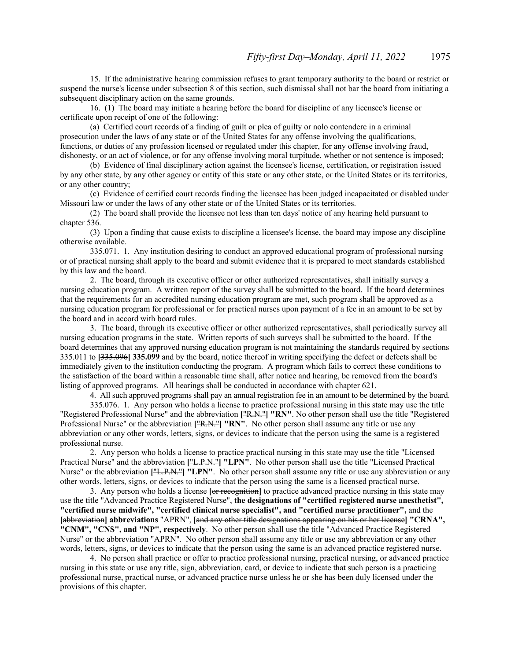15. If the administrative hearing commission refuses to grant temporary authority to the board or restrict or suspend the nurse's license under subsection 8 of this section, such dismissal shall not bar the board from initiating a subsequent disciplinary action on the same grounds.

16. (1) The board may initiate a hearing before the board for discipline of any licensee's license or certificate upon receipt of one of the following:

(a) Certified court records of a finding of guilt or plea of guilty or nolo contendere in a criminal prosecution under the laws of any state or of the United States for any offense involving the qualifications, functions, or duties of any profession licensed or regulated under this chapter, for any offense involving fraud, dishonesty, or an act of violence, or for any offense involving moral turpitude, whether or not sentence is imposed;

(b) Evidence of final disciplinary action against the licensee's license, certification, or registration issued by any other state, by any other agency or entity of this state or any other state, or the United States or its territories, or any other country;

(c) Evidence of certified court records finding the licensee has been judged incapacitated or disabled under Missouri law or under the laws of any other state or of the United States or its territories.

(2) The board shall provide the licensee not less than ten days' notice of any hearing held pursuant to chapter 536.

(3) Upon a finding that cause exists to discipline a licensee's license, the board may impose any discipline otherwise available.

335.071. 1. Any institution desiring to conduct an approved educational program of professional nursing or of practical nursing shall apply to the board and submit evidence that it is prepared to meet standards established by this law and the board.

2. The board, through its executive officer or other authorized representatives, shall initially survey a nursing education program. A written report of the survey shall be submitted to the board. If the board determines that the requirements for an accredited nursing education program are met, such program shall be approved as a nursing education program for professional or for practical nurses upon payment of a fee in an amount to be set by the board and in accord with board rules.

3. The board, through its executive officer or other authorized representatives, shall periodically survey all nursing education programs in the state. Written reports of such surveys shall be submitted to the board. If the board determines that any approved nursing education program is not maintaining the standards required by sections 335.011 to **[**335.096**] 335.099** and by the board, notice thereof in writing specifying the defect or defects shall be immediately given to the institution conducting the program. A program which fails to correct these conditions to the satisfaction of the board within a reasonable time shall, after notice and hearing, be removed from the board's listing of approved programs. All hearings shall be conducted in accordance with chapter 621.

4. All such approved programs shall pay an annual registration fee in an amount to be determined by the board.

335.076. 1. Any person who holds a license to practice professional nursing in this state may use the title "Registered Professional Nurse" and the abbreviation **[**"R.N."**] "RN"**. No other person shall use the title "Registered Professional Nurse" or the abbreviation **[**"R.N."**] "RN"**. No other person shall assume any title or use any abbreviation or any other words, letters, signs, or devices to indicate that the person using the same is a registered professional nurse.

2. Any person who holds a license to practice practical nursing in this state may use the title "Licensed Practical Nurse" and the abbreviation **[**"L.P.N."**] "LPN"**. No other person shall use the title "Licensed Practical Nurse" or the abbreviation ["L.P.N."] "LPN". No other person shall assume any title or use any abbreviation or any other words, letters, signs, or devices to indicate that the person using the same is a licensed practical nurse.

3. Any person who holds a license **[**or recognition**]** to practice advanced practice nursing in this state may use the title "Advanced Practice Registered Nurse", **the designations of "certified registered nurse anesthetist", "certified nurse midwife", "certified clinical nurse specialist", and "certified nurse practitioner",** and the **[**abbreviation**] abbreviations** "APRN", **[**and any other title designations appearing on his or her license**] "CRNA", "CNM", "CNS", and "NP", respectively**. No other person shall use the title "Advanced Practice Registered Nurse" or the abbreviation "APRN". No other person shall assume any title or use any abbreviation or any other words, letters, signs, or devices to indicate that the person using the same is an advanced practice registered nurse.

4. No person shall practice or offer to practice professional nursing, practical nursing, or advanced practice nursing in this state or use any title, sign, abbreviation, card, or device to indicate that such person is a practicing professional nurse, practical nurse, or advanced practice nurse unless he or she has been duly licensed under the provisions of this chapter.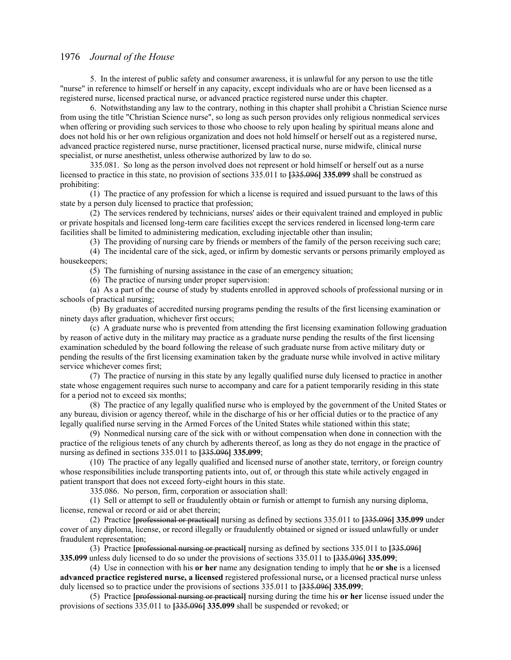5. In the interest of public safety and consumer awareness, it is unlawful for any person to use the title "nurse" in reference to himself or herself in any capacity, except individuals who are or have been licensed as a registered nurse, licensed practical nurse, or advanced practice registered nurse under this chapter.

6. Notwithstanding any law to the contrary, nothing in this chapter shall prohibit a Christian Science nurse from using the title "Christian Science nurse", so long as such person provides only religious nonmedical services when offering or providing such services to those who choose to rely upon healing by spiritual means alone and does not hold his or her own religious organization and does not hold himself or herself out as a registered nurse, advanced practice registered nurse, nurse practitioner, licensed practical nurse, nurse midwife, clinical nurse specialist, or nurse anesthetist, unless otherwise authorized by law to do so.

335.081. So long as the person involved does not represent or hold himself or herself out as a nurse licensed to practice in this state, no provision of sections 335.011 to **[**335.096**] 335.099** shall be construed as prohibiting:

(1) The practice of any profession for which a license is required and issued pursuant to the laws of this state by a person duly licensed to practice that profession;

(2) The services rendered by technicians, nurses' aides or their equivalent trained and employed in public or private hospitals and licensed long-term care facilities except the services rendered in licensed long-term care facilities shall be limited to administering medication, excluding injectable other than insulin;

(3) The providing of nursing care by friends or members of the family of the person receiving such care;

(4) The incidental care of the sick, aged, or infirm by domestic servants or persons primarily employed as housekeepers;

(5) The furnishing of nursing assistance in the case of an emergency situation;

(6) The practice of nursing under proper supervision:

(a) As a part of the course of study by students enrolled in approved schools of professional nursing or in schools of practical nursing;

(b) By graduates of accredited nursing programs pending the results of the first licensing examination or ninety days after graduation, whichever first occurs;

(c) A graduate nurse who is prevented from attending the first licensing examination following graduation by reason of active duty in the military may practice as a graduate nurse pending the results of the first licensing examination scheduled by the board following the release of such graduate nurse from active military duty or pending the results of the first licensing examination taken by the graduate nurse while involved in active military service whichever comes first;

(7) The practice of nursing in this state by any legally qualified nurse duly licensed to practice in another state whose engagement requires such nurse to accompany and care for a patient temporarily residing in this state for a period not to exceed six months;

(8) The practice of any legally qualified nurse who is employed by the government of the United States or any bureau, division or agency thereof, while in the discharge of his or her official duties or to the practice of any legally qualified nurse serving in the Armed Forces of the United States while stationed within this state;

(9) Nonmedical nursing care of the sick with or without compensation when done in connection with the practice of the religious tenets of any church by adherents thereof, as long as they do not engage in the practice of nursing as defined in sections 335.011 to **[**335.096**] 335.099**;

(10) The practice of any legally qualified and licensed nurse of another state, territory, or foreign country whose responsibilities include transporting patients into, out of, or through this state while actively engaged in patient transport that does not exceed forty-eight hours in this state.

335.086. No person, firm, corporation or association shall:

(1) Sell or attempt to sell or fraudulently obtain or furnish or attempt to furnish any nursing diploma, license, renewal or record or aid or abet therein;

(2) Practice **[**professional or practical**]** nursing as defined by sections 335.011 to **[**335.096**] 335.099** under cover of any diploma, license, or record illegally or fraudulently obtained or signed or issued unlawfully or under fraudulent representation;

(3) Practice **[**professional nursing or practical**]** nursing as defined by sections 335.011 to **[**335.096**] 335.099** unless duly licensed to do so under the provisions of sections 335.011 to **[**335.096**] 335.099**;

(4) Use in connection with his **or her** name any designation tending to imply that he **or she** is a licensed **advanced practice registered nurse, a licensed** registered professional nurse**,** or a licensed practical nurse unless duly licensed so to practice under the provisions of sections 335.011 to **[**335.096**] 335.099**;

(5) Practice **[**professional nursing or practical**]** nursing during the time his **or her** license issued under the provisions of sections 335.011 to **[**335.096**] 335.099** shall be suspended or revoked; or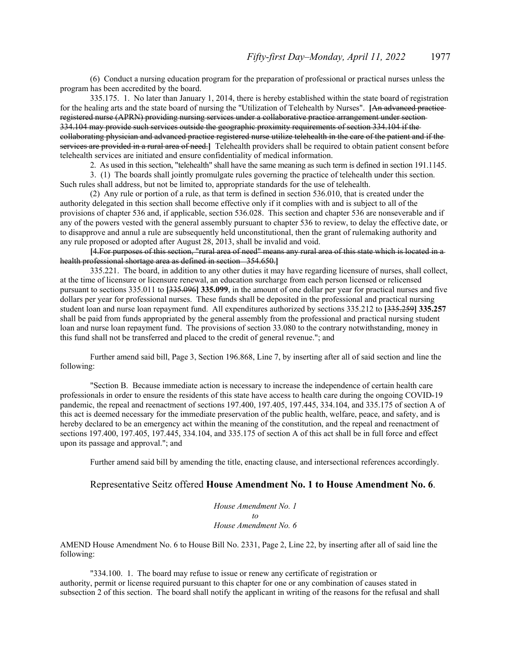(6) Conduct a nursing education program for the preparation of professional or practical nurses unless the program has been accredited by the board.

335.175. 1. No later than January 1, 2014, there is hereby established within the state board of registration for the healing arts and the state board of nursing the "Utilization of Telehealth by Nurses". **[**An advanced practice registered nurse (APRN) providing nursing services under a collaborative practice arrangement under section 334.104 may provide such services outside the geographic proximity requirements of section 334.104 if the collaborating physician and advanced practice registered nurse utilize telehealth in the care of the patient and if the services are provided in a rural area of need.**]** Telehealth providers shall be required to obtain patient consent before telehealth services are initiated and ensure confidentiality of medical information.

2. As used in this section, "telehealth" shall have the same meaning as such term is defined in section 191.1145.

3. (1) The boards shall jointly promulgate rules governing the practice of telehealth under this section. Such rules shall address, but not be limited to, appropriate standards for the use of telehealth.

(2) Any rule or portion of a rule, as that term is defined in section 536.010, that is created under the authority delegated in this section shall become effective only if it complies with and is subject to all of the provisions of chapter 536 and, if applicable, section 536.028. This section and chapter 536 are nonseverable and if any of the powers vested with the general assembly pursuant to chapter 536 to review, to delay the effective date, or to disapprove and annul a rule are subsequently held unconstitutional, then the grant of rulemaking authority and any rule proposed or adopted after August 28, 2013, shall be invalid and void.

**[**4.For purposes of this section, "rural area of need" means any rural area of this state which is located in a health professional shortage area as defined in section 354.650.**]** 

335.221. The board, in addition to any other duties it may have regarding licensure of nurses, shall collect, at the time of licensure or licensure renewal, an education surcharge from each person licensed or relicensed pursuant to sections 335.011 to **[**335.096**] 335.099**, in the amount of one dollar per year for practical nurses and five dollars per year for professional nurses. These funds shall be deposited in the professional and practical nursing student loan and nurse loan repayment fund. All expenditures authorized by sections 335.212 to **[**335.259**] 335.257** shall be paid from funds appropriated by the general assembly from the professional and practical nursing student loan and nurse loan repayment fund. The provisions of section 33.080 to the contrary notwithstanding, money in this fund shall not be transferred and placed to the credit of general revenue."; and

 Further amend said bill, Page 3, Section 196.868, Line 7, by inserting after all of said section and line the following:

 "Section B. Because immediate action is necessary to increase the independence of certain health care professionals in order to ensure the residents of this state have access to health care during the ongoing COVID-19 pandemic, the repeal and reenactment of sections 197.400, 197.405, 197.445, 334.104, and 335.175 of section A of this act is deemed necessary for the immediate preservation of the public health, welfare, peace, and safety, and is hereby declared to be an emergency act within the meaning of the constitution, and the repeal and reenactment of sections 197.400, 197.405, 197.445, 334.104, and 335.175 of section A of this act shall be in full force and effect upon its passage and approval."; and

Further amend said bill by amending the title, enacting clause, and intersectional references accordingly.

#### Representative Seitz offered **House Amendment No. 1 to House Amendment No. 6**.

*House Amendment No. 1 to House Amendment No. 6*

AMEND House Amendment No. 6 to House Bill No. 2331, Page 2, Line 22, by inserting after all of said line the following:

"334.100. 1. The board may refuse to issue or renew any certificate of registration or authority, permit or license required pursuant to this chapter for one or any combination of causes stated in subsection 2 of this section. The board shall notify the applicant in writing of the reasons for the refusal and shall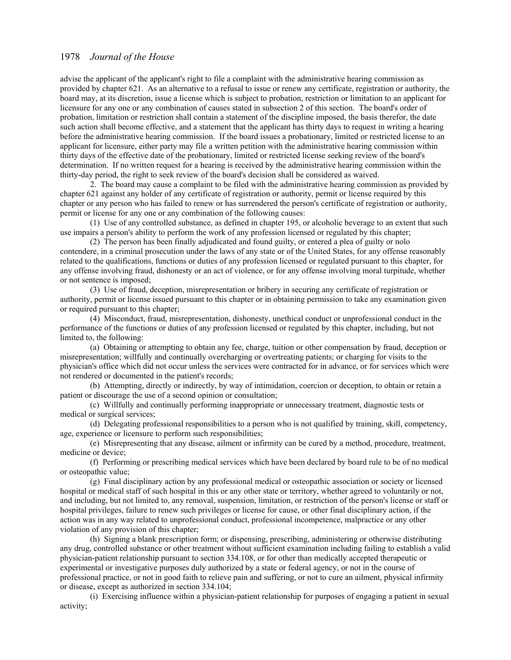advise the applicant of the applicant's right to file a complaint with the administrative hearing commission as provided by chapter 621. As an alternative to a refusal to issue or renew any certificate, registration or authority, the board may, at its discretion, issue a license which is subject to probation, restriction or limitation to an applicant for licensure for any one or any combination of causes stated in subsection 2 of this section. The board's order of probation, limitation or restriction shall contain a statement of the discipline imposed, the basis therefor, the date such action shall become effective, and a statement that the applicant has thirty days to request in writing a hearing before the administrative hearing commission. If the board issues a probationary, limited or restricted license to an applicant for licensure, either party may file a written petition with the administrative hearing commission within thirty days of the effective date of the probationary, limited or restricted license seeking review of the board's determination. If no written request for a hearing is received by the administrative hearing commission within the thirty-day period, the right to seek review of the board's decision shall be considered as waived.

2. The board may cause a complaint to be filed with the administrative hearing commission as provided by chapter 621 against any holder of any certificate of registration or authority, permit or license required by this chapter or any person who has failed to renew or has surrendered the person's certificate of registration or authority, permit or license for any one or any combination of the following causes:

(1) Use of any controlled substance, as defined in chapter 195, or alcoholic beverage to an extent that such use impairs a person's ability to perform the work of any profession licensed or regulated by this chapter;

(2) The person has been finally adjudicated and found guilty, or entered a plea of guilty or nolo contendere, in a criminal prosecution under the laws of any state or of the United States, for any offense reasonably related to the qualifications, functions or duties of any profession licensed or regulated pursuant to this chapter, for any offense involving fraud, dishonesty or an act of violence, or for any offense involving moral turpitude, whether or not sentence is imposed;

(3) Use of fraud, deception, misrepresentation or bribery in securing any certificate of registration or authority, permit or license issued pursuant to this chapter or in obtaining permission to take any examination given or required pursuant to this chapter;

(4) Misconduct, fraud, misrepresentation, dishonesty, unethical conduct or unprofessional conduct in the performance of the functions or duties of any profession licensed or regulated by this chapter, including, but not limited to, the following:

(a) Obtaining or attempting to obtain any fee, charge, tuition or other compensation by fraud, deception or misrepresentation; willfully and continually overcharging or overtreating patients; or charging for visits to the physician's office which did not occur unless the services were contracted for in advance, or for services which were not rendered or documented in the patient's records;

(b) Attempting, directly or indirectly, by way of intimidation, coercion or deception, to obtain or retain a patient or discourage the use of a second opinion or consultation;

(c) Willfully and continually performing inappropriate or unnecessary treatment, diagnostic tests or medical or surgical services;

(d) Delegating professional responsibilities to a person who is not qualified by training, skill, competency, age, experience or licensure to perform such responsibilities;

(e) Misrepresenting that any disease, ailment or infirmity can be cured by a method, procedure, treatment, medicine or device;

(f) Performing or prescribing medical services which have been declared by board rule to be of no medical or osteopathic value;

(g) Final disciplinary action by any professional medical or osteopathic association or society or licensed hospital or medical staff of such hospital in this or any other state or territory, whether agreed to voluntarily or not, and including, but not limited to, any removal, suspension, limitation, or restriction of the person's license or staff or hospital privileges, failure to renew such privileges or license for cause, or other final disciplinary action, if the action was in any way related to unprofessional conduct, professional incompetence, malpractice or any other violation of any provision of this chapter;

(h) Signing a blank prescription form; or dispensing, prescribing, administering or otherwise distributing any drug, controlled substance or other treatment without sufficient examination including failing to establish a valid physician-patient relationship pursuant to section 334.108, or for other than medically accepted therapeutic or experimental or investigative purposes duly authorized by a state or federal agency, or not in the course of professional practice, or not in good faith to relieve pain and suffering, or not to cure an ailment, physical infirmity or disease, except as authorized in section 334.104;

(i) Exercising influence within a physician-patient relationship for purposes of engaging a patient in sexual activity;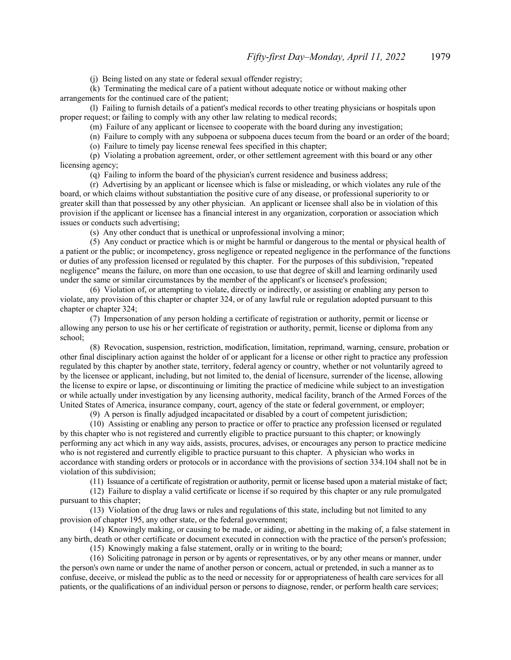(j) Being listed on any state or federal sexual offender registry;

(k) Terminating the medical care of a patient without adequate notice or without making other arrangements for the continued care of the patient;

(l) Failing to furnish details of a patient's medical records to other treating physicians or hospitals upon proper request; or failing to comply with any other law relating to medical records;

(m) Failure of any applicant or licensee to cooperate with the board during any investigation;

(n) Failure to comply with any subpoena or subpoena duces tecum from the board or an order of the board;

(o) Failure to timely pay license renewal fees specified in this chapter;

(p) Violating a probation agreement, order, or other settlement agreement with this board or any other licensing agency;

(q) Failing to inform the board of the physician's current residence and business address;

(r) Advertising by an applicant or licensee which is false or misleading, or which violates any rule of the board, or which claims without substantiation the positive cure of any disease, or professional superiority to or greater skill than that possessed by any other physician. An applicant or licensee shall also be in violation of this provision if the applicant or licensee has a financial interest in any organization, corporation or association which issues or conducts such advertising;

(s) Any other conduct that is unethical or unprofessional involving a minor;

(5) Any conduct or practice which is or might be harmful or dangerous to the mental or physical health of a patient or the public; or incompetency, gross negligence or repeated negligence in the performance of the functions or duties of any profession licensed or regulated by this chapter. For the purposes of this subdivision, "repeated negligence" means the failure, on more than one occasion, to use that degree of skill and learning ordinarily used under the same or similar circumstances by the member of the applicant's or licensee's profession;

(6) Violation of, or attempting to violate, directly or indirectly, or assisting or enabling any person to violate, any provision of this chapter or chapter 324, or of any lawful rule or regulation adopted pursuant to this chapter or chapter 324;

(7) Impersonation of any person holding a certificate of registration or authority, permit or license or allowing any person to use his or her certificate of registration or authority, permit, license or diploma from any school;

(8) Revocation, suspension, restriction, modification, limitation, reprimand, warning, censure, probation or other final disciplinary action against the holder of or applicant for a license or other right to practice any profession regulated by this chapter by another state, territory, federal agency or country, whether or not voluntarily agreed to by the licensee or applicant, including, but not limited to, the denial of licensure, surrender of the license, allowing the license to expire or lapse, or discontinuing or limiting the practice of medicine while subject to an investigation or while actually under investigation by any licensing authority, medical facility, branch of the Armed Forces of the United States of America, insurance company, court, agency of the state or federal government, or employer;

(9) A person is finally adjudged incapacitated or disabled by a court of competent jurisdiction;

(10) Assisting or enabling any person to practice or offer to practice any profession licensed or regulated by this chapter who is not registered and currently eligible to practice pursuant to this chapter; or knowingly performing any act which in any way aids, assists, procures, advises, or encourages any person to practice medicine who is not registered and currently eligible to practice pursuant to this chapter. A physician who works in accordance with standing orders or protocols or in accordance with the provisions of section 334.104 shall not be in violation of this subdivision;

(11) Issuance of a certificate of registration or authority, permit or license based upon a material mistake of fact;

(12) Failure to display a valid certificate or license if so required by this chapter or any rule promulgated pursuant to this chapter;

(13) Violation of the drug laws or rules and regulations of this state, including but not limited to any provision of chapter 195, any other state, or the federal government;

(14) Knowingly making, or causing to be made, or aiding, or abetting in the making of, a false statement in any birth, death or other certificate or document executed in connection with the practice of the person's profession;

(15) Knowingly making a false statement, orally or in writing to the board;

(16) Soliciting patronage in person or by agents or representatives, or by any other means or manner, under the person's own name or under the name of another person or concern, actual or pretended, in such a manner as to confuse, deceive, or mislead the public as to the need or necessity for or appropriateness of health care services for all patients, or the qualifications of an individual person or persons to diagnose, render, or perform health care services;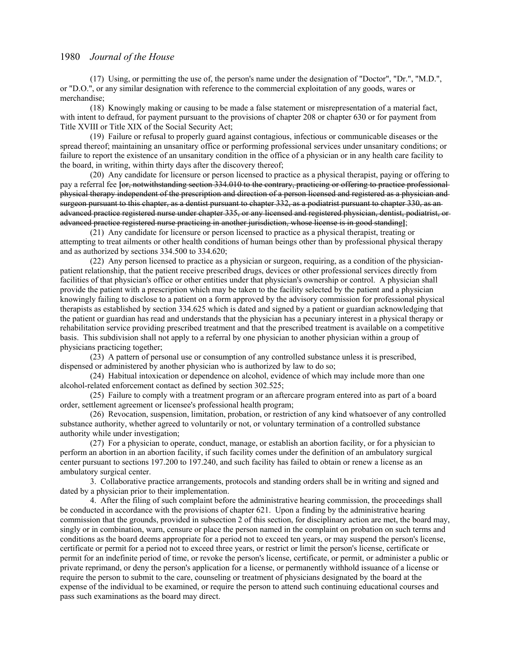(17) Using, or permitting the use of, the person's name under the designation of "Doctor", "Dr.", "M.D.", or "D.O.", or any similar designation with reference to the commercial exploitation of any goods, wares or merchandise;

(18) Knowingly making or causing to be made a false statement or misrepresentation of a material fact, with intent to defraud, for payment pursuant to the provisions of chapter 208 or chapter 630 or for payment from Title XVIII or Title XIX of the Social Security Act;

(19) Failure or refusal to properly guard against contagious, infectious or communicable diseases or the spread thereof; maintaining an unsanitary office or performing professional services under unsanitary conditions; or failure to report the existence of an unsanitary condition in the office of a physician or in any health care facility to the board, in writing, within thirty days after the discovery thereof;

(20) Any candidate for licensure or person licensed to practice as a physical therapist, paying or offering to pay a referral fee **[**or, notwithstanding section 334.010 to the contrary, practicing or offering to practice professional physical therapy independent of the prescription and direction of a person licensed and registered as a physician and surgeon pursuant to this chapter, as a dentist pursuant to chapter 332, as a podiatrist pursuant to chapter 330, as an advanced practice registered nurse under chapter 335, or any licensed and registered physician, dentist, podiatrist, or advanced practice registered nurse practicing in another jurisdiction, whose license is in good standing**]**;

(21) Any candidate for licensure or person licensed to practice as a physical therapist, treating or attempting to treat ailments or other health conditions of human beings other than by professional physical therapy and as authorized by sections 334.500 to 334.620;

(22) Any person licensed to practice as a physician or surgeon, requiring, as a condition of the physicianpatient relationship, that the patient receive prescribed drugs, devices or other professional services directly from facilities of that physician's office or other entities under that physician's ownership or control. A physician shall provide the patient with a prescription which may be taken to the facility selected by the patient and a physician knowingly failing to disclose to a patient on a form approved by the advisory commission for professional physical therapists as established by section 334.625 which is dated and signed by a patient or guardian acknowledging that the patient or guardian has read and understands that the physician has a pecuniary interest in a physical therapy or rehabilitation service providing prescribed treatment and that the prescribed treatment is available on a competitive basis. This subdivision shall not apply to a referral by one physician to another physician within a group of physicians practicing together;

(23) A pattern of personal use or consumption of any controlled substance unless it is prescribed, dispensed or administered by another physician who is authorized by law to do so;

(24) Habitual intoxication or dependence on alcohol, evidence of which may include more than one alcohol-related enforcement contact as defined by section 302.525;

(25) Failure to comply with a treatment program or an aftercare program entered into as part of a board order, settlement agreement or licensee's professional health program;

(26) Revocation, suspension, limitation, probation, or restriction of any kind whatsoever of any controlled substance authority, whether agreed to voluntarily or not, or voluntary termination of a controlled substance authority while under investigation;

(27) For a physician to operate, conduct, manage, or establish an abortion facility, or for a physician to perform an abortion in an abortion facility, if such facility comes under the definition of an ambulatory surgical center pursuant to sections 197.200 to 197.240, and such facility has failed to obtain or renew a license as an ambulatory surgical center.

3. Collaborative practice arrangements, protocols and standing orders shall be in writing and signed and dated by a physician prior to their implementation.

4. After the filing of such complaint before the administrative hearing commission, the proceedings shall be conducted in accordance with the provisions of chapter 621. Upon a finding by the administrative hearing commission that the grounds, provided in subsection 2 of this section, for disciplinary action are met, the board may, singly or in combination, warn, censure or place the person named in the complaint on probation on such terms and conditions as the board deems appropriate for a period not to exceed ten years, or may suspend the person's license, certificate or permit for a period not to exceed three years, or restrict or limit the person's license, certificate or permit for an indefinite period of time, or revoke the person's license, certificate, or permit, or administer a public or private reprimand, or deny the person's application for a license, or permanently withhold issuance of a license or require the person to submit to the care, counseling or treatment of physicians designated by the board at the expense of the individual to be examined, or require the person to attend such continuing educational courses and pass such examinations as the board may direct.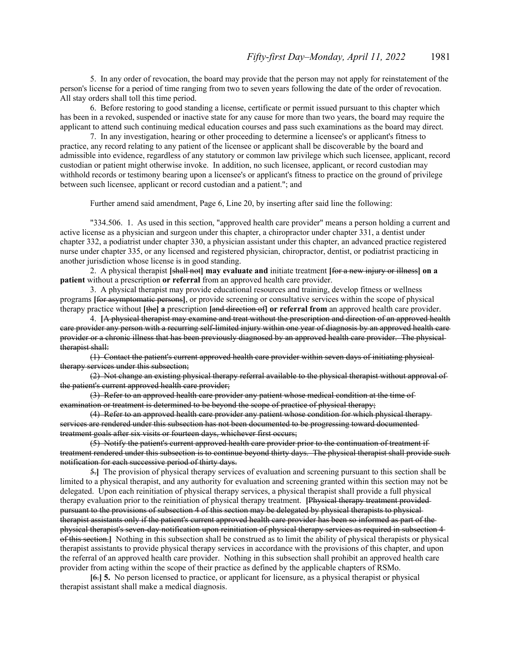5. In any order of revocation, the board may provide that the person may not apply for reinstatement of the person's license for a period of time ranging from two to seven years following the date of the order of revocation. All stay orders shall toll this time period.

6. Before restoring to good standing a license, certificate or permit issued pursuant to this chapter which has been in a revoked, suspended or inactive state for any cause for more than two years, the board may require the applicant to attend such continuing medical education courses and pass such examinations as the board may direct.

7. In any investigation, hearing or other proceeding to determine a licensee's or applicant's fitness to practice, any record relating to any patient of the licensee or applicant shall be discoverable by the board and admissible into evidence, regardless of any statutory or common law privilege which such licensee, applicant, record custodian or patient might otherwise invoke. In addition, no such licensee, applicant, or record custodian may withhold records or testimony bearing upon a licensee's or applicant's fitness to practice on the ground of privilege between such licensee, applicant or record custodian and a patient."; and

Further amend said amendment, Page 6, Line 20, by inserting after said line the following:

"334.506. 1. As used in this section, "approved health care provider" means a person holding a current and active license as a physician and surgeon under this chapter, a chiropractor under chapter 331, a dentist under chapter 332, a podiatrist under chapter 330, a physician assistant under this chapter, an advanced practice registered nurse under chapter 335, or any licensed and registered physician, chiropractor, dentist, or podiatrist practicing in another jurisdiction whose license is in good standing.

2. A physical therapist **[**shall not**] may evaluate and** initiate treatment **[**for a new injury or illness**] on a patient** without a prescription **or referral** from an approved health care provider.

3. A physical therapist may provide educational resources and training, develop fitness or wellness programs **[**for asymptomatic persons**]**, or provide screening or consultative services within the scope of physical therapy practice without **[**the**] a** prescription **[**and direction of**] or referral from** an approved health care provider.

4. **[**A physical therapist may examine and treat without the prescription and direction of an approved health care provider any person with a recurring self-limited injury within one year of diagnosis by an approved health care provider or a chronic illness that has been previously diagnosed by an approved health care provider. The physical therapist shall:

(1) Contact the patient's current approved health care provider within seven days of initiating physical therapy services under this subsection;

(2) Not change an existing physical therapy referral available to the physical therapist without approval of the patient's current approved health care provider;

(3) Refer to an approved health care provider any patient whose medical condition at the time of examination or treatment is determined to be beyond the scope of practice of physical therapy;

(4) Refer to an approved health care provider any patient whose condition for which physical therapy services are rendered under this subsection has not been documented to be progressing toward documented treatment goals after six visits or fourteen days, whichever first occurs;

(5) Notify the patient's current approved health care provider prior to the continuation of treatment if treatment rendered under this subsection is to continue beyond thirty days. The physical therapist shall provide such notification for each successive period of thirty days.

5.**]** The provision of physical therapy services of evaluation and screening pursuant to this section shall be limited to a physical therapist, and any authority for evaluation and screening granted within this section may not be delegated. Upon each reinitiation of physical therapy services, a physical therapist shall provide a full physical therapy evaluation prior to the reinitiation of physical therapy treatment. **[**Physical therapy treatment provided pursuant to the provisions of subsection 4 of this section may be delegated by physical therapists to physical therapist assistants only if the patient's current approved health care provider has been so informed as part of the physical therapist's seven-day notification upon reinitiation of physical therapy services as required in subsection 4 of this section.**]** Nothing in this subsection shall be construed as to limit the ability of physical therapists or physical therapist assistants to provide physical therapy services in accordance with the provisions of this chapter, and upon the referral of an approved health care provider. Nothing in this subsection shall prohibit an approved health care provider from acting within the scope of their practice as defined by the applicable chapters of RSMo.

**[**6.**] 5.** No person licensed to practice, or applicant for licensure, as a physical therapist or physical therapist assistant shall make a medical diagnosis.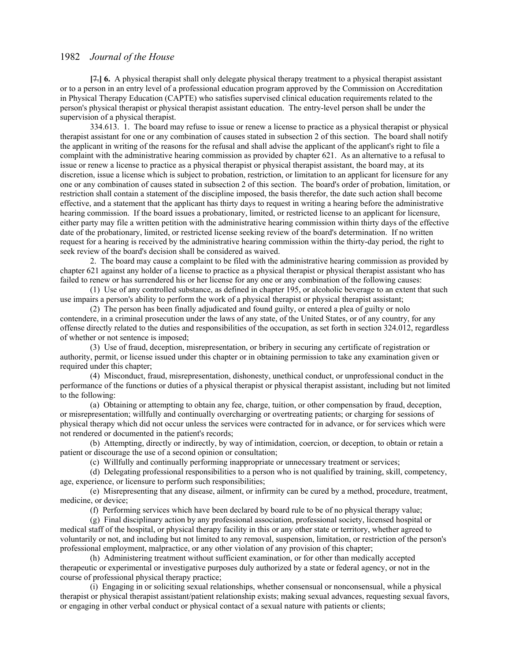**[**7.**] 6.** A physical therapist shall only delegate physical therapy treatment to a physical therapist assistant or to a person in an entry level of a professional education program approved by the Commission on Accreditation in Physical Therapy Education (CAPTE) who satisfies supervised clinical education requirements related to the person's physical therapist or physical therapist assistant education. The entry-level person shall be under the supervision of a physical therapist.

334.613. 1. The board may refuse to issue or renew a license to practice as a physical therapist or physical therapist assistant for one or any combination of causes stated in subsection 2 of this section. The board shall notify the applicant in writing of the reasons for the refusal and shall advise the applicant of the applicant's right to file a complaint with the administrative hearing commission as provided by chapter 621. As an alternative to a refusal to issue or renew a license to practice as a physical therapist or physical therapist assistant, the board may, at its discretion, issue a license which is subject to probation, restriction, or limitation to an applicant for licensure for any one or any combination of causes stated in subsection 2 of this section. The board's order of probation, limitation, or restriction shall contain a statement of the discipline imposed, the basis therefor, the date such action shall become effective, and a statement that the applicant has thirty days to request in writing a hearing before the administrative hearing commission. If the board issues a probationary, limited, or restricted license to an applicant for licensure, either party may file a written petition with the administrative hearing commission within thirty days of the effective date of the probationary, limited, or restricted license seeking review of the board's determination. If no written request for a hearing is received by the administrative hearing commission within the thirty-day period, the right to seek review of the board's decision shall be considered as waived.

2. The board may cause a complaint to be filed with the administrative hearing commission as provided by chapter 621 against any holder of a license to practice as a physical therapist or physical therapist assistant who has failed to renew or has surrendered his or her license for any one or any combination of the following causes:

(1) Use of any controlled substance, as defined in chapter 195, or alcoholic beverage to an extent that such use impairs a person's ability to perform the work of a physical therapist or physical therapist assistant;

(2) The person has been finally adjudicated and found guilty, or entered a plea of guilty or nolo contendere, in a criminal prosecution under the laws of any state, of the United States, or of any country, for any offense directly related to the duties and responsibilities of the occupation, as set forth in section 324.012, regardless of whether or not sentence is imposed;

(3) Use of fraud, deception, misrepresentation, or bribery in securing any certificate of registration or authority, permit, or license issued under this chapter or in obtaining permission to take any examination given or required under this chapter;

(4) Misconduct, fraud, misrepresentation, dishonesty, unethical conduct, or unprofessional conduct in the performance of the functions or duties of a physical therapist or physical therapist assistant, including but not limited to the following:

(a) Obtaining or attempting to obtain any fee, charge, tuition, or other compensation by fraud, deception, or misrepresentation; willfully and continually overcharging or overtreating patients; or charging for sessions of physical therapy which did not occur unless the services were contracted for in advance, or for services which were not rendered or documented in the patient's records;

(b) Attempting, directly or indirectly, by way of intimidation, coercion, or deception, to obtain or retain a patient or discourage the use of a second opinion or consultation;

(c) Willfully and continually performing inappropriate or unnecessary treatment or services;

(d) Delegating professional responsibilities to a person who is not qualified by training, skill, competency, age, experience, or licensure to perform such responsibilities;

(e) Misrepresenting that any disease, ailment, or infirmity can be cured by a method, procedure, treatment, medicine, or device;

(f) Performing services which have been declared by board rule to be of no physical therapy value;

(g) Final disciplinary action by any professional association, professional society, licensed hospital or medical staff of the hospital, or physical therapy facility in this or any other state or territory, whether agreed to voluntarily or not, and including but not limited to any removal, suspension, limitation, or restriction of the person's professional employment, malpractice, or any other violation of any provision of this chapter;

(h) Administering treatment without sufficient examination, or for other than medically accepted therapeutic or experimental or investigative purposes duly authorized by a state or federal agency, or not in the course of professional physical therapy practice;

(i) Engaging in or soliciting sexual relationships, whether consensual or nonconsensual, while a physical therapist or physical therapist assistant/patient relationship exists; making sexual advances, requesting sexual favors, or engaging in other verbal conduct or physical contact of a sexual nature with patients or clients;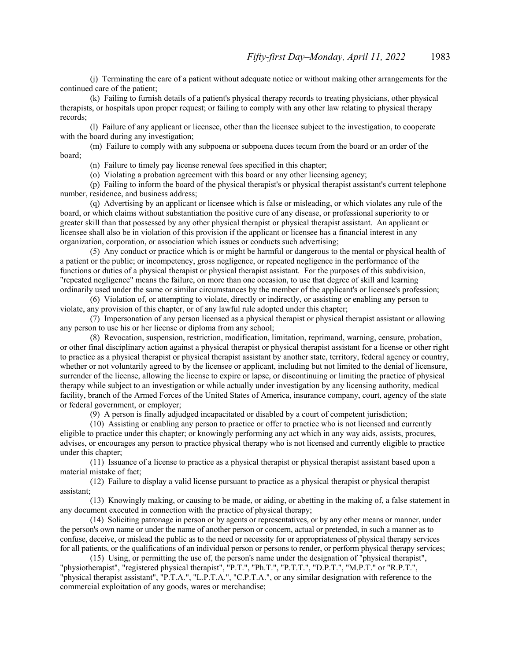(j) Terminating the care of a patient without adequate notice or without making other arrangements for the continued care of the patient;

(k) Failing to furnish details of a patient's physical therapy records to treating physicians, other physical therapists, or hospitals upon proper request; or failing to comply with any other law relating to physical therapy records;

(l) Failure of any applicant or licensee, other than the licensee subject to the investigation, to cooperate with the board during any investigation;

(m) Failure to comply with any subpoena or subpoena duces tecum from the board or an order of the board;

(n) Failure to timely pay license renewal fees specified in this chapter;

(o) Violating a probation agreement with this board or any other licensing agency;

(p) Failing to inform the board of the physical therapist's or physical therapist assistant's current telephone number, residence, and business address;

(q) Advertising by an applicant or licensee which is false or misleading, or which violates any rule of the board, or which claims without substantiation the positive cure of any disease, or professional superiority to or greater skill than that possessed by any other physical therapist or physical therapist assistant. An applicant or licensee shall also be in violation of this provision if the applicant or licensee has a financial interest in any organization, corporation, or association which issues or conducts such advertising;

(5) Any conduct or practice which is or might be harmful or dangerous to the mental or physical health of a patient or the public; or incompetency, gross negligence, or repeated negligence in the performance of the functions or duties of a physical therapist or physical therapist assistant. For the purposes of this subdivision, "repeated negligence" means the failure, on more than one occasion, to use that degree of skill and learning ordinarily used under the same or similar circumstances by the member of the applicant's or licensee's profession;

(6) Violation of, or attempting to violate, directly or indirectly, or assisting or enabling any person to violate, any provision of this chapter, or of any lawful rule adopted under this chapter;

(7) Impersonation of any person licensed as a physical therapist or physical therapist assistant or allowing any person to use his or her license or diploma from any school;

(8) Revocation, suspension, restriction, modification, limitation, reprimand, warning, censure, probation, or other final disciplinary action against a physical therapist or physical therapist assistant for a license or other right to practice as a physical therapist or physical therapist assistant by another state, territory, federal agency or country, whether or not voluntarily agreed to by the licensee or applicant, including but not limited to the denial of licensure, surrender of the license, allowing the license to expire or lapse, or discontinuing or limiting the practice of physical therapy while subject to an investigation or while actually under investigation by any licensing authority, medical facility, branch of the Armed Forces of the United States of America, insurance company, court, agency of the state or federal government, or employer;

(9) A person is finally adjudged incapacitated or disabled by a court of competent jurisdiction;

(10) Assisting or enabling any person to practice or offer to practice who is not licensed and currently eligible to practice under this chapter; or knowingly performing any act which in any way aids, assists, procures, advises, or encourages any person to practice physical therapy who is not licensed and currently eligible to practice under this chapter;

(11) Issuance of a license to practice as a physical therapist or physical therapist assistant based upon a material mistake of fact;

(12) Failure to display a valid license pursuant to practice as a physical therapist or physical therapist assistant;

(13) Knowingly making, or causing to be made, or aiding, or abetting in the making of, a false statement in any document executed in connection with the practice of physical therapy;

(14) Soliciting patronage in person or by agents or representatives, or by any other means or manner, under the person's own name or under the name of another person or concern, actual or pretended, in such a manner as to confuse, deceive, or mislead the public as to the need or necessity for or appropriateness of physical therapy services for all patients, or the qualifications of an individual person or persons to render, or perform physical therapy services;

(15) Using, or permitting the use of, the person's name under the designation of "physical therapist", "physiotherapist", "registered physical therapist", "P.T.", "Ph.T.", "P.T.T.", "D.P.T.", "M.P.T." or "R.P.T.", "physical therapist assistant", "P.T.A.", "L.P.T.A.", "C.P.T.A.", or any similar designation with reference to the commercial exploitation of any goods, wares or merchandise;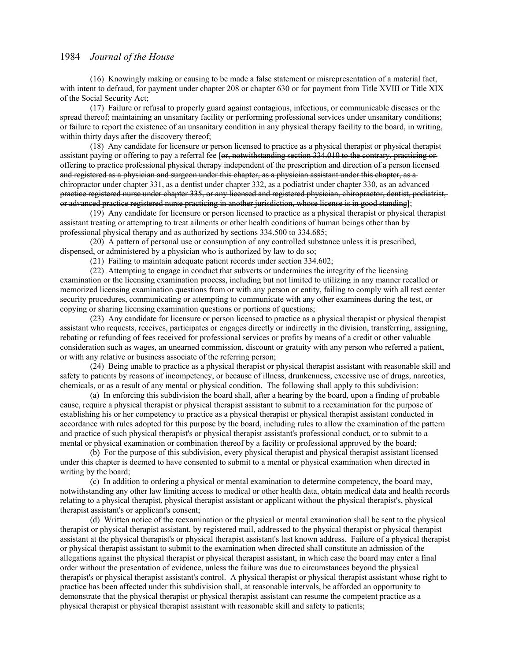(16) Knowingly making or causing to be made a false statement or misrepresentation of a material fact, with intent to defraud, for payment under chapter 208 or chapter 630 or for payment from Title XVIII or Title XIX of the Social Security Act;

(17) Failure or refusal to properly guard against contagious, infectious, or communicable diseases or the spread thereof; maintaining an unsanitary facility or performing professional services under unsanitary conditions; or failure to report the existence of an unsanitary condition in any physical therapy facility to the board, in writing, within thirty days after the discovery thereof;

(18) Any candidate for licensure or person licensed to practice as a physical therapist or physical therapist assistant paying or offering to pay a referral fee **[**or, notwithstanding section 334.010 to the contrary, practicing or offering to practice professional physical therapy independent of the prescription and direction of a person licensed and registered as a physician and surgeon under this chapter, as a physician assistant under this chapter, as a chiropractor under chapter 331, as a dentist under chapter 332, as a podiatrist under chapter 330, as an advanced practice registered nurse under chapter 335, or any licensed and registered physician, chiropractor, dentist, podiatrist, or advanced practice registered nurse practicing in another jurisdiction, whose license is in good standing**]**;

(19) Any candidate for licensure or person licensed to practice as a physical therapist or physical therapist assistant treating or attempting to treat ailments or other health conditions of human beings other than by professional physical therapy and as authorized by sections 334.500 to 334.685;

(20) A pattern of personal use or consumption of any controlled substance unless it is prescribed, dispensed, or administered by a physician who is authorized by law to do so;

(21) Failing to maintain adequate patient records under section 334.602;

(22) Attempting to engage in conduct that subverts or undermines the integrity of the licensing examination or the licensing examination process, including but not limited to utilizing in any manner recalled or memorized licensing examination questions from or with any person or entity, failing to comply with all test center security procedures, communicating or attempting to communicate with any other examinees during the test, or copying or sharing licensing examination questions or portions of questions;

(23) Any candidate for licensure or person licensed to practice as a physical therapist or physical therapist assistant who requests, receives, participates or engages directly or indirectly in the division, transferring, assigning, rebating or refunding of fees received for professional services or profits by means of a credit or other valuable consideration such as wages, an unearned commission, discount or gratuity with any person who referred a patient, or with any relative or business associate of the referring person;

(24) Being unable to practice as a physical therapist or physical therapist assistant with reasonable skill and safety to patients by reasons of incompetency, or because of illness, drunkenness, excessive use of drugs, narcotics, chemicals, or as a result of any mental or physical condition. The following shall apply to this subdivision:

(a) In enforcing this subdivision the board shall, after a hearing by the board, upon a finding of probable cause, require a physical therapist or physical therapist assistant to submit to a reexamination for the purpose of establishing his or her competency to practice as a physical therapist or physical therapist assistant conducted in accordance with rules adopted for this purpose by the board, including rules to allow the examination of the pattern and practice of such physical therapist's or physical therapist assistant's professional conduct, or to submit to a mental or physical examination or combination thereof by a facility or professional approved by the board;

(b) For the purpose of this subdivision, every physical therapist and physical therapist assistant licensed under this chapter is deemed to have consented to submit to a mental or physical examination when directed in writing by the board;

(c) In addition to ordering a physical or mental examination to determine competency, the board may, notwithstanding any other law limiting access to medical or other health data, obtain medical data and health records relating to a physical therapist, physical therapist assistant or applicant without the physical therapist's, physical therapist assistant's or applicant's consent;

(d) Written notice of the reexamination or the physical or mental examination shall be sent to the physical therapist or physical therapist assistant, by registered mail, addressed to the physical therapist or physical therapist assistant at the physical therapist's or physical therapist assistant's last known address. Failure of a physical therapist or physical therapist assistant to submit to the examination when directed shall constitute an admission of the allegations against the physical therapist or physical therapist assistant, in which case the board may enter a final order without the presentation of evidence, unless the failure was due to circumstances beyond the physical therapist's or physical therapist assistant's control. A physical therapist or physical therapist assistant whose right to practice has been affected under this subdivision shall, at reasonable intervals, be afforded an opportunity to demonstrate that the physical therapist or physical therapist assistant can resume the competent practice as a physical therapist or physical therapist assistant with reasonable skill and safety to patients;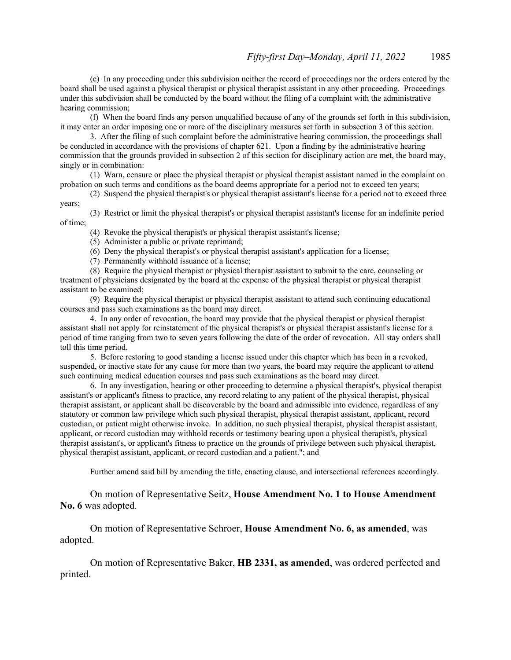(e) In any proceeding under this subdivision neither the record of proceedings nor the orders entered by the board shall be used against a physical therapist or physical therapist assistant in any other proceeding. Proceedings under this subdivision shall be conducted by the board without the filing of a complaint with the administrative hearing commission;

(f) When the board finds any person unqualified because of any of the grounds set forth in this subdivision, it may enter an order imposing one or more of the disciplinary measures set forth in subsection 3 of this section.

3. After the filing of such complaint before the administrative hearing commission, the proceedings shall be conducted in accordance with the provisions of chapter 621. Upon a finding by the administrative hearing commission that the grounds provided in subsection 2 of this section for disciplinary action are met, the board may, singly or in combination:

(1) Warn, censure or place the physical therapist or physical therapist assistant named in the complaint on probation on such terms and conditions as the board deems appropriate for a period not to exceed ten years;

(2) Suspend the physical therapist's or physical therapist assistant's license for a period not to exceed three years;

(3) Restrict or limit the physical therapist's or physical therapist assistant's license for an indefinite period of time;

(4) Revoke the physical therapist's or physical therapist assistant's license;

- (5) Administer a public or private reprimand;
- (6) Deny the physical therapist's or physical therapist assistant's application for a license;
- (7) Permanently withhold issuance of a license;

(8) Require the physical therapist or physical therapist assistant to submit to the care, counseling or treatment of physicians designated by the board at the expense of the physical therapist or physical therapist assistant to be examined;

(9) Require the physical therapist or physical therapist assistant to attend such continuing educational courses and pass such examinations as the board may direct.

4. In any order of revocation, the board may provide that the physical therapist or physical therapist assistant shall not apply for reinstatement of the physical therapist's or physical therapist assistant's license for a period of time ranging from two to seven years following the date of the order of revocation. All stay orders shall toll this time period.

5. Before restoring to good standing a license issued under this chapter which has been in a revoked, suspended, or inactive state for any cause for more than two years, the board may require the applicant to attend such continuing medical education courses and pass such examinations as the board may direct.

6. In any investigation, hearing or other proceeding to determine a physical therapist's, physical therapist assistant's or applicant's fitness to practice, any record relating to any patient of the physical therapist, physical therapist assistant, or applicant shall be discoverable by the board and admissible into evidence, regardless of any statutory or common law privilege which such physical therapist, physical therapist assistant, applicant, record custodian, or patient might otherwise invoke. In addition, no such physical therapist, physical therapist assistant, applicant, or record custodian may withhold records or testimony bearing upon a physical therapist's, physical therapist assistant's, or applicant's fitness to practice on the grounds of privilege between such physical therapist, physical therapist assistant, applicant, or record custodian and a patient."; and

Further amend said bill by amending the title, enacting clause, and intersectional references accordingly.

On motion of Representative Seitz, **House Amendment No. 1 to House Amendment No. 6** was adopted.

 On motion of Representative Schroer, **House Amendment No. 6, as amended**, was adopted.

 On motion of Representative Baker, **HB 2331, as amended**, was ordered perfected and printed.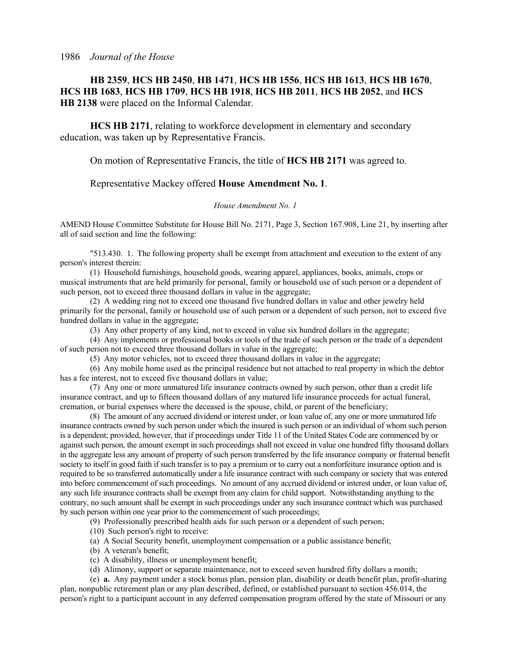# **HB 2359**, **HCS HB 2450**, **HB 1471**, **HCS HB 1556**, **HCS HB 1613**, **HCS HB 1670**, **HCS HB 1683**, **HCS HB 1709**, **HCS HB 1918**, **HCS HB 2011**, **HCS HB 2052**, and **HCS HB 2138** were placed on the Informal Calendar.

**HCS HB 2171**, relating to workforce development in elementary and secondary education, was taken up by Representative Francis.

On motion of Representative Francis, the title of **HCS HB 2171** was agreed to.

# Representative Mackey offered **House Amendment No. 1**.

#### *House Amendment No. 1*

AMEND House Committee Substitute for House Bill No. 2171, Page 3, Section 167.908, Line 21, by inserting after all of said section and line the following:

"513.430. 1. The following property shall be exempt from attachment and execution to the extent of any person's interest therein:

(1) Household furnishings, household goods, wearing apparel, appliances, books, animals, crops or musical instruments that are held primarily for personal, family or household use of such person or a dependent of such person, not to exceed three thousand dollars in value in the aggregate;

(2) A wedding ring not to exceed one thousand five hundred dollars in value and other jewelry held primarily for the personal, family or household use of such person or a dependent of such person, not to exceed five hundred dollars in value in the aggregate;

(3) Any other property of any kind, not to exceed in value six hundred dollars in the aggregate;

(4) Any implements or professional books or tools of the trade of such person or the trade of a dependent of such person not to exceed three thousand dollars in value in the aggregate;

(5) Any motor vehicles, not to exceed three thousand dollars in value in the aggregate;

(6) Any mobile home used as the principal residence but not attached to real property in which the debtor has a fee interest, not to exceed five thousand dollars in value;

(7) Any one or more unmatured life insurance contracts owned by such person, other than a credit life insurance contract, and up to fifteen thousand dollars of any matured life insurance proceeds for actual funeral, cremation, or burial expenses where the deceased is the spouse, child, or parent of the beneficiary;

(8) The amount of any accrued dividend or interest under, or loan value of, any one or more unmatured life insurance contracts owned by such person under which the insured is such person or an individual of whom such person is a dependent; provided, however, that if proceedings under Title 11 of the United States Code are commenced by or against such person, the amount exempt in such proceedings shall not exceed in value one hundred fifty thousand dollars in the aggregate less any amount of property of such person transferred by the life insurance company or fraternal benefit society to itself in good faith if such transfer is to pay a premium or to carry out a nonforfeiture insurance option and is required to be so transferred automatically under a life insurance contract with such company or society that was entered into before commencement of such proceedings. No amount of any accrued dividend or interest under, or loan value of, any such life insurance contracts shall be exempt from any claim for child support. Notwithstanding anything to the contrary, no such amount shall be exempt in such proceedings under any such insurance contract which was purchased by such person within one year prior to the commencement of such proceedings;

(9) Professionally prescribed health aids for such person or a dependent of such person;

(10) Such person's right to receive:

(a) A Social Security benefit, unemployment compensation or a public assistance benefit;

(b) A veteran's benefit;

(c) A disability, illness or unemployment benefit;

(d) Alimony, support or separate maintenance, not to exceed seven hundred fifty dollars a month;

(e) **a.** Any payment under a stock bonus plan, pension plan, disability or death benefit plan, profit-sharing plan, nonpublic retirement plan or any plan described, defined, or established pursuant to section 456.014, the person's right to a participant account in any deferred compensation program offered by the state of Missouri or any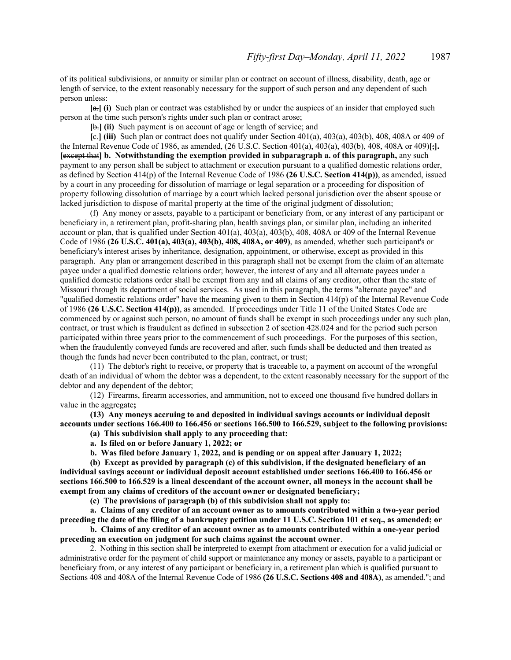of its political subdivisions, or annuity or similar plan or contract on account of illness, disability, death, age or length of service, to the extent reasonably necessary for the support of such person and any dependent of such person unless:

**[**a.**] (i)** Such plan or contract was established by or under the auspices of an insider that employed such person at the time such person's rights under such plan or contract arose;

**[**b.**] (ii)** Such payment is on account of age or length of service; and

 $[Fe]$  (iii) Such plan or contract does not qualify under Section 401(a), 403(a), 403(b), 408, 408A or 409 of the Internal Revenue Code of 1986, as amended, (26 U.S.C. Section 401(a), 403(a), 403(b), 408, 408A or 409)**[**;**]. [**except that**] b. Notwithstanding the exemption provided in subparagraph a. of this paragraph,** any such payment to any person shall be subject to attachment or execution pursuant to a qualified domestic relations order, as defined by Section 414(p) of the Internal Revenue Code of 1986 **(26 U.S.C. Section 414(p))**, as amended, issued by a court in any proceeding for dissolution of marriage or legal separation or a proceeding for disposition of property following dissolution of marriage by a court which lacked personal jurisdiction over the absent spouse or lacked jurisdiction to dispose of marital property at the time of the original judgment of dissolution;

(f) Any money or assets, payable to a participant or beneficiary from, or any interest of any participant or beneficiary in, a retirement plan, profit-sharing plan, health savings plan, or similar plan, including an inherited account or plan, that is qualified under Section 401(a), 403(a), 403(b), 408, 408A or 409 of the Internal Revenue Code of 1986 **(26 U.S.C. 401(a), 403(a), 403(b), 408, 408A, or 409)**, as amended, whether such participant's or beneficiary's interest arises by inheritance, designation, appointment, or otherwise, except as provided in this paragraph. Any plan or arrangement described in this paragraph shall not be exempt from the claim of an alternate payee under a qualified domestic relations order; however, the interest of any and all alternate payees under a qualified domestic relations order shall be exempt from any and all claims of any creditor, other than the state of Missouri through its department of social services. As used in this paragraph, the terms "alternate payee" and "qualified domestic relations order" have the meaning given to them in Section 414(p) of the Internal Revenue Code of 1986 **(26 U.S.C. Section 414(p))**, as amended. If proceedings under Title 11 of the United States Code are commenced by or against such person, no amount of funds shall be exempt in such proceedings under any such plan, contract, or trust which is fraudulent as defined in subsection 2 of section 428.024 and for the period such person participated within three years prior to the commencement of such proceedings. For the purposes of this section, when the fraudulently conveyed funds are recovered and after, such funds shall be deducted and then treated as though the funds had never been contributed to the plan, contract, or trust;

(11) The debtor's right to receive, or property that is traceable to, a payment on account of the wrongful death of an individual of whom the debtor was a dependent, to the extent reasonably necessary for the support of the debtor and any dependent of the debtor;

(12) Firearms, firearm accessories, and ammunition, not to exceed one thousand five hundred dollars in value in the aggregate**;**

**(13) Any moneys accruing to and deposited in individual savings accounts or individual deposit accounts under sections 166.400 to 166.456 or sections 166.500 to 166.529, subject to the following provisions:**

**(a) This subdivision shall apply to any proceeding that:**

**a. Is filed on or before January 1, 2022; or**

**b. Was filed before January 1, 2022, and is pending or on appeal after January 1, 2022;**

**(b) Except as provided by paragraph (c) of this subdivision, if the designated beneficiary of an individual savings account or individual deposit account established under sections 166.400 to 166.456 or sections 166.500 to 166.529 is a lineal descendant of the account owner, all moneys in the account shall be exempt from any claims of creditors of the account owner or designated beneficiary;**

**(c) The provisions of paragraph (b) of this subdivision shall not apply to:**

**a. Claims of any creditor of an account owner as to amounts contributed within a two-year period preceding the date of the filing of a bankruptcy petition under 11 U.S.C. Section 101 et seq., as amended; or**

**b. Claims of any creditor of an account owner as to amounts contributed within a one-year period preceding an execution on judgment for such claims against the account owner**.

2. Nothing in this section shall be interpreted to exempt from attachment or execution for a valid judicial or administrative order for the payment of child support or maintenance any money or assets, payable to a participant or beneficiary from, or any interest of any participant or beneficiary in, a retirement plan which is qualified pursuant to Sections 408 and 408A of the Internal Revenue Code of 1986 **(26 U.S.C. Sections 408 and 408A)**, as amended."; and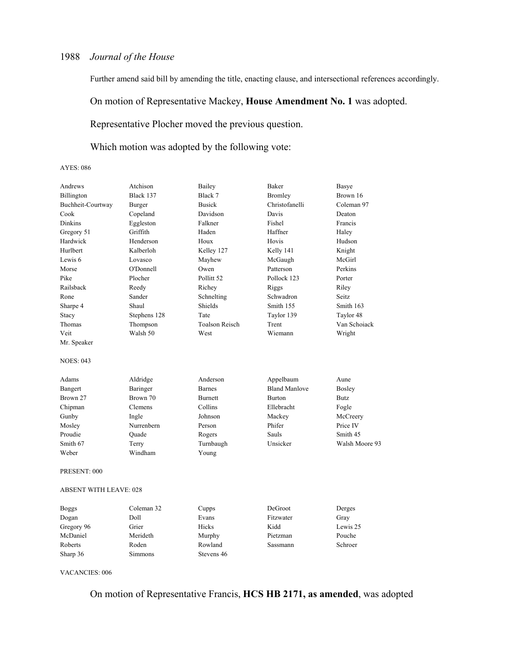Further amend said bill by amending the title, enacting clause, and intersectional references accordingly.

On motion of Representative Mackey, **House Amendment No. 1** was adopted.

Representative Plocher moved the previous question.

Which motion was adopted by the following vote:

AYES: 086

| Andrews                | Atchison     | Bailey                | Baker                | Basye          |
|------------------------|--------------|-----------------------|----------------------|----------------|
| Billington             | Black 137    | Black 7               | <b>Bromley</b>       | Brown 16       |
| Buchheit-Courtway      | Burger       | <b>Busick</b>         | Christofanelli       | Coleman 97     |
| Cook                   | Copeland     | Davidson              | Davis                | Deaton         |
| Dinkins                | Eggleston    | Falkner               | Fishel               | Francis        |
| Gregory 51             | Griffith     | Haden                 | Haffner              | Haley          |
| Hardwick               | Henderson    | Houx                  | Hovis                | Hudson         |
| Hurlbert               | Kalberloh    | Kelley 127            | Kelly 141            | Knight         |
| Lewis <sub>6</sub>     | Lovasco      | Mayhew                | McGaugh              | McGirl         |
| Morse                  | O'Donnell    | Owen                  | Patterson            | Perkins        |
| Pike                   | Plocher      | Pollitt <sub>52</sub> | Pollock 123          | Porter         |
| Railsback              | Reedy        | Richey                | Riggs                | Riley          |
| Rone                   | Sander       | Schnelting            | Schwadron            | Seitz          |
| Sharpe 4               | Shaul        | Shields               | Smith 155            | Smith 163      |
| Stacy                  | Stephens 128 | Tate                  | Taylor 139           | Taylor 48      |
| Thomas                 | Thompson     | <b>Toalson Reisch</b> | Trent                | Van Schoiack   |
| Veit                   | Walsh 50     | West                  | Wiemann              | Wright         |
| Mr. Speaker            |              |                       |                      |                |
| <b>NOES: 043</b>       |              |                       |                      |                |
| Adams                  | Aldridge     | Anderson              | Appelbaum            | Aune           |
| Bangert                | Baringer     | <b>Barnes</b>         | <b>Bland Manlove</b> | Bosley         |
| Brown 27               | Brown 70     | <b>Burnett</b>        | <b>Burton</b>        | Butz           |
| Chipman                | Clemens      | Collins               | Ellebracht           | Fogle          |
| Gunby                  | Ingle        | Johnson               | Mackey               | McCreery       |
| Mosley                 | Nurrenbern   | Person                | Phifer               | Price IV       |
| Proudie                | Quade        | Rogers                | Sauls                | Smith 45       |
| Smith 67               | Terry        | Turnbaugh             | Unsicker             | Walsh Moore 93 |
| Weber                  | Windham      | Young                 |                      |                |
| PRESENT: 000           |              |                       |                      |                |
| ABSENT WITH LEAVE: 028 |              |                       |                      |                |
| <b>Boggs</b>           | Coleman 32   | Cupps                 | DeGroot              | Derges         |
| Dogan                  | Doll         | Evans                 | Fitzwater            | Gray           |
| Gregory 96             | Grier        | Hicks                 | Kidd                 | Lewis 25       |
| McDaniel               | Merideth     | Murphy                | Pietzman             | Pouche         |
| Roberts                | Roden        | Rowland               | Sassmann             | Schroer        |
| Sharp 36               | Simmons      | Stevens 46            |                      |                |

VACANCIES: 006

On motion of Representative Francis, **HCS HB 2171, as amended**, was adopted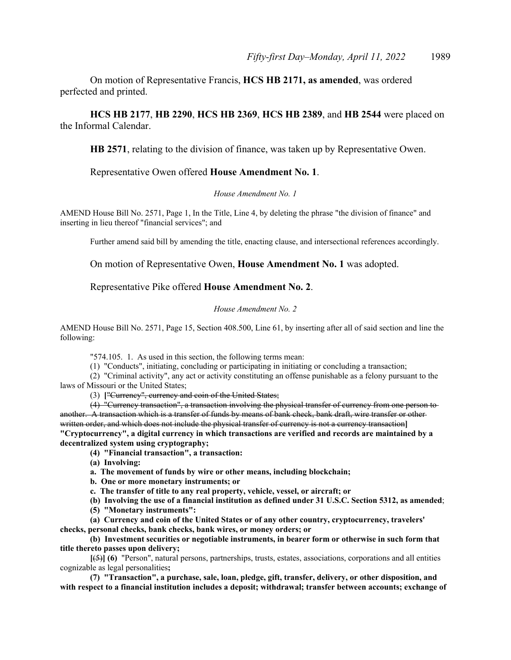On motion of Representative Francis, **HCS HB 2171, as amended**, was ordered perfected and printed.

**HCS HB 2177**, **HB 2290**, **HCS HB 2369**, **HCS HB 2389**, and **HB 2544** were placed on the Informal Calendar.

**HB 2571**, relating to the division of finance, was taken up by Representative Owen.

# Representative Owen offered **House Amendment No. 1**.

### *House Amendment No. 1*

AMEND House Bill No. 2571, Page 1, In the Title, Line 4, by deleting the phrase "the division of finance" and inserting in lieu thereof "financial services"; and

Further amend said bill by amending the title, enacting clause, and intersectional references accordingly.

On motion of Representative Owen, **House Amendment No. 1** was adopted.

# Representative Pike offered **House Amendment No. 2**.

#### *House Amendment No. 2*

AMEND House Bill No. 2571, Page 15, Section 408.500, Line 61, by inserting after all of said section and line the following:

"574.105. 1. As used in this section, the following terms mean:

(1) "Conducts", initiating, concluding or participating in initiating or concluding a transaction;

(2) "Criminal activity", any act or activity constituting an offense punishable as a felony pursuant to the laws of Missouri or the United States;

(3) **[**"Currency", currency and coin of the United States;

(4) "Currency transaction", a transaction involving the physical transfer of currency from one person to another. A transaction which is a transfer of funds by means of bank check, bank draft, wire transfer or other written order, and which does not include the physical transfer of currency is not a currency transaction**] "Cryptocurrency", a digital currency in which transactions are verified and records are maintained by a decentralized system using cryptography;**

**(4) "Financial transaction", a transaction:**

**(a) Involving:**

**a. The movement of funds by wire or other means, including blockchain;**

**b. One or more monetary instruments; or**

**c. The transfer of title to any real property, vehicle, vessel, or aircraft; or**

**(b) Involving the use of a financial institution as defined under 31 U.S.C. Section 5312, as amended**; **(5) "Monetary instruments":**

**(a) Currency and coin of the United States or of any other country, cryptocurrency, travelers' checks, personal checks, bank checks, bank wires, or money orders; or**

**(b) Investment securities or negotiable instruments, in bearer form or otherwise in such form that title thereto passes upon delivery;**

**[**(5)**] (6)** "Person", natural persons, partnerships, trusts, estates, associations, corporations and all entities cognizable as legal personalities**;**

**(7) "Transaction", a purchase, sale, loan, pledge, gift, transfer, delivery, or other disposition, and with respect to a financial institution includes a deposit; withdrawal; transfer between accounts; exchange of**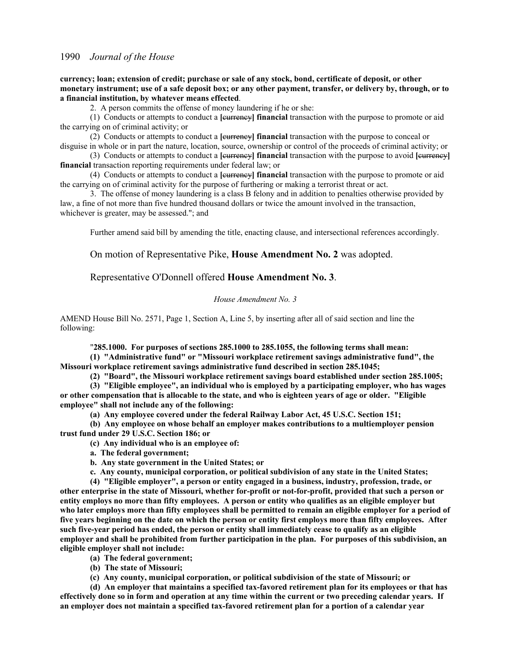**currency; loan; extension of credit; purchase or sale of any stock, bond, certificate of deposit, or other monetary instrument; use of a safe deposit box; or any other payment, transfer, or delivery by, through, or to a financial institution, by whatever means effected**.

2. A person commits the offense of money laundering if he or she:

(1) Conducts or attempts to conduct a **[**currency**] financial** transaction with the purpose to promote or aid the carrying on of criminal activity; or

(2) Conducts or attempts to conduct a **[**currency**] financial** transaction with the purpose to conceal or disguise in whole or in part the nature, location, source, ownership or control of the proceeds of criminal activity; or

(3) Conducts or attempts to conduct a **[**currency**] financial** transaction with the purpose to avoid **[**currency**] financial** transaction reporting requirements under federal law; or

(4) Conducts or attempts to conduct a **[**currency**] financial** transaction with the purpose to promote or aid the carrying on of criminal activity for the purpose of furthering or making a terrorist threat or act.

3. The offense of money laundering is a class B felony and in addition to penalties otherwise provided by law, a fine of not more than five hundred thousand dollars or twice the amount involved in the transaction, whichever is greater, may be assessed."; and

Further amend said bill by amending the title, enacting clause, and intersectional references accordingly.

On motion of Representative Pike, **House Amendment No. 2** was adopted.

Representative O'Donnell offered **House Amendment No. 3**.

#### *House Amendment No. 3*

AMEND House Bill No. 2571, Page 1, Section A, Line 5, by inserting after all of said section and line the following:

"**285.1000. For purposes of sections 285.1000 to 285.1055, the following terms shall mean:**

**(1) "Administrative fund" or "Missouri workplace retirement savings administrative fund", the Missouri workplace retirement savings administrative fund described in section 285.1045;**

**(2) "Board", the Missouri workplace retirement savings board established under section 285.1005;**

**(3) "Eligible employee", an individual who is employed by a participating employer, who has wages or other compensation that is allocable to the state, and who is eighteen years of age or older. "Eligible employee" shall not include any of the following:**

**(a) Any employee covered under the federal Railway Labor Act, 45 U.S.C. Section 151;**

**(b) Any employee on whose behalf an employer makes contributions to a multiemployer pension trust fund under 29 U.S.C. Section 186; or**

**(c) Any individual who is an employee of:**

**a. The federal government;**

**b. Any state government in the United States; or**

**c. Any county, municipal corporation, or political subdivision of any state in the United States;**

**(4) "Eligible employer", a person or entity engaged in a business, industry, profession, trade, or other enterprise in the state of Missouri, whether for-profit or not-for-profit, provided that such a person or entity employs no more than fifty employees. A person or entity who qualifies as an eligible employer but who later employs more than fifty employees shall be permitted to remain an eligible employer for a period of five years beginning on the date on which the person or entity first employs more than fifty employees. After such five-year period has ended, the person or entity shall immediately cease to qualify as an eligible employer and shall be prohibited from further participation in the plan. For purposes of this subdivision, an eligible employer shall not include:**

**(a) The federal government;**

**(b) The state of Missouri;**

**(c) Any county, municipal corporation, or political subdivision of the state of Missouri; or**

**(d) An employer that maintains a specified tax-favored retirement plan for its employees or that has effectively done so in form and operation at any time within the current or two preceding calendar years. If an employer does not maintain a specified tax-favored retirement plan for a portion of a calendar year**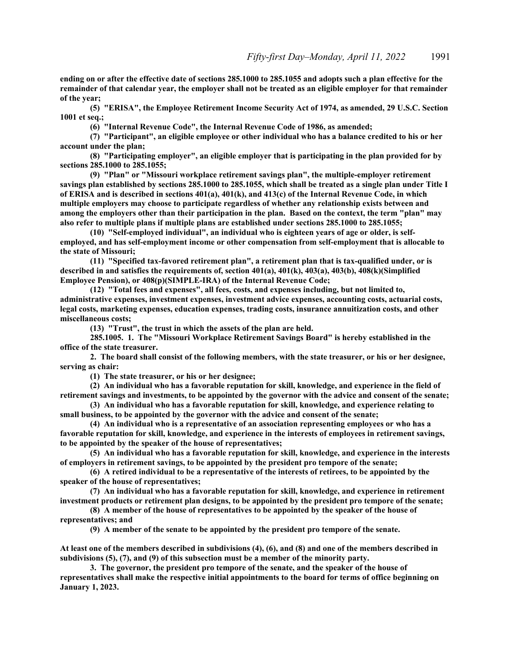**ending on or after the effective date of sections 285.1000 to 285.1055 and adopts such a plan effective for the remainder of that calendar year, the employer shall not be treated as an eligible employer for that remainder of the year;**

**(5) "ERISA", the Employee Retirement Income Security Act of 1974, as amended, 29 U.S.C. Section 1001 et seq.;**

**(6) "Internal Revenue Code", the Internal Revenue Code of 1986, as amended;**

**(7) "Participant", an eligible employee or other individual who has a balance credited to his or her account under the plan;**

**(8) "Participating employer", an eligible employer that is participating in the plan provided for by sections 285.1000 to 285.1055;**

**(9) "Plan" or "Missouri workplace retirement savings plan", the multiple-employer retirement savings plan established by sections 285.1000 to 285.1055, which shall be treated as a single plan under Title I of ERISA and is described in sections 401(a), 401(k), and 413(c) of the Internal Revenue Code, in which multiple employers may choose to participate regardless of whether any relationship exists between and among the employers other than their participation in the plan. Based on the context, the term "plan" may also refer to multiple plans if multiple plans are established under sections 285.1000 to 285.1055;**

**(10) "Self-employed individual", an individual who is eighteen years of age or older, is selfemployed, and has self-employment income or other compensation from self-employment that is allocable to the state of Missouri;**

**(11) "Specified tax-favored retirement plan", a retirement plan that is tax-qualified under, or is described in and satisfies the requirements of, section 401(a), 401(k), 403(a), 403(b), 408(k)(Simplified Employee Pension), or 408(p)(SIMPLE-IRA) of the Internal Revenue Code;**

**(12) "Total fees and expenses", all fees, costs, and expenses including, but not limited to, administrative expenses, investment expenses, investment advice expenses, accounting costs, actuarial costs, legal costs, marketing expenses, education expenses, trading costs, insurance annuitization costs, and other miscellaneous costs;**

**(13) "Trust", the trust in which the assets of the plan are held.**

**285.1005. 1. The "Missouri Workplace Retirement Savings Board" is hereby established in the office of the state treasurer.**

**2. The board shall consist of the following members, with the state treasurer, or his or her designee, serving as chair:**

**(1) The state treasurer, or his or her designee;**

**(2) An individual who has a favorable reputation for skill, knowledge, and experience in the field of retirement savings and investments, to be appointed by the governor with the advice and consent of the senate;**

**(3) An individual who has a favorable reputation for skill, knowledge, and experience relating to small business, to be appointed by the governor with the advice and consent of the senate;**

**(4) An individual who is a representative of an association representing employees or who has a favorable reputation for skill, knowledge, and experience in the interests of employees in retirement savings, to be appointed by the speaker of the house of representatives;**

**(5) An individual who has a favorable reputation for skill, knowledge, and experience in the interests of employers in retirement savings, to be appointed by the president pro tempore of the senate;**

**(6) A retired individual to be a representative of the interests of retirees, to be appointed by the speaker of the house of representatives;**

**(7) An individual who has a favorable reputation for skill, knowledge, and experience in retirement investment products or retirement plan designs, to be appointed by the president pro tempore of the senate;**

**(8) A member of the house of representatives to be appointed by the speaker of the house of representatives; and**

**(9) A member of the senate to be appointed by the president pro tempore of the senate.** 

**At least one of the members described in subdivisions (4), (6), and (8) and one of the members described in subdivisions (5), (7), and (9) of this subsection must be a member of the minority party.**

**3. The governor, the president pro tempore of the senate, and the speaker of the house of representatives shall make the respective initial appointments to the board for terms of office beginning on January 1, 2023.**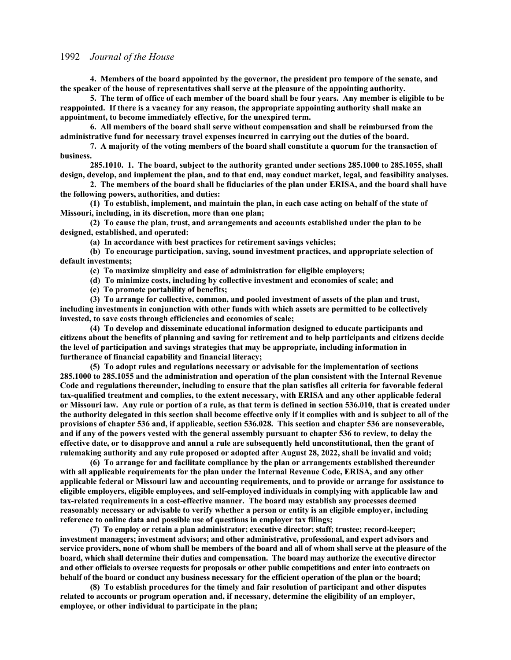**4. Members of the board appointed by the governor, the president pro tempore of the senate, and the speaker of the house of representatives shall serve at the pleasure of the appointing authority.**

**5. The term of office of each member of the board shall be four years. Any member is eligible to be reappointed. If there is a vacancy for any reason, the appropriate appointing authority shall make an appointment, to become immediately effective, for the unexpired term.**

**6. All members of the board shall serve without compensation and shall be reimbursed from the administrative fund for necessary travel expenses incurred in carrying out the duties of the board.**

**7. A majority of the voting members of the board shall constitute a quorum for the transaction of business.**

**285.1010. 1. The board, subject to the authority granted under sections 285.1000 to 285.1055, shall design, develop, and implement the plan, and to that end, may conduct market, legal, and feasibility analyses.**

**2. The members of the board shall be fiduciaries of the plan under ERISA, and the board shall have the following powers, authorities, and duties:**

**(1) To establish, implement, and maintain the plan, in each case acting on behalf of the state of Missouri, including, in its discretion, more than one plan;**

**(2) To cause the plan, trust, and arrangements and accounts established under the plan to be designed, established, and operated:**

**(a) In accordance with best practices for retirement savings vehicles;**

**(b) To encourage participation, saving, sound investment practices, and appropriate selection of default investments;**

**(c) To maximize simplicity and ease of administration for eligible employers;**

**(d) To minimize costs, including by collective investment and economies of scale; and**

**(e) To promote portability of benefits;**

**(3) To arrange for collective, common, and pooled investment of assets of the plan and trust, including investments in conjunction with other funds with which assets are permitted to be collectively invested, to save costs through efficiencies and economies of scale;**

**(4) To develop and disseminate educational information designed to educate participants and citizens about the benefits of planning and saving for retirement and to help participants and citizens decide the level of participation and savings strategies that may be appropriate, including information in furtherance of financial capability and financial literacy;**

**(5) To adopt rules and regulations necessary or advisable for the implementation of sections 285.1000 to 285.1055 and the administration and operation of the plan consistent with the Internal Revenue Code and regulations thereunder, including to ensure that the plan satisfies all criteria for favorable federal tax-qualified treatment and complies, to the extent necessary, with ERISA and any other applicable federal or Missouri law. Any rule or portion of a rule, as that term is defined in section 536.010, that is created under the authority delegated in this section shall become effective only if it complies with and is subject to all of the provisions of chapter 536 and, if applicable, section 536.028. This section and chapter 536 are nonseverable, and if any of the powers vested with the general assembly pursuant to chapter 536 to review, to delay the effective date, or to disapprove and annul a rule are subsequently held unconstitutional, then the grant of rulemaking authority and any rule proposed or adopted after August 28, 2022, shall be invalid and void;**

**(6) To arrange for and facilitate compliance by the plan or arrangements established thereunder with all applicable requirements for the plan under the Internal Revenue Code, ERISA, and any other applicable federal or Missouri law and accounting requirements, and to provide or arrange for assistance to eligible employers, eligible employees, and self-employed individuals in complying with applicable law and tax-related requirements in a cost-effective manner. The board may establish any processes deemed reasonably necessary or advisable to verify whether a person or entity is an eligible employer, including reference to online data and possible use of questions in employer tax filings;**

**(7) To employ or retain a plan administrator; executive director; staff; trustee; record-keeper; investment managers; investment advisors; and other administrative, professional, and expert advisors and service providers, none of whom shall be members of the board and all of whom shall serve at the pleasure of the board, which shall determine their duties and compensation. The board may authorize the executive director and other officials to oversee requests for proposals or other public competitions and enter into contracts on behalf of the board or conduct any business necessary for the efficient operation of the plan or the board;**

**(8) To establish procedures for the timely and fair resolution of participant and other disputes related to accounts or program operation and, if necessary, determine the eligibility of an employer, employee, or other individual to participate in the plan;**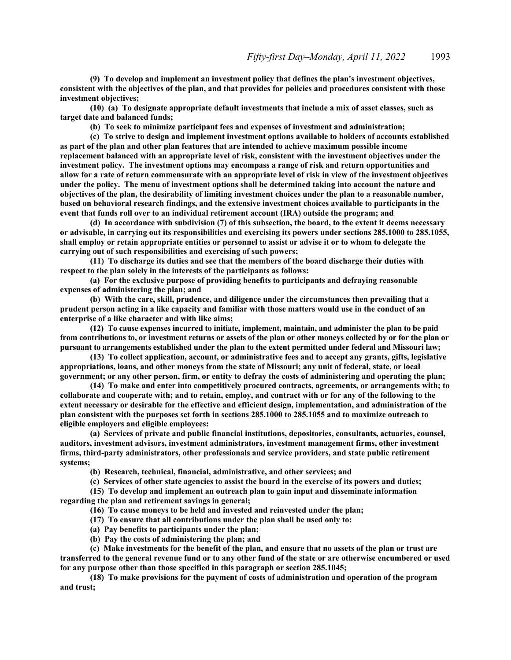**(9) To develop and implement an investment policy that defines the plan's investment objectives, consistent with the objectives of the plan, and that provides for policies and procedures consistent with those investment objectives;**

**(10) (a) To designate appropriate default investments that include a mix of asset classes, such as target date and balanced funds;**

**(b) To seek to minimize participant fees and expenses of investment and administration;**

**(c) To strive to design and implement investment options available to holders of accounts established as part of the plan and other plan features that are intended to achieve maximum possible income replacement balanced with an appropriate level of risk, consistent with the investment objectives under the investment policy. The investment options may encompass a range of risk and return opportunities and allow for a rate of return commensurate with an appropriate level of risk in view of the investment objectives under the policy. The menu of investment options shall be determined taking into account the nature and objectives of the plan, the desirability of limiting investment choices under the plan to a reasonable number, based on behavioral research findings, and the extensive investment choices available to participants in the event that funds roll over to an individual retirement account (IRA) outside the program; and**

**(d) In accordance with subdivision (7) of this subsection, the board, to the extent it deems necessary or advisable, in carrying out its responsibilities and exercising its powers under sections 285.1000 to 285.1055, shall employ or retain appropriate entities or personnel to assist or advise it or to whom to delegate the carrying out of such responsibilities and exercising of such powers;**

**(11) To discharge its duties and see that the members of the board discharge their duties with respect to the plan solely in the interests of the participants as follows:**

**(a) For the exclusive purpose of providing benefits to participants and defraying reasonable expenses of administering the plan; and**

**(b) With the care, skill, prudence, and diligence under the circumstances then prevailing that a prudent person acting in a like capacity and familiar with those matters would use in the conduct of an enterprise of a like character and with like aims;**

**(12) To cause expenses incurred to initiate, implement, maintain, and administer the plan to be paid from contributions to, or investment returns or assets of the plan or other moneys collected by or for the plan or pursuant to arrangements established under the plan to the extent permitted under federal and Missouri law;**

**(13) To collect application, account, or administrative fees and to accept any grants, gifts, legislative appropriations, loans, and other moneys from the state of Missouri; any unit of federal, state, or local government; or any other person, firm, or entity to defray the costs of administering and operating the plan;**

**(14) To make and enter into competitively procured contracts, agreements, or arrangements with; to collaborate and cooperate with; and to retain, employ, and contract with or for any of the following to the extent necessary or desirable for the effective and efficient design, implementation, and administration of the plan consistent with the purposes set forth in sections 285.1000 to 285.1055 and to maximize outreach to eligible employers and eligible employees:**

**(a) Services of private and public financial institutions, depositories, consultants, actuaries, counsel, auditors, investment advisors, investment administrators, investment management firms, other investment firms, third-party administrators, other professionals and service providers, and state public retirement systems;**

**(b) Research, technical, financial, administrative, and other services; and**

**(c) Services of other state agencies to assist the board in the exercise of its powers and duties;**

**(15) To develop and implement an outreach plan to gain input and disseminate information regarding the plan and retirement savings in general;**

**(16) To cause moneys to be held and invested and reinvested under the plan;**

**(17) To ensure that all contributions under the plan shall be used only to:**

**(a) Pay benefits to participants under the plan;**

**(b) Pay the costs of administering the plan; and**

**(c) Make investments for the benefit of the plan, and ensure that no assets of the plan or trust are transferred to the general revenue fund or to any other fund of the state or are otherwise encumbered or used for any purpose other than those specified in this paragraph or section 285.1045;**

**(18) To make provisions for the payment of costs of administration and operation of the program and trust;**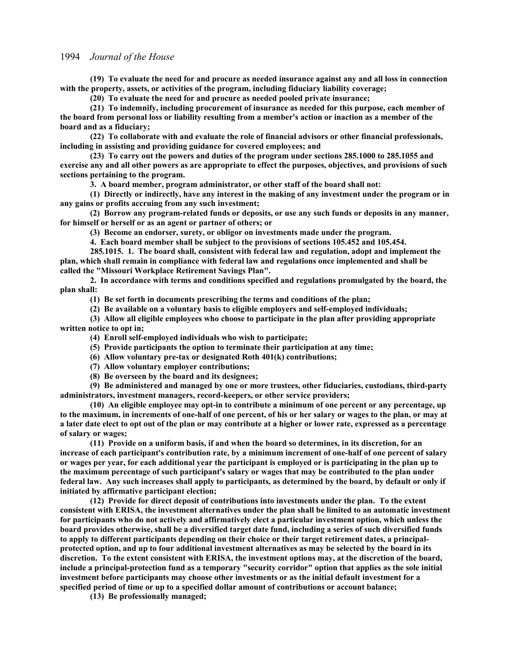**(19) To evaluate the need for and procure as needed insurance against any and all loss in connection with the property, assets, or activities of the program, including fiduciary liability coverage;**

**(20) To evaluate the need for and procure as needed pooled private insurance;**

**(21) To indemnify, including procurement of insurance as needed for this purpose, each member of the board from personal loss or liability resulting from a member's action or inaction as a member of the board and as a fiduciary;**

**(22) To collaborate with and evaluate the role of financial advisors or other financial professionals, including in assisting and providing guidance for covered employees; and**

**(23) To carry out the powers and duties of the program under sections 285.1000 to 285.1055 and exercise any and all other powers as are appropriate to effect the purposes, objectives, and provisions of such sections pertaining to the program.**

**3. A board member, program administrator, or other staff of the board shall not:**

**(1) Directly or indirectly, have any interest in the making of any investment under the program or in any gains or profits accruing from any such investment;**

**(2) Borrow any program-related funds or deposits, or use any such funds or deposits in any manner, for himself or herself or as an agent or partner of others; or**

**(3) Become an endorser, surety, or obligor on investments made under the program.**

**4. Each board member shall be subject to the provisions of sections 105.452 and 105.454.**

**285.1015. 1. The board shall, consistent with federal law and regulation, adopt and implement the plan, which shall remain in compliance with federal law and regulations once implemented and shall be called the "Missouri Workplace Retirement Savings Plan".**

**2. In accordance with terms and conditions specified and regulations promulgated by the board, the plan shall:**

**(1) Be set forth in documents prescribing the terms and conditions of the plan;**

**(2) Be available on a voluntary basis to eligible employers and self-employed individuals;**

**(3) Allow all eligible employees who choose to participate in the plan after providing appropriate written notice to opt in;**

**(4) Enroll self-employed individuals who wish to participate;**

- **(5) Provide participants the option to terminate their participation at any time;**
- **(6) Allow voluntary pre-tax or designated Roth 401(k) contributions;**
- **(7) Allow voluntary employer contributions;**
- **(8) Be overseen by the board and its designees;**

**(9) Be administered and managed by one or more trustees, other fiduciaries, custodians, third-party administrators, investment managers, record-keepers, or other service providers;**

**(10) An eligible employee may opt-in to contribute a minimum of one percent or any percentage, up to the maximum, in increments of one-half of one percent, of his or her salary or wages to the plan, or may at a later date elect to opt out of the plan or may contribute at a higher or lower rate, expressed as a percentage of salary or wages;**

**(11) Provide on a uniform basis, if and when the board so determines, in its discretion, for an increase of each participant's contribution rate, by a minimum increment of one-half of one percent of salary or wages per year, for each additional year the participant is employed or is participating in the plan up to the maximum percentage of such participant's salary or wages that may be contributed to the plan under federal law. Any such increases shall apply to participants, as determined by the board, by default or only if initiated by affirmative participant election;**

**(12) Provide for direct deposit of contributions into investments under the plan. To the extent consistent with ERISA, the investment alternatives under the plan shall be limited to an automatic investment for participants who do not actively and affirmatively elect a particular investment option, which unless the board provides otherwise, shall be a diversified target date fund, including a series of such diversified funds to apply to different participants depending on their choice or their target retirement dates, a principalprotected option, and up to four additional investment alternatives as may be selected by the board in its discretion. To the extent consistent with ERISA, the investment options may, at the discretion of the board, include a principal-protection fund as a temporary "security corridor" option that applies as the sole initial investment before participants may choose other investments or as the initial default investment for a specified period of time or up to a specified dollar amount of contributions or account balance;**

**(13) Be professionally managed;**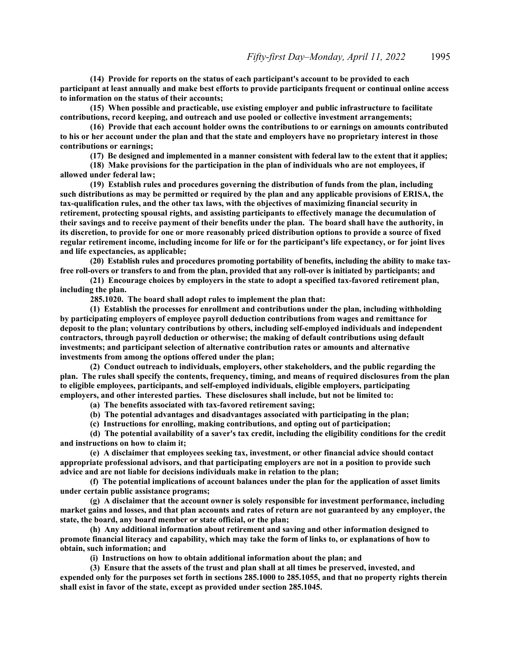**(14) Provide for reports on the status of each participant's account to be provided to each participant at least annually and make best efforts to provide participants frequent or continual online access to information on the status of their accounts;**

**(15) When possible and practicable, use existing employer and public infrastructure to facilitate contributions, record keeping, and outreach and use pooled or collective investment arrangements;**

**(16) Provide that each account holder owns the contributions to or earnings on amounts contributed to his or her account under the plan and that the state and employers have no proprietary interest in those contributions or earnings;**

**(17) Be designed and implemented in a manner consistent with federal law to the extent that it applies;**

**(18) Make provisions for the participation in the plan of individuals who are not employees, if allowed under federal law;**

**(19) Establish rules and procedures governing the distribution of funds from the plan, including such distributions as may be permitted or required by the plan and any applicable provisions of ERISA, the tax-qualification rules, and the other tax laws, with the objectives of maximizing financial security in retirement, protecting spousal rights, and assisting participants to effectively manage the decumulation of their savings and to receive payment of their benefits under the plan. The board shall have the authority, in its discretion, to provide for one or more reasonably priced distribution options to provide a source of fixed regular retirement income, including income for life or for the participant's life expectancy, or for joint lives and life expectancies, as applicable;**

**(20) Establish rules and procedures promoting portability of benefits, including the ability to make taxfree roll-overs or transfers to and from the plan, provided that any roll-over is initiated by participants; and**

**(21) Encourage choices by employers in the state to adopt a specified tax-favored retirement plan, including the plan.**

**285.1020. The board shall adopt rules to implement the plan that:**

**(1) Establish the processes for enrollment and contributions under the plan, including withholding by participating employers of employee payroll deduction contributions from wages and remittance for deposit to the plan; voluntary contributions by others, including self-employed individuals and independent contractors, through payroll deduction or otherwise; the making of default contributions using default investments; and participant selection of alternative contribution rates or amounts and alternative investments from among the options offered under the plan;**

**(2) Conduct outreach to individuals, employers, other stakeholders, and the public regarding the plan. The rules shall specify the contents, frequency, timing, and means of required disclosures from the plan to eligible employees, participants, and self-employed individuals, eligible employers, participating employers, and other interested parties. These disclosures shall include, but not be limited to:**

**(a) The benefits associated with tax-favored retirement saving;**

**(b) The potential advantages and disadvantages associated with participating in the plan;**

**(c) Instructions for enrolling, making contributions, and opting out of participation;**

**(d) The potential availability of a saver's tax credit, including the eligibility conditions for the credit and instructions on how to claim it;**

**(e) A disclaimer that employees seeking tax, investment, or other financial advice should contact appropriate professional advisors, and that participating employers are not in a position to provide such advice and are not liable for decisions individuals make in relation to the plan;**

**(f) The potential implications of account balances under the plan for the application of asset limits under certain public assistance programs;**

**(g) A disclaimer that the account owner is solely responsible for investment performance, including market gains and losses, and that plan accounts and rates of return are not guaranteed by any employer, the state, the board, any board member or state official, or the plan;**

**(h) Any additional information about retirement and saving and other information designed to promote financial literacy and capability, which may take the form of links to, or explanations of how to obtain, such information; and**

**(i) Instructions on how to obtain additional information about the plan; and**

**(3) Ensure that the assets of the trust and plan shall at all times be preserved, invested, and expended only for the purposes set forth in sections 285.1000 to 285.1055, and that no property rights therein shall exist in favor of the state, except as provided under section 285.1045.**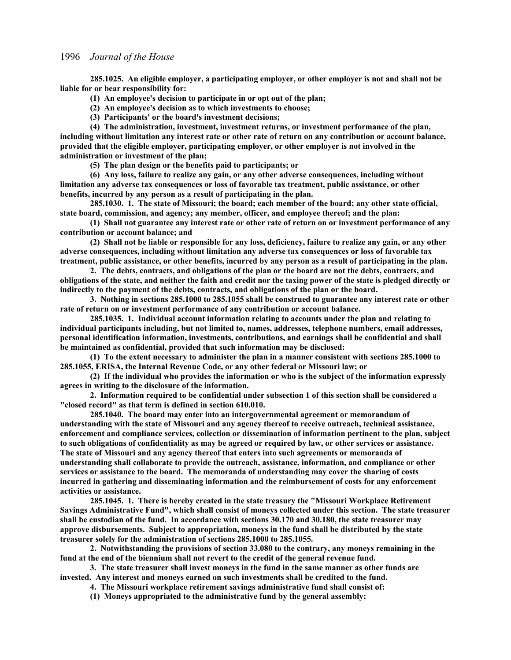**285.1025. An eligible employer, a participating employer, or other employer is not and shall not be liable for or bear responsibility for:**

**(1) An employee's decision to participate in or opt out of the plan;**

**(2) An employee's decision as to which investments to choose;**

**(3) Participants' or the board's investment decisions;**

**(4) The administration, investment, investment returns, or investment performance of the plan, including without limitation any interest rate or other rate of return on any contribution or account balance, provided that the eligible employer, participating employer, or other employer is not involved in the administration or investment of the plan;**

**(5) The plan design or the benefits paid to participants; or**

**(6) Any loss, failure to realize any gain, or any other adverse consequences, including without limitation any adverse tax consequences or loss of favorable tax treatment, public assistance, or other benefits, incurred by any person as a result of participating in the plan.**

**285.1030. 1. The state of Missouri; the board; each member of the board; any other state official, state board, commission, and agency; any member, officer, and employee thereof; and the plan:**

**(1) Shall not guarantee any interest rate or other rate of return on or investment performance of any contribution or account balance; and**

**(2) Shall not be liable or responsible for any loss, deficiency, failure to realize any gain, or any other adverse consequences, including without limitation any adverse tax consequences or loss of favorable tax treatment, public assistance, or other benefits, incurred by any person as a result of participating in the plan.**

**2. The debts, contracts, and obligations of the plan or the board are not the debts, contracts, and obligations of the state, and neither the faith and credit nor the taxing power of the state is pledged directly or indirectly to the payment of the debts, contracts, and obligations of the plan or the board.**

**3. Nothing in sections 285.1000 to 285.1055 shall be construed to guarantee any interest rate or other rate of return on or investment performance of any contribution or account balance.**

**285.1035. 1. Individual account information relating to accounts under the plan and relating to individual participants including, but not limited to, names, addresses, telephone numbers, email addresses, personal identification information, investments, contributions, and earnings shall be confidential and shall be maintained as confidential, provided that such information may be disclosed:**

**(1) To the extent necessary to administer the plan in a manner consistent with sections 285.1000 to 285.1055, ERISA, the Internal Revenue Code, or any other federal or Missouri law; or**

**(2) If the individual who provides the information or who is the subject of the information expressly agrees in writing to the disclosure of the information.**

**2. Information required to be confidential under subsection 1 of this section shall be considered a "closed record" as that term is defined in section 610.010.**

**285.1040. The board may enter into an intergovernmental agreement or memorandum of understanding with the state of Missouri and any agency thereof to receive outreach, technical assistance, enforcement and compliance services, collection or dissemination of information pertinent to the plan, subject to such obligations of confidentiality as may be agreed or required by law, or other services or assistance. The state of Missouri and any agency thereof that enters into such agreements or memoranda of understanding shall collaborate to provide the outreach, assistance, information, and compliance or other services or assistance to the board. The memoranda of understanding may cover the sharing of costs incurred in gathering and disseminating information and the reimbursement of costs for any enforcement activities or assistance.**

**285.1045. 1. There is hereby created in the state treasury the "Missouri Workplace Retirement Savings Administrative Fund", which shall consist of moneys collected under this section. The state treasurer shall be custodian of the fund. In accordance with sections 30.170 and 30.180, the state treasurer may approve disbursements. Subject to appropriation, moneys in the fund shall be distributed by the state treasurer solely for the administration of sections 285.1000 to 285.1055.**

**2. Notwithstanding the provisions of section 33.080 to the contrary, any moneys remaining in the fund at the end of the biennium shall not revert to the credit of the general revenue fund.**

**3. The state treasurer shall invest moneys in the fund in the same manner as other funds are invested. Any interest and moneys earned on such investments shall be credited to the fund.**

**4. The Missouri workplace retirement savings administrative fund shall consist of:**

**(1) Moneys appropriated to the administrative fund by the general assembly;**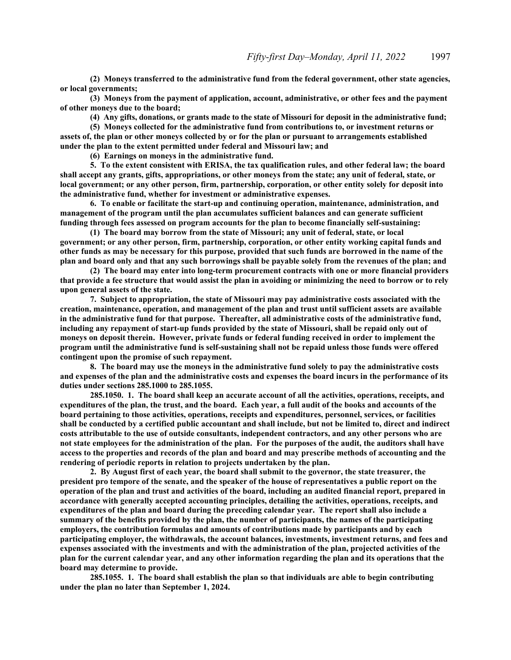**(2) Moneys transferred to the administrative fund from the federal government, other state agencies, or local governments;**

**(3) Moneys from the payment of application, account, administrative, or other fees and the payment of other moneys due to the board;**

**(4) Any gifts, donations, or grants made to the state of Missouri for deposit in the administrative fund;**

**(5) Moneys collected for the administrative fund from contributions to, or investment returns or assets of, the plan or other moneys collected by or for the plan or pursuant to arrangements established under the plan to the extent permitted under federal and Missouri law; and**

**(6) Earnings on moneys in the administrative fund.**

**5. To the extent consistent with ERISA, the tax qualification rules, and other federal law; the board shall accept any grants, gifts, appropriations, or other moneys from the state; any unit of federal, state, or local government; or any other person, firm, partnership, corporation, or other entity solely for deposit into the administrative fund, whether for investment or administrative expenses.**

**6. To enable or facilitate the start-up and continuing operation, maintenance, administration, and management of the program until the plan accumulates sufficient balances and can generate sufficient funding through fees assessed on program accounts for the plan to become financially self-sustaining:**

**(1) The board may borrow from the state of Missouri; any unit of federal, state, or local government; or any other person, firm, partnership, corporation, or other entity working capital funds and other funds as may be necessary for this purpose, provided that such funds are borrowed in the name of the plan and board only and that any such borrowings shall be payable solely from the revenues of the plan; and**

**(2) The board may enter into long-term procurement contracts with one or more financial providers that provide a fee structure that would assist the plan in avoiding or minimizing the need to borrow or to rely upon general assets of the state.**

**7. Subject to appropriation, the state of Missouri may pay administrative costs associated with the creation, maintenance, operation, and management of the plan and trust until sufficient assets are available in the administrative fund for that purpose. Thereafter, all administrative costs of the administrative fund, including any repayment of start-up funds provided by the state of Missouri, shall be repaid only out of moneys on deposit therein. However, private funds or federal funding received in order to implement the program until the administrative fund is self-sustaining shall not be repaid unless those funds were offered contingent upon the promise of such repayment.**

**8. The board may use the moneys in the administrative fund solely to pay the administrative costs and expenses of the plan and the administrative costs and expenses the board incurs in the performance of its duties under sections 285.1000 to 285.1055.**

**285.1050. 1. The board shall keep an accurate account of all the activities, operations, receipts, and expenditures of the plan, the trust, and the board. Each year, a full audit of the books and accounts of the board pertaining to those activities, operations, receipts and expenditures, personnel, services, or facilities shall be conducted by a certified public accountant and shall include, but not be limited to, direct and indirect costs attributable to the use of outside consultants, independent contractors, and any other persons who are not state employees for the administration of the plan. For the purposes of the audit, the auditors shall have access to the properties and records of the plan and board and may prescribe methods of accounting and the rendering of periodic reports in relation to projects undertaken by the plan.**

**2. By August first of each year, the board shall submit to the governor, the state treasurer, the president pro tempore of the senate, and the speaker of the house of representatives a public report on the operation of the plan and trust and activities of the board, including an audited financial report, prepared in accordance with generally accepted accounting principles, detailing the activities, operations, receipts, and expenditures of the plan and board during the preceding calendar year. The report shall also include a summary of the benefits provided by the plan, the number of participants, the names of the participating employers, the contribution formulas and amounts of contributions made by participants and by each participating employer, the withdrawals, the account balances, investments, investment returns, and fees and expenses associated with the investments and with the administration of the plan, projected activities of the plan for the current calendar year, and any other information regarding the plan and its operations that the board may determine to provide.**

**285.1055. 1. The board shall establish the plan so that individuals are able to begin contributing under the plan no later than September 1, 2024.**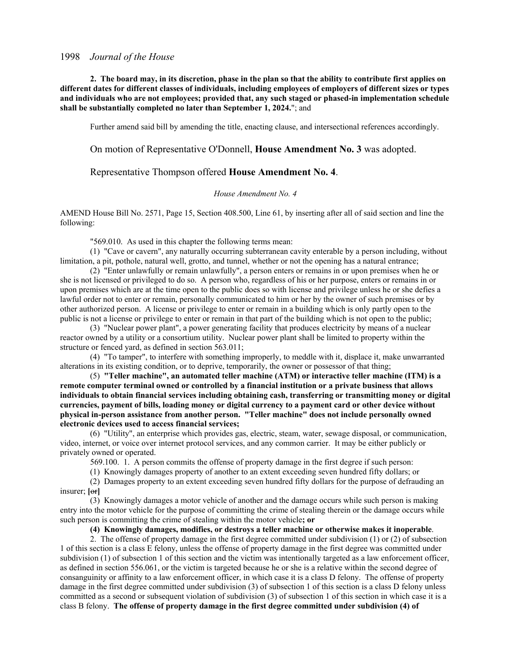**2. The board may, in its discretion, phase in the plan so that the ability to contribute first applies on different dates for different classes of individuals, including employees of employers of different sizes or types and individuals who are not employees; provided that, any such staged or phased-in implementation schedule shall be substantially completed no later than September 1, 2024.**"; and

Further amend said bill by amending the title, enacting clause, and intersectional references accordingly.

On motion of Representative O'Donnell, **House Amendment No. 3** was adopted.

# Representative Thompson offered **House Amendment No. 4**.

#### *House Amendment No. 4*

AMEND House Bill No. 2571, Page 15, Section 408.500, Line 61, by inserting after all of said section and line the following:

"569.010. As used in this chapter the following terms mean:

(1) "Cave or cavern", any naturally occurring subterranean cavity enterable by a person including, without limitation, a pit, pothole, natural well, grotto, and tunnel, whether or not the opening has a natural entrance;

(2) "Enter unlawfully or remain unlawfully", a person enters or remains in or upon premises when he or she is not licensed or privileged to do so. A person who, regardless of his or her purpose, enters or remains in or upon premises which are at the time open to the public does so with license and privilege unless he or she defies a lawful order not to enter or remain, personally communicated to him or her by the owner of such premises or by other authorized person. A license or privilege to enter or remain in a building which is only partly open to the public is not a license or privilege to enter or remain in that part of the building which is not open to the public;

(3) "Nuclear power plant", a power generating facility that produces electricity by means of a nuclear reactor owned by a utility or a consortium utility. Nuclear power plant shall be limited to property within the structure or fenced yard, as defined in section 563.011;

(4) "To tamper", to interfere with something improperly, to meddle with it, displace it, make unwarranted alterations in its existing condition, or to deprive, temporarily, the owner or possessor of that thing;

(5) **"Teller machine", an automated teller machine (ATM) or interactive teller machine (ITM) is a remote computer terminal owned or controlled by a financial institution or a private business that allows individuals to obtain financial services including obtaining cash, transferring or transmitting money or digital currencies, payment of bills, loading money or digital currency to a payment card or other device without physical in-person assistance from another person. "Teller machine" does not include personally owned electronic devices used to access financial services;**

(6) "Utility", an enterprise which provides gas, electric, steam, water, sewage disposal, or communication, video, internet, or voice over internet protocol services, and any common carrier. It may be either publicly or privately owned or operated.

569.100. 1. A person commits the offense of property damage in the first degree if such person:

(1) Knowingly damages property of another to an extent exceeding seven hundred fifty dollars; or

(2) Damages property to an extent exceeding seven hundred fifty dollars for the purpose of defrauding an insurer; **[**or**]**

(3) Knowingly damages a motor vehicle of another and the damage occurs while such person is making entry into the motor vehicle for the purpose of committing the crime of stealing therein or the damage occurs while such person is committing the crime of stealing within the motor vehicle**; or**

**(4) Knowingly damages, modifies, or destroys a teller machine or otherwise makes it inoperable**.

2. The offense of property damage in the first degree committed under subdivision (1) or (2) of subsection 1 of this section is a class E felony, unless the offense of property damage in the first degree was committed under subdivision (1) of subsection 1 of this section and the victim was intentionally targeted as a law enforcement officer, as defined in section 556.061, or the victim is targeted because he or she is a relative within the second degree of consanguinity or affinity to a law enforcement officer, in which case it is a class D felony. The offense of property damage in the first degree committed under subdivision (3) of subsection 1 of this section is a class D felony unless committed as a second or subsequent violation of subdivision (3) of subsection 1 of this section in which case it is a class B felony. **The offense of property damage in the first degree committed under subdivision (4) of**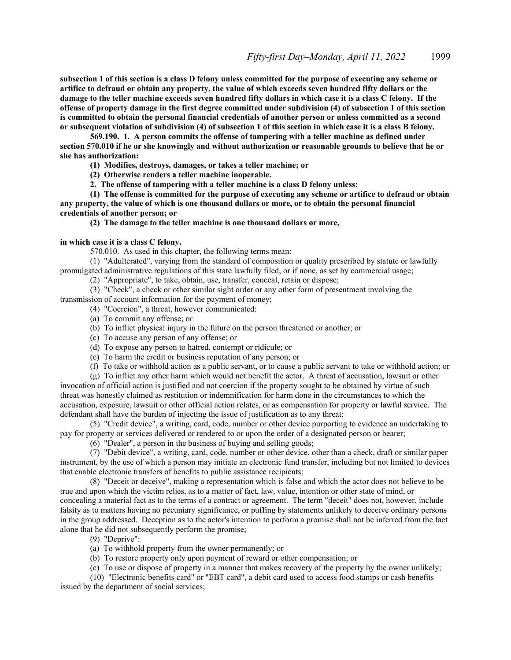**subsection 1 of this section is a class D felony unless committed for the purpose of executing any scheme or artifice to defraud or obtain any property, the value of which exceeds seven hundred fifty dollars or the damage to the teller machine exceeds seven hundred fifty dollars in which case it is a class C felony. If the offense of property damage in the first degree committed under subdivision (4) of subsection 1 of this section is committed to obtain the personal financial credentials of another person or unless committed as a second or subsequent violation of subdivision (4) of subsection 1 of this section in which case it is a class B felony.**

**569.190. 1. A person commits the offense of tampering with a teller machine as defined under section 570.010 if he or she knowingly and without authorization or reasonable grounds to believe that he or she has authorization:**

**(1) Modifies, destroys, damages, or takes a teller machine; or**

**(2) Otherwise renders a teller machine inoperable.**

**2. The offense of tampering with a teller machine is a class D felony unless:**

**(1) The offense is committed for the purpose of executing any scheme or artifice to defraud or obtain any property, the value of which is one thousand dollars or more, or to obtain the personal financial credentials of another person; or**

**(2) The damage to the teller machine is one thousand dollars or more,** 

#### **in which case it is a class C felony.**

570.010. As used in this chapter, the following terms mean:

(1) "Adulterated", varying from the standard of composition or quality prescribed by statute or lawfully promulgated administrative regulations of this state lawfully filed, or if none, as set by commercial usage;

(2) "Appropriate", to take, obtain, use, transfer, conceal, retain or dispose;

(3) "Check", a check or other similar sight order or any other form of presentment involving the transmission of account information for the payment of money;

(4) "Coercion", a threat, however communicated:

- (a) To commit any offense; or
- (b) To inflict physical injury in the future on the person threatened or another; or
- (c) To accuse any person of any offense; or
- (d) To expose any person to hatred, contempt or ridicule; or
- (e) To harm the credit or business reputation of any person; or

(f) To take or withhold action as a public servant, or to cause a public servant to take or withhold action; or

(g) To inflict any other harm which would not benefit the actor. A threat of accusation, lawsuit or other invocation of official action is justified and not coercion if the property sought to be obtained by virtue of such threat was honestly claimed as restitution or indemnification for harm done in the circumstances to which the accusation, exposure, lawsuit or other official action relates, or as compensation for property or lawful service. The defendant shall have the burden of injecting the issue of justification as to any threat;

(5) "Credit device", a writing, card, code, number or other device purporting to evidence an undertaking to pay for property or services delivered or rendered to or upon the order of a designated person or bearer;

(6) "Dealer", a person in the business of buying and selling goods;

(7) "Debit device", a writing, card, code, number or other device, other than a check, draft or similar paper instrument, by the use of which a person may initiate an electronic fund transfer, including but not limited to devices that enable electronic transfers of benefits to public assistance recipients;

(8) "Deceit or deceive", making a representation which is false and which the actor does not believe to be true and upon which the victim relies, as to a matter of fact, law, value, intention or other state of mind, or concealing a material fact as to the terms of a contract or agreement. The term "deceit" does not, however, include falsity as to matters having no pecuniary significance, or puffing by statements unlikely to deceive ordinary persons in the group addressed. Deception as to the actor's intention to perform a promise shall not be inferred from the fact alone that he did not subsequently perform the promise;

(9) "Deprive":

(a) To withhold property from the owner permanently; or

(b) To restore property only upon payment of reward or other compensation; or

(c) To use or dispose of property in a manner that makes recovery of the property by the owner unlikely;

(10) "Electronic benefits card" or "EBT card", a debit card used to access food stamps or cash benefits

issued by the department of social services;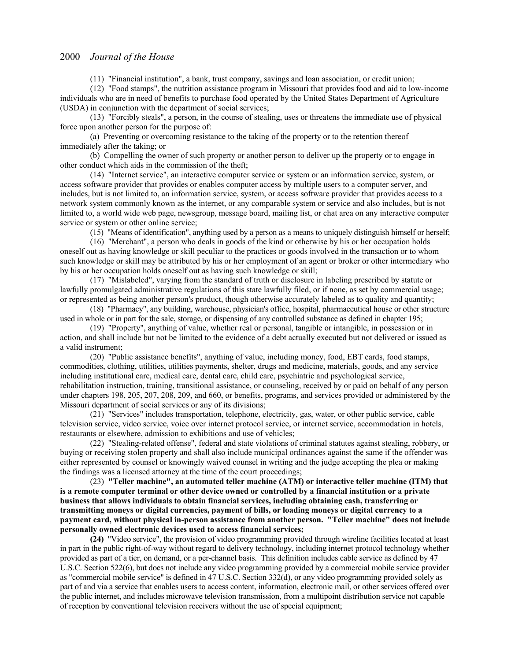(11) "Financial institution", a bank, trust company, savings and loan association, or credit union;

(12) "Food stamps", the nutrition assistance program in Missouri that provides food and aid to low-income individuals who are in need of benefits to purchase food operated by the United States Department of Agriculture (USDA) in conjunction with the department of social services;

(13) "Forcibly steals", a person, in the course of stealing, uses or threatens the immediate use of physical force upon another person for the purpose of:

(a) Preventing or overcoming resistance to the taking of the property or to the retention thereof immediately after the taking; or

(b) Compelling the owner of such property or another person to deliver up the property or to engage in other conduct which aids in the commission of the theft;

(14) "Internet service", an interactive computer service or system or an information service, system, or access software provider that provides or enables computer access by multiple users to a computer server, and includes, but is not limited to, an information service, system, or access software provider that provides access to a network system commonly known as the internet, or any comparable system or service and also includes, but is not limited to, a world wide web page, newsgroup, message board, mailing list, or chat area on any interactive computer service or system or other online service;

(15) "Means of identification", anything used by a person as a means to uniquely distinguish himself or herself;

(16) "Merchant", a person who deals in goods of the kind or otherwise by his or her occupation holds oneself out as having knowledge or skill peculiar to the practices or goods involved in the transaction or to whom such knowledge or skill may be attributed by his or her employment of an agent or broker or other intermediary who by his or her occupation holds oneself out as having such knowledge or skill;

(17) "Mislabeled", varying from the standard of truth or disclosure in labeling prescribed by statute or lawfully promulgated administrative regulations of this state lawfully filed, or if none, as set by commercial usage; or represented as being another person's product, though otherwise accurately labeled as to quality and quantity;

(18) "Pharmacy", any building, warehouse, physician's office, hospital, pharmaceutical house or other structure used in whole or in part for the sale, storage, or dispensing of any controlled substance as defined in chapter 195;

(19) "Property", anything of value, whether real or personal, tangible or intangible, in possession or in action, and shall include but not be limited to the evidence of a debt actually executed but not delivered or issued as a valid instrument;

(20) "Public assistance benefits", anything of value, including money, food, EBT cards, food stamps, commodities, clothing, utilities, utilities payments, shelter, drugs and medicine, materials, goods, and any service including institutional care, medical care, dental care, child care, psychiatric and psychological service, rehabilitation instruction, training, transitional assistance, or counseling, received by or paid on behalf of any person under chapters 198, 205, 207, 208, 209, and 660, or benefits, programs, and services provided or administered by the Missouri department of social services or any of its divisions;

(21) "Services" includes transportation, telephone, electricity, gas, water, or other public service, cable television service, video service, voice over internet protocol service, or internet service, accommodation in hotels, restaurants or elsewhere, admission to exhibitions and use of vehicles;

(22) "Stealing-related offense", federal and state violations of criminal statutes against stealing, robbery, or buying or receiving stolen property and shall also include municipal ordinances against the same if the offender was either represented by counsel or knowingly waived counsel in writing and the judge accepting the plea or making the findings was a licensed attorney at the time of the court proceedings;

(23) **"Teller machine", an automated teller machine (ATM) or interactive teller machine (ITM) that is a remote computer terminal or other device owned or controlled by a financial institution or a private business that allows individuals to obtain financial services, including obtaining cash, transferring or transmitting moneys or digital currencies, payment of bills, or loading moneys or digital currency to a payment card, without physical in-person assistance from another person. "Teller machine" does not include personally owned electronic devices used to access financial services;**

**(24)** "Video service", the provision of video programming provided through wireline facilities located at least in part in the public right-of-way without regard to delivery technology, including internet protocol technology whether provided as part of a tier, on demand, or a per-channel basis. This definition includes cable service as defined by 47 U.S.C. Section 522(6), but does not include any video programming provided by a commercial mobile service provider as "commercial mobile service" is defined in 47 U.S.C. Section 332(d), or any video programming provided solely as part of and via a service that enables users to access content, information, electronic mail, or other services offered over the public internet, and includes microwave television transmission, from a multipoint distribution service not capable of reception by conventional television receivers without the use of special equipment;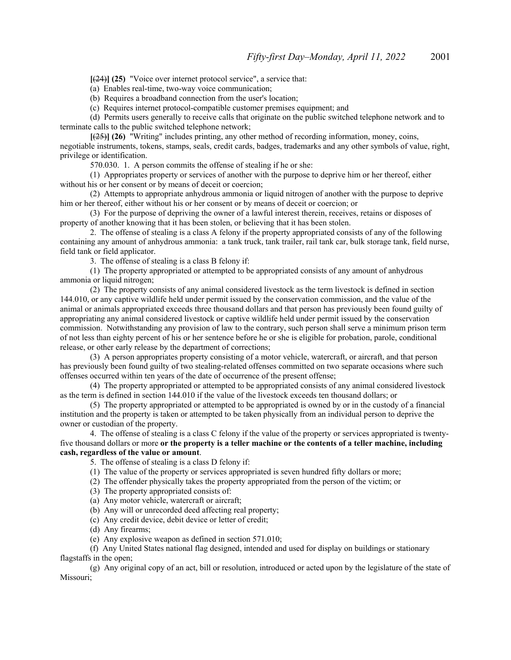**[**(24)**] (25)** "Voice over internet protocol service", a service that:

(a) Enables real-time, two-way voice communication;

(b) Requires a broadband connection from the user's location;

(c) Requires internet protocol-compatible customer premises equipment; and

(d) Permits users generally to receive calls that originate on the public switched telephone network and to terminate calls to the public switched telephone network;

**[**(25)**] (26)** "Writing" includes printing, any other method of recording information, money, coins, negotiable instruments, tokens, stamps, seals, credit cards, badges, trademarks and any other symbols of value, right, privilege or identification.

570.030. 1. A person commits the offense of stealing if he or she:

(1) Appropriates property or services of another with the purpose to deprive him or her thereof, either without his or her consent or by means of deceit or coercion;

(2) Attempts to appropriate anhydrous ammonia or liquid nitrogen of another with the purpose to deprive him or her thereof, either without his or her consent or by means of deceit or coercion; or

(3) For the purpose of depriving the owner of a lawful interest therein, receives, retains or disposes of property of another knowing that it has been stolen, or believing that it has been stolen.

2. The offense of stealing is a class A felony if the property appropriated consists of any of the following containing any amount of anhydrous ammonia: a tank truck, tank trailer, rail tank car, bulk storage tank, field nurse, field tank or field applicator.

3. The offense of stealing is a class B felony if:

(1) The property appropriated or attempted to be appropriated consists of any amount of anhydrous ammonia or liquid nitrogen;

(2) The property consists of any animal considered livestock as the term livestock is defined in section 144.010, or any captive wildlife held under permit issued by the conservation commission, and the value of the animal or animals appropriated exceeds three thousand dollars and that person has previously been found guilty of appropriating any animal considered livestock or captive wildlife held under permit issued by the conservation commission. Notwithstanding any provision of law to the contrary, such person shall serve a minimum prison term of not less than eighty percent of his or her sentence before he or she is eligible for probation, parole, conditional release, or other early release by the department of corrections;

(3) A person appropriates property consisting of a motor vehicle, watercraft, or aircraft, and that person has previously been found guilty of two stealing-related offenses committed on two separate occasions where such offenses occurred within ten years of the date of occurrence of the present offense;

(4) The property appropriated or attempted to be appropriated consists of any animal considered livestock as the term is defined in section 144.010 if the value of the livestock exceeds ten thousand dollars; or

(5) The property appropriated or attempted to be appropriated is owned by or in the custody of a financial institution and the property is taken or attempted to be taken physically from an individual person to deprive the owner or custodian of the property.

4. The offense of stealing is a class C felony if the value of the property or services appropriated is twentyfive thousand dollars or more **or the property is a teller machine or the contents of a teller machine, including cash, regardless of the value or amount**.

5. The offense of stealing is a class D felony if:

(1) The value of the property or services appropriated is seven hundred fifty dollars or more;

(2) The offender physically takes the property appropriated from the person of the victim; or

(3) The property appropriated consists of:

(a) Any motor vehicle, watercraft or aircraft;

(b) Any will or unrecorded deed affecting real property;

(c) Any credit device, debit device or letter of credit;

(d) Any firearms;

(e) Any explosive weapon as defined in section 571.010;

(f) Any United States national flag designed, intended and used for display on buildings or stationary flagstaffs in the open;

(g) Any original copy of an act, bill or resolution, introduced or acted upon by the legislature of the state of Missouri;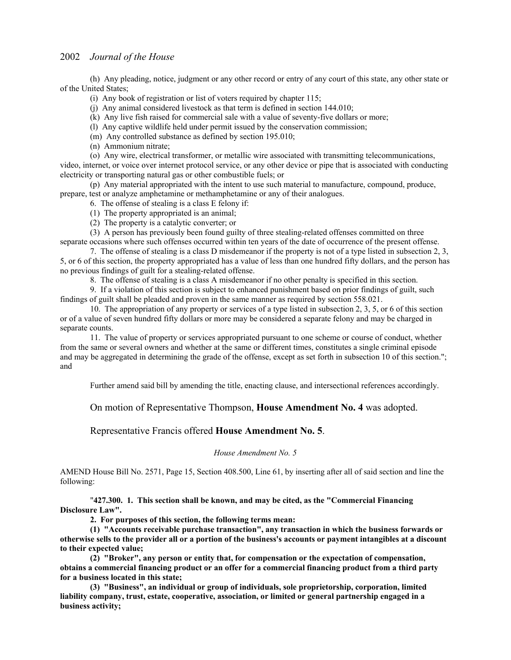(h) Any pleading, notice, judgment or any other record or entry of any court of this state, any other state or of the United States;

(i) Any book of registration or list of voters required by chapter 115;

(j) Any animal considered livestock as that term is defined in section 144.010;

(k) Any live fish raised for commercial sale with a value of seventy-five dollars or more;

(l) Any captive wildlife held under permit issued by the conservation commission;

(m) Any controlled substance as defined by section 195.010;

(n) Ammonium nitrate;

(o) Any wire, electrical transformer, or metallic wire associated with transmitting telecommunications,

video, internet, or voice over internet protocol service, or any other device or pipe that is associated with conducting electricity or transporting natural gas or other combustible fuels; or

(p) Any material appropriated with the intent to use such material to manufacture, compound, produce, prepare, test or analyze amphetamine or methamphetamine or any of their analogues.

6. The offense of stealing is a class E felony if:

(1) The property appropriated is an animal;

(2) The property is a catalytic converter; or

(3) A person has previously been found guilty of three stealing-related offenses committed on three separate occasions where such offenses occurred within ten years of the date of occurrence of the present offense.

7. The offense of stealing is a class D misdemeanor if the property is not of a type listed in subsection 2, 3, 5, or 6 of this section, the property appropriated has a value of less than one hundred fifty dollars, and the person has no previous findings of guilt for a stealing-related offense.

8. The offense of stealing is a class A misdemeanor if no other penalty is specified in this section.

9. If a violation of this section is subject to enhanced punishment based on prior findings of guilt, such findings of guilt shall be pleaded and proven in the same manner as required by section 558.021.

10. The appropriation of any property or services of a type listed in subsection 2, 3, 5, or 6 of this section or of a value of seven hundred fifty dollars or more may be considered a separate felony and may be charged in separate counts.

11. The value of property or services appropriated pursuant to one scheme or course of conduct, whether from the same or several owners and whether at the same or different times, constitutes a single criminal episode and may be aggregated in determining the grade of the offense, except as set forth in subsection 10 of this section."; and

Further amend said bill by amending the title, enacting clause, and intersectional references accordingly.

On motion of Representative Thompson, **House Amendment No. 4** was adopted.

## Representative Francis offered **House Amendment No. 5**.

#### *House Amendment No. 5*

AMEND House Bill No. 2571, Page 15, Section 408.500, Line 61, by inserting after all of said section and line the following:

"**427.300. 1. This section shall be known, and may be cited, as the "Commercial Financing Disclosure Law".**

**2. For purposes of this section, the following terms mean:**

**(1) "Accounts receivable purchase transaction", any transaction in which the business forwards or otherwise sells to the provider all or a portion of the business's accounts or payment intangibles at a discount to their expected value;**

**(2) "Broker", any person or entity that, for compensation or the expectation of compensation, obtains a commercial financing product or an offer for a commercial financing product from a third party for a business located in this state;**

**(3) "Business", an individual or group of individuals, sole proprietorship, corporation, limited liability company, trust, estate, cooperative, association, or limited or general partnership engaged in a business activity;**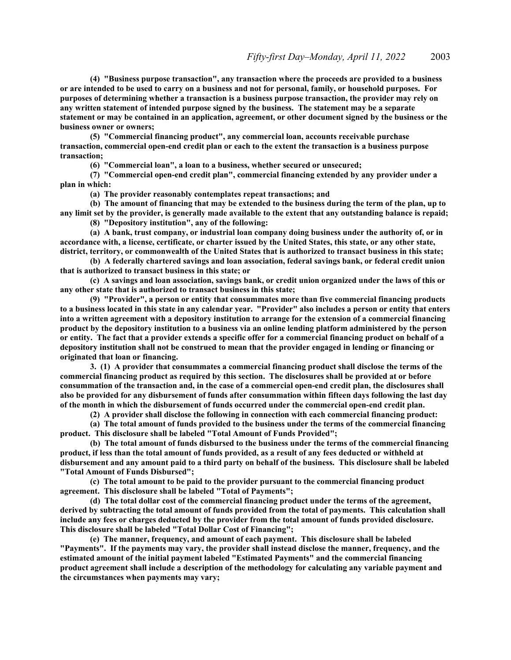**(4) "Business purpose transaction", any transaction where the proceeds are provided to a business or are intended to be used to carry on a business and not for personal, family, or household purposes. For purposes of determining whether a transaction is a business purpose transaction, the provider may rely on any written statement of intended purpose signed by the business. The statement may be a separate statement or may be contained in an application, agreement, or other document signed by the business or the business owner or owners;**

**(5) "Commercial financing product", any commercial loan, accounts receivable purchase transaction, commercial open-end credit plan or each to the extent the transaction is a business purpose transaction;**

**(6) "Commercial loan", a loan to a business, whether secured or unsecured;**

**(7) "Commercial open-end credit plan", commercial financing extended by any provider under a plan in which:**

**(a) The provider reasonably contemplates repeat transactions; and**

**(b) The amount of financing that may be extended to the business during the term of the plan, up to any limit set by the provider, is generally made available to the extent that any outstanding balance is repaid;**

**(8) "Depository institution", any of the following:**

**(a) A bank, trust company, or industrial loan company doing business under the authority of, or in accordance with, a license, certificate, or charter issued by the United States, this state, or any other state, district, territory, or commonwealth of the United States that is authorized to transact business in this state;**

**(b) A federally chartered savings and loan association, federal savings bank, or federal credit union that is authorized to transact business in this state; or**

**(c) A savings and loan association, savings bank, or credit union organized under the laws of this or any other state that is authorized to transact business in this state;**

**(9) "Provider", a person or entity that consummates more than five commercial financing products to a business located in this state in any calendar year. "Provider" also includes a person or entity that enters into a written agreement with a depository institution to arrange for the extension of a commercial financing product by the depository institution to a business via an online lending platform administered by the person or entity. The fact that a provider extends a specific offer for a commercial financing product on behalf of a depository institution shall not be construed to mean that the provider engaged in lending or financing or originated that loan or financing.**

**3. (1) A provider that consummates a commercial financing product shall disclose the terms of the commercial financing product as required by this section. The disclosures shall be provided at or before consummation of the transaction and, in the case of a commercial open-end credit plan, the disclosures shall also be provided for any disbursement of funds after consummation within fifteen days following the last day of the month in which the disbursement of funds occurred under the commercial open-end credit plan.**

**(2) A provider shall disclose the following in connection with each commercial financing product:**

**(a) The total amount of funds provided to the business under the terms of the commercial financing product. This disclosure shall be labeled "Total Amount of Funds Provided";**

**(b) The total amount of funds disbursed to the business under the terms of the commercial financing product, if less than the total amount of funds provided, as a result of any fees deducted or withheld at disbursement and any amount paid to a third party on behalf of the business. This disclosure shall be labeled "Total Amount of Funds Disbursed";**

**(c) The total amount to be paid to the provider pursuant to the commercial financing product agreement. This disclosure shall be labeled "Total of Payments";**

**(d) The total dollar cost of the commercial financing product under the terms of the agreement, derived by subtracting the total amount of funds provided from the total of payments. This calculation shall include any fees or charges deducted by the provider from the total amount of funds provided disclosure. This disclosure shall be labeled "Total Dollar Cost of Financing";**

**(e) The manner, frequency, and amount of each payment. This disclosure shall be labeled "Payments". If the payments may vary, the provider shall instead disclose the manner, frequency, and the estimated amount of the initial payment labeled "Estimated Payments" and the commercial financing product agreement shall include a description of the methodology for calculating any variable payment and the circumstances when payments may vary;**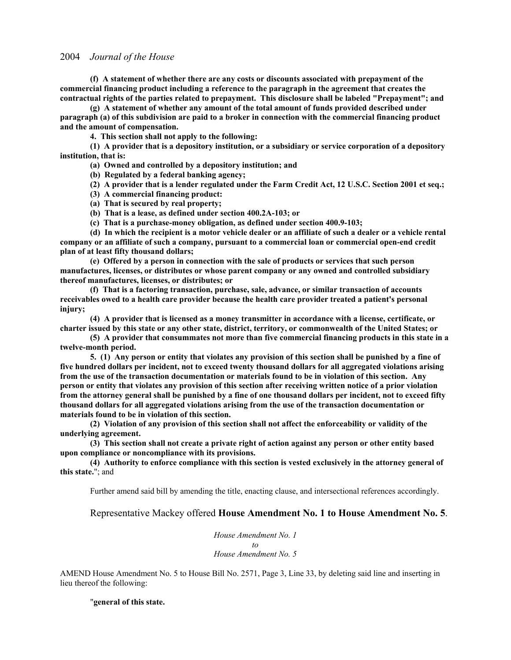**(f) A statement of whether there are any costs or discounts associated with prepayment of the commercial financing product including a reference to the paragraph in the agreement that creates the contractual rights of the parties related to prepayment. This disclosure shall be labeled "Prepayment"; and**

**(g) A statement of whether any amount of the total amount of funds provided described under paragraph (a) of this subdivision are paid to a broker in connection with the commercial financing product and the amount of compensation.**

**4. This section shall not apply to the following:**

**(1) A provider that is a depository institution, or a subsidiary or service corporation of a depository institution, that is:**

**(a) Owned and controlled by a depository institution; and**

**(b) Regulated by a federal banking agency;**

**(2) A provider that is a lender regulated under the Farm Credit Act, 12 U.S.C. Section 2001 et seq.;**

- **(3) A commercial financing product:**
- **(a) That is secured by real property;**
- **(b) That is a lease, as defined under section 400.2A-103; or**
- **(c) That is a purchase-money obligation, as defined under section 400.9-103;**

**(d) In which the recipient is a motor vehicle dealer or an affiliate of such a dealer or a vehicle rental company or an affiliate of such a company, pursuant to a commercial loan or commercial open-end credit plan of at least fifty thousand dollars;**

**(e) Offered by a person in connection with the sale of products or services that such person manufactures, licenses, or distributes or whose parent company or any owned and controlled subsidiary thereof manufactures, licenses, or distributes; or**

**(f) That is a factoring transaction, purchase, sale, advance, or similar transaction of accounts receivables owed to a health care provider because the health care provider treated a patient's personal injury;**

**(4) A provider that is licensed as a money transmitter in accordance with a license, certificate, or charter issued by this state or any other state, district, territory, or commonwealth of the United States; or**

**(5) A provider that consummates not more than five commercial financing products in this state in a twelve-month period.**

**5. (1) Any person or entity that violates any provision of this section shall be punished by a fine of five hundred dollars per incident, not to exceed twenty thousand dollars for all aggregated violations arising from the use of the transaction documentation or materials found to be in violation of this section. Any person or entity that violates any provision of this section after receiving written notice of a prior violation from the attorney general shall be punished by a fine of one thousand dollars per incident, not to exceed fifty thousand dollars for all aggregated violations arising from the use of the transaction documentation or materials found to be in violation of this section.**

**(2) Violation of any provision of this section shall not affect the enforceability or validity of the underlying agreement.**

**(3) This section shall not create a private right of action against any person or other entity based upon compliance or noncompliance with its provisions.**

**(4) Authority to enforce compliance with this section is vested exclusively in the attorney general of this state.**"; and

Further amend said bill by amending the title, enacting clause, and intersectional references accordingly.

#### Representative Mackey offered **House Amendment No. 1 to House Amendment No. 5**.

*House Amendment No. 1 to House Amendment No. 5*

AMEND House Amendment No. 5 to House Bill No. 2571, Page 3, Line 33, by deleting said line and inserting in lieu thereof the following:

"**general of this state.**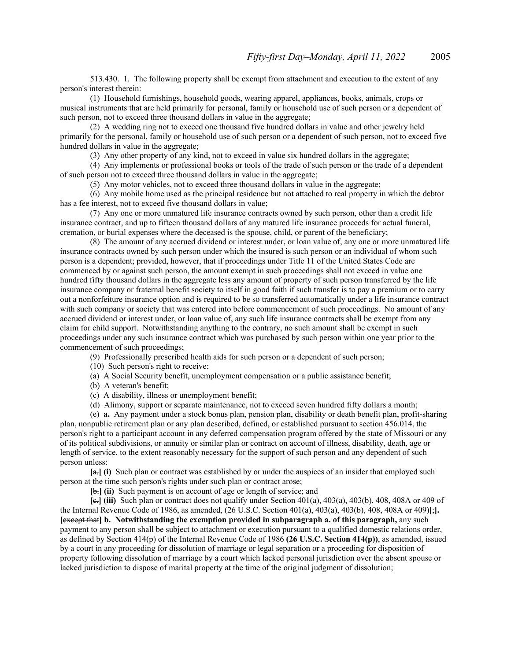513.430. 1. The following property shall be exempt from attachment and execution to the extent of any person's interest therein:

(1) Household furnishings, household goods, wearing apparel, appliances, books, animals, crops or musical instruments that are held primarily for personal, family or household use of such person or a dependent of such person, not to exceed three thousand dollars in value in the aggregate;

(2) A wedding ring not to exceed one thousand five hundred dollars in value and other jewelry held primarily for the personal, family or household use of such person or a dependent of such person, not to exceed five hundred dollars in value in the aggregate;

(3) Any other property of any kind, not to exceed in value six hundred dollars in the aggregate;

(4) Any implements or professional books or tools of the trade of such person or the trade of a dependent of such person not to exceed three thousand dollars in value in the aggregate;

(5) Any motor vehicles, not to exceed three thousand dollars in value in the aggregate;

(6) Any mobile home used as the principal residence but not attached to real property in which the debtor has a fee interest, not to exceed five thousand dollars in value;

(7) Any one or more unmatured life insurance contracts owned by such person, other than a credit life insurance contract, and up to fifteen thousand dollars of any matured life insurance proceeds for actual funeral, cremation, or burial expenses where the deceased is the spouse, child, or parent of the beneficiary;

(8) The amount of any accrued dividend or interest under, or loan value of, any one or more unmatured life insurance contracts owned by such person under which the insured is such person or an individual of whom such person is a dependent; provided, however, that if proceedings under Title 11 of the United States Code are commenced by or against such person, the amount exempt in such proceedings shall not exceed in value one hundred fifty thousand dollars in the aggregate less any amount of property of such person transferred by the life insurance company or fraternal benefit society to itself in good faith if such transfer is to pay a premium or to carry out a nonforfeiture insurance option and is required to be so transferred automatically under a life insurance contract with such company or society that was entered into before commencement of such proceedings. No amount of any accrued dividend or interest under, or loan value of, any such life insurance contracts shall be exempt from any claim for child support. Notwithstanding anything to the contrary, no such amount shall be exempt in such proceedings under any such insurance contract which was purchased by such person within one year prior to the commencement of such proceedings;

(9) Professionally prescribed health aids for such person or a dependent of such person;

(10) Such person's right to receive:

(a) A Social Security benefit, unemployment compensation or a public assistance benefit;

(b) A veteran's benefit;

(c) A disability, illness or unemployment benefit;

(d) Alimony, support or separate maintenance, not to exceed seven hundred fifty dollars a month;

(e) **a.** Any payment under a stock bonus plan, pension plan, disability or death benefit plan, profit-sharing plan, nonpublic retirement plan or any plan described, defined, or established pursuant to section 456.014, the person's right to a participant account in any deferred compensation program offered by the state of Missouri or any of its political subdivisions, or annuity or similar plan or contract on account of illness, disability, death, age or length of service, to the extent reasonably necessary for the support of such person and any dependent of such person unless:

**[**a.**] (i)** Such plan or contract was established by or under the auspices of an insider that employed such person at the time such person's rights under such plan or contract arose;

**[**b.**] (ii)** Such payment is on account of age or length of service; and

**[**c.**] (iii)** Such plan or contract does not qualify under Section 401(a), 403(a), 403(b), 408, 408A or 409 of the Internal Revenue Code of 1986, as amended, (26 U.S.C. Section 401(a), 403(a), 403(b), 408, 408A or 409)**[**;**]. [**except that**] b. Notwithstanding the exemption provided in subparagraph a. of this paragraph,** any such payment to any person shall be subject to attachment or execution pursuant to a qualified domestic relations order, as defined by Section 414(p) of the Internal Revenue Code of 1986 **(26 U.S.C. Section 414(p))**, as amended, issued by a court in any proceeding for dissolution of marriage or legal separation or a proceeding for disposition of property following dissolution of marriage by a court which lacked personal jurisdiction over the absent spouse or lacked jurisdiction to dispose of marital property at the time of the original judgment of dissolution;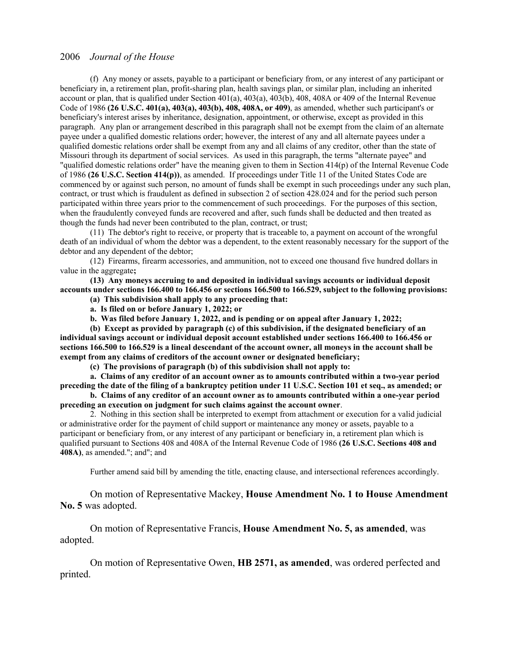(f) Any money or assets, payable to a participant or beneficiary from, or any interest of any participant or beneficiary in, a retirement plan, profit-sharing plan, health savings plan, or similar plan, including an inherited account or plan, that is qualified under Section 401(a), 403(a), 403(b), 408, 408A or 409 of the Internal Revenue Code of 1986 **(26 U.S.C. 401(a), 403(a), 403(b), 408, 408A, or 409)**, as amended, whether such participant's or beneficiary's interest arises by inheritance, designation, appointment, or otherwise, except as provided in this paragraph. Any plan or arrangement described in this paragraph shall not be exempt from the claim of an alternate payee under a qualified domestic relations order; however, the interest of any and all alternate payees under a qualified domestic relations order shall be exempt from any and all claims of any creditor, other than the state of Missouri through its department of social services. As used in this paragraph, the terms "alternate payee" and "qualified domestic relations order" have the meaning given to them in Section 414(p) of the Internal Revenue Code of 1986 **(26 U.S.C. Section 414(p))**, as amended. If proceedings under Title 11 of the United States Code are commenced by or against such person, no amount of funds shall be exempt in such proceedings under any such plan, contract, or trust which is fraudulent as defined in subsection 2 of section 428.024 and for the period such person participated within three years prior to the commencement of such proceedings. For the purposes of this section, when the fraudulently conveyed funds are recovered and after, such funds shall be deducted and then treated as though the funds had never been contributed to the plan, contract, or trust;

(11) The debtor's right to receive, or property that is traceable to, a payment on account of the wrongful death of an individual of whom the debtor was a dependent, to the extent reasonably necessary for the support of the debtor and any dependent of the debtor;

(12) Firearms, firearm accessories, and ammunition, not to exceed one thousand five hundred dollars in value in the aggregate**;**

**(13) Any moneys accruing to and deposited in individual savings accounts or individual deposit accounts under sections 166.400 to 166.456 or sections 166.500 to 166.529, subject to the following provisions:**

**(a) This subdivision shall apply to any proceeding that:**

**a. Is filed on or before January 1, 2022; or**

**b. Was filed before January 1, 2022, and is pending or on appeal after January 1, 2022;**

**(b) Except as provided by paragraph (c) of this subdivision, if the designated beneficiary of an individual savings account or individual deposit account established under sections 166.400 to 166.456 or sections 166.500 to 166.529 is a lineal descendant of the account owner, all moneys in the account shall be exempt from any claims of creditors of the account owner or designated beneficiary;**

**(c) The provisions of paragraph (b) of this subdivision shall not apply to:**

**a. Claims of any creditor of an account owner as to amounts contributed within a two-year period preceding the date of the filing of a bankruptcy petition under 11 U.S.C. Section 101 et seq., as amended; or**

**b. Claims of any creditor of an account owner as to amounts contributed within a one-year period preceding an execution on judgment for such claims against the account owner**.

2. Nothing in this section shall be interpreted to exempt from attachment or execution for a valid judicial or administrative order for the payment of child support or maintenance any money or assets, payable to a participant or beneficiary from, or any interest of any participant or beneficiary in, a retirement plan which is qualified pursuant to Sections 408 and 408A of the Internal Revenue Code of 1986 **(26 U.S.C. Sections 408 and 408A)**, as amended."; and"; and

Further amend said bill by amending the title, enacting clause, and intersectional references accordingly.

On motion of Representative Mackey, **House Amendment No. 1 to House Amendment No. 5** was adopted.

 On motion of Representative Francis, **House Amendment No. 5, as amended**, was adopted.

 On motion of Representative Owen, **HB 2571, as amended**, was ordered perfected and printed.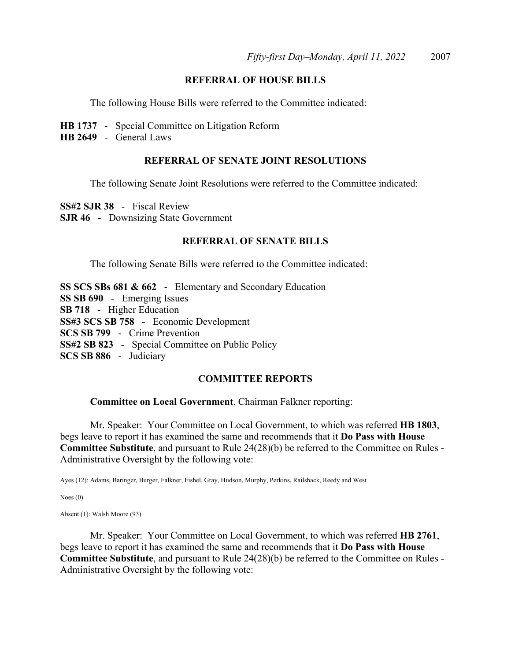## **REFERRAL OF HOUSE BILLS**

The following House Bills were referred to the Committee indicated:

- **HB 1737** Special Committee on Litigation Reform
- **HB 2649** General Laws

## **REFERRAL OF SENATE JOINT RESOLUTIONS**

The following Senate Joint Resolutions were referred to the Committee indicated:

**SS#2 SJR 38** - Fiscal Review **SJR 46** - Downsizing State Government

## **REFERRAL OF SENATE BILLS**

The following Senate Bills were referred to the Committee indicated:

**SS SCS SBs 681 & 662** - Elementary and Secondary Education **SS SB 690** - Emerging Issues **SB 718** - Higher Education **SS#3 SCS SB 758** - Economic Development **SCS SB 799** - Crime Prevention **SS#2 SB 823** - Special Committee on Public Policy **SCS SB 886** - Judiciary

#### **COMMITTEE REPORTS**

#### **Committee on Local Government**, Chairman Falkner reporting:

 Mr. Speaker: Your Committee on Local Government, to which was referred **HB 1803**, begs leave to report it has examined the same and recommends that it **Do Pass with House Committee Substitute**, and pursuant to Rule 24(28)(b) be referred to the Committee on Rules - Administrative Oversight by the following vote:

Ayes (12): Adams, Baringer, Burger, Falkner, Fishel, Gray, Hudson, Murphy, Perkins, Railsback, Reedy and West

Noes (0)

Absent (1): Walsh Moore (93)

 Mr. Speaker: Your Committee on Local Government, to which was referred **HB 2761**, begs leave to report it has examined the same and recommends that it **Do Pass with House Committee Substitute**, and pursuant to Rule 24(28)(b) be referred to the Committee on Rules - Administrative Oversight by the following vote: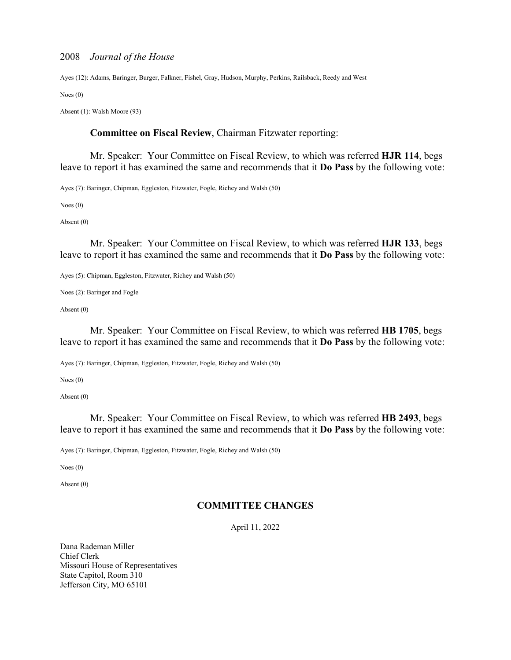Ayes (12): Adams, Baringer, Burger, Falkner, Fishel, Gray, Hudson, Murphy, Perkins, Railsback, Reedy and West

Noes (0)

Absent (1): Walsh Moore (93)

## **Committee on Fiscal Review**, Chairman Fitzwater reporting:

 Mr. Speaker: Your Committee on Fiscal Review, to which was referred **HJR 114**, begs leave to report it has examined the same and recommends that it **Do Pass** by the following vote:

Ayes (7): Baringer, Chipman, Eggleston, Fitzwater, Fogle, Richey and Walsh (50)

Noes (0)

Absent (0)

 Mr. Speaker: Your Committee on Fiscal Review, to which was referred **HJR 133**, begs leave to report it has examined the same and recommends that it **Do Pass** by the following vote:

Ayes (5): Chipman, Eggleston, Fitzwater, Richey and Walsh (50)

Noes (2): Baringer and Fogle

Absent (0)

 Mr. Speaker: Your Committee on Fiscal Review, to which was referred **HB 1705**, begs leave to report it has examined the same and recommends that it **Do Pass** by the following vote:

Ayes (7): Baringer, Chipman, Eggleston, Fitzwater, Fogle, Richey and Walsh (50)

Noes (0)

Absent (0)

 Mr. Speaker: Your Committee on Fiscal Review, to which was referred **HB 2493**, begs leave to report it has examined the same and recommends that it **Do Pass** by the following vote:

Ayes (7): Baringer, Chipman, Eggleston, Fitzwater, Fogle, Richey and Walsh (50)

Noes (0)

Absent (0)

# **COMMITTEE CHANGES**

April 11, 2022

Dana Rademan Miller Chief Clerk Missouri House of Representatives State Capitol, Room 310 Jefferson City, MO 65101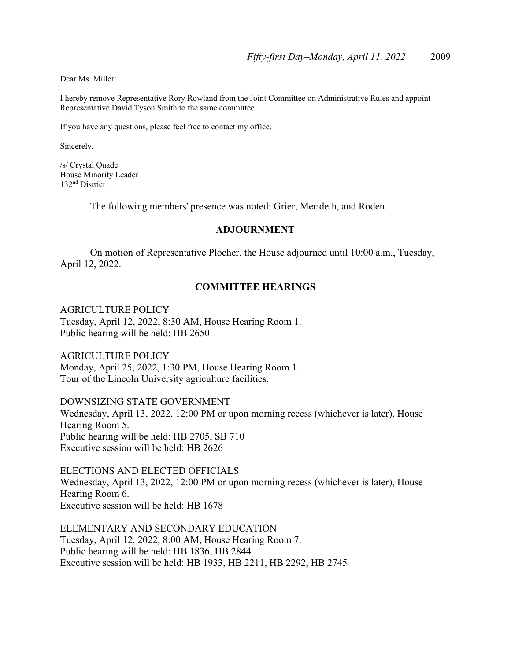Dear Ms. Miller:

I hereby remove Representative Rory Rowland from the Joint Committee on Administrative Rules and appoint Representative David Tyson Smith to the same committee.

If you have any questions, please feel free to contact my office.

Sincerely,

/s/ Crystal Quade House Minority Leader 132nd District

The following members' presence was noted: Grier, Merideth, and Roden.

## **ADJOURNMENT**

 On motion of Representative Plocher, the House adjourned until 10:00 a.m., Tuesday, April 12, 2022.

## **COMMITTEE HEARINGS**

AGRICULTURE POLICY

Tuesday, April 12, 2022, 8:30 AM, House Hearing Room 1. Public hearing will be held: HB 2650

AGRICULTURE POLICY Monday, April 25, 2022, 1:30 PM, House Hearing Room 1. Tour of the Lincoln University agriculture facilities.

DOWNSIZING STATE GOVERNMENT Wednesday, April 13, 2022, 12:00 PM or upon morning recess (whichever is later), House Hearing Room 5. Public hearing will be held: HB 2705, SB 710 Executive session will be held: HB 2626

ELECTIONS AND ELECTED OFFICIALS Wednesday, April 13, 2022, 12:00 PM or upon morning recess (whichever is later), House Hearing Room 6. Executive session will be held: HB 1678

ELEMENTARY AND SECONDARY EDUCATION Tuesday, April 12, 2022, 8:00 AM, House Hearing Room 7. Public hearing will be held: HB 1836, HB 2844 Executive session will be held: HB 1933, HB 2211, HB 2292, HB 2745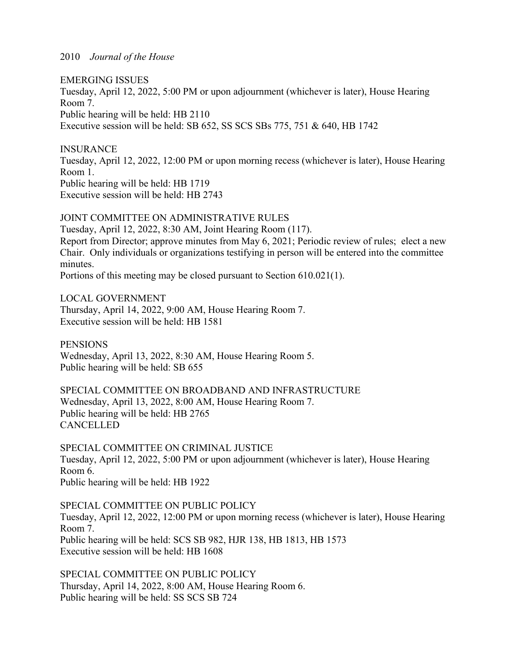EMERGING ISSUES Tuesday, April 12, 2022, 5:00 PM or upon adjournment (whichever is later), House Hearing Room 7. Public hearing will be held: HB 2110 Executive session will be held: SB 652, SS SCS SBs 775, 751 & 640, HB 1742

INSURANCE Tuesday, April 12, 2022, 12:00 PM or upon morning recess (whichever is later), House Hearing Room 1. Public hearing will be held: HB 1719 Executive session will be held: HB 2743

JOINT COMMITTEE ON ADMINISTRATIVE RULES Tuesday, April 12, 2022, 8:30 AM, Joint Hearing Room (117). Report from Director; approve minutes from May 6, 2021; Periodic review of rules; elect a new Chair. Only individuals or organizations testifying in person will be entered into the committee minutes.

Portions of this meeting may be closed pursuant to Section 610.021(1).

LOCAL GOVERNMENT Thursday, April 14, 2022, 9:00 AM, House Hearing Room 7. Executive session will be held: HB 1581

PENSIONS Wednesday, April 13, 2022, 8:30 AM, House Hearing Room 5. Public hearing will be held: SB 655

SPECIAL COMMITTEE ON BROADBAND AND INFRASTRUCTURE Wednesday, April 13, 2022, 8:00 AM, House Hearing Room 7. Public hearing will be held: HB 2765 CANCELLED

SPECIAL COMMITTEE ON CRIMINAL JUSTICE Tuesday, April 12, 2022, 5:00 PM or upon adjournment (whichever is later), House Hearing Room 6. Public hearing will be held: HB 1922

SPECIAL COMMITTEE ON PUBLIC POLICY Tuesday, April 12, 2022, 12:00 PM or upon morning recess (whichever is later), House Hearing Room 7. Public hearing will be held: SCS SB 982, HJR 138, HB 1813, HB 1573 Executive session will be held: HB 1608

SPECIAL COMMITTEE ON PUBLIC POLICY Thursday, April 14, 2022, 8:00 AM, House Hearing Room 6. Public hearing will be held: SS SCS SB 724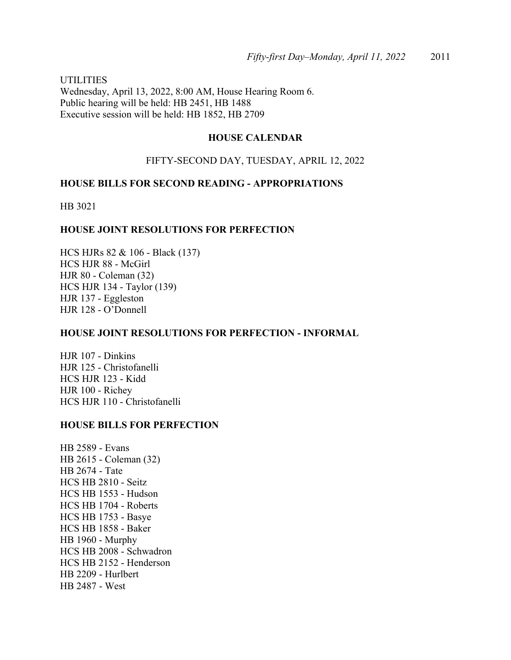UTILITIES Wednesday, April 13, 2022, 8:00 AM, House Hearing Room 6. Public hearing will be held: HB 2451, HB 1488 Executive session will be held: HB 1852, HB 2709

# **HOUSE CALENDAR**

## FIFTY-SECOND DAY, TUESDAY, APRIL 12, 2022

## **HOUSE BILLS FOR SECOND READING - APPROPRIATIONS**

HB 3021

## **HOUSE JOINT RESOLUTIONS FOR PERFECTION**

HCS HJRs 82 & 106 - Black (137) HCS HJR 88 - McGirl HJR 80 - Coleman (32) HCS HJR 134 - Taylor (139) HJR 137 - Eggleston HJR 128 - O'Donnell

### **HOUSE JOINT RESOLUTIONS FOR PERFECTION - INFORMAL**

HJR 107 - Dinkins HJR 125 - Christofanelli HCS HJR 123 - Kidd HJR 100 - Richey HCS HJR 110 - Christofanelli

### **HOUSE BILLS FOR PERFECTION**

HB 2589 - Evans HB 2615 - Coleman (32) HB 2674 - Tate HCS HB 2810 - Seitz HCS HB 1553 - Hudson HCS HB 1704 - Roberts HCS HB 1753 - Basye HCS HB 1858 - Baker HB 1960 - Murphy HCS HB 2008 - Schwadron HCS HB 2152 - Henderson HB 2209 - Hurlbert HB 2487 - West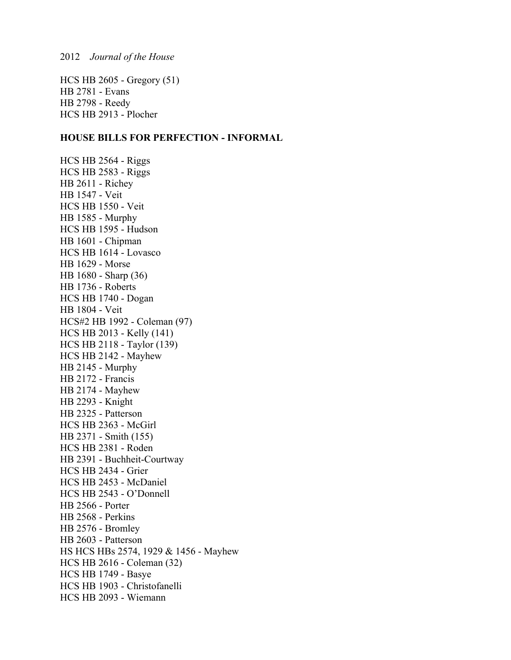HCS HB 2605 - Gregory (51) HB 2781 - Evans HB 2798 - Reedy HCS HB 2913 - Plocher

## **HOUSE BILLS FOR PERFECTION - INFORMAL**

HCS HB 2564 - Riggs HCS HB 2583 - Riggs HB 2611 - Richey HB 1547 - Veit HCS HB 1550 - Veit HB 1585 - Murphy HCS HB 1595 - Hudson HB 1601 - Chipman HCS HB 1614 - Lovasco HB 1629 - Morse HB 1680 - Sharp (36) HB 1736 - Roberts HCS HB 1740 - Dogan HB 1804 - Veit HCS#2 HB 1992 - Coleman (97) HCS HB 2013 - Kelly (141) HCS HB 2118 - Taylor (139) HCS HB 2142 - Mayhew HB 2145 - Murphy HB 2172 - Francis HB 2174 - Mayhew HB 2293 - Knight HB 2325 - Patterson HCS HB 2363 - McGirl HB 2371 - Smith (155) HCS HB 2381 - Roden HB 2391 - Buchheit-Courtway HCS HB 2434 - Grier HCS HB 2453 - McDaniel HCS HB 2543 - O'Donnell HB 2566 - Porter HB 2568 - Perkins HB 2576 - Bromley HB 2603 - Patterson HS HCS HBs 2574, 1929 & 1456 - Mayhew HCS HB 2616 - Coleman (32) HCS HB 1749 - Basye HCS HB 1903 - Christofanelli HCS HB 2093 - Wiemann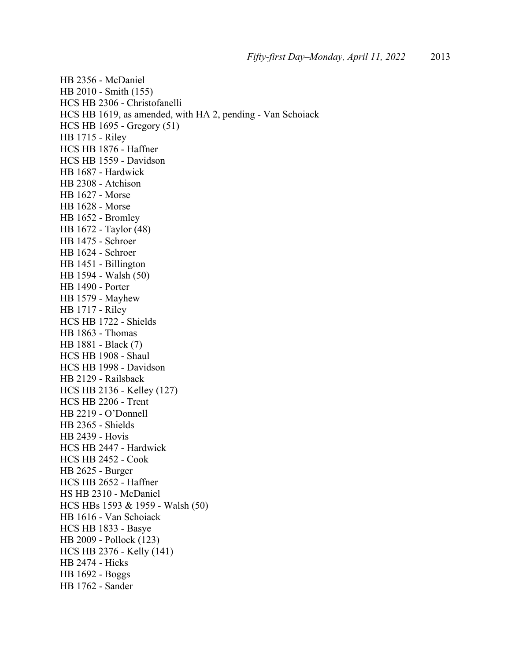HB 2356 - McDaniel HB 2010 - Smith (155) HCS HB 2306 - Christofanelli HCS HB 1619, as amended, with HA 2, pending - Van Schoiack HCS HB 1695 - Gregory (51) HB 1715 - Riley HCS HB 1876 - Haffner HCS HB 1559 - Davidson HB 1687 - Hardwick HB 2308 - Atchison HB 1627 - Morse HB 1628 - Morse HB 1652 - Bromley HB 1672 - Taylor (48) HB 1475 - Schroer HB 1624 - Schroer HB 1451 - Billington HB 1594 - Walsh (50) HB 1490 - Porter HB 1579 - Mayhew HB 1717 - Riley HCS HB 1722 - Shields HB 1863 - Thomas HB 1881 - Black (7) HCS HB 1908 - Shaul HCS HB 1998 - Davidson HB 2129 - Railsback HCS HB 2136 - Kelley (127) HCS HB 2206 - Trent HB 2219 - O'Donnell HB 2365 - Shields HB 2439 - Hovis HCS HB 2447 - Hardwick HCS HB 2452 - Cook HB 2625 - Burger HCS HB 2652 - Haffner HS HB 2310 - McDaniel HCS HBs 1593 & 1959 - Walsh (50) HB 1616 - Van Schoiack HCS HB 1833 - Basye HB 2009 - Pollock (123) HCS HB 2376 - Kelly (141) HB 2474 - Hicks HB 1692 - Boggs HB 1762 - Sander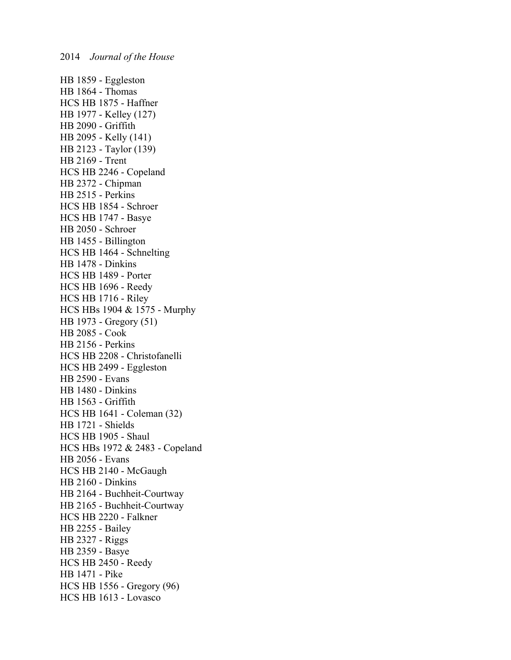HB 1859 - Eggleston HB 1864 - Thomas HCS HB 1875 - Haffner HB 1977 - Kelley (127) HB 2090 - Griffith HB 2095 - Kelly (141) HB 2123 - Taylor (139) HB 2169 - Trent HCS HB 2246 - Copeland HB 2372 - Chipman HB 2515 - Perkins HCS HB 1854 - Schroer HCS HB 1747 - Basye HB 2050 - Schroer HB 1455 - Billington HCS HB 1464 - Schnelting HB 1478 - Dinkins HCS HB 1489 - Porter HCS HB 1696 - Reedy HCS HB 1716 - Riley HCS HBs 1904 & 1575 - Murphy HB 1973 - Gregory (51) HB 2085 - Cook HB 2156 - Perkins HCS HB 2208 - Christofanelli HCS HB 2499 - Eggleston HB 2590 - Evans HB 1480 - Dinkins HB 1563 - Griffith HCS HB 1641 - Coleman (32) HB 1721 - Shields HCS HB 1905 - Shaul HCS HBs 1972 & 2483 - Copeland HB 2056 - Evans HCS HB 2140 - McGaugh HB 2160 - Dinkins HB 2164 - Buchheit-Courtway HB 2165 - Buchheit-Courtway HCS HB 2220 - Falkner HB 2255 - Bailey HB 2327 - Riggs HB 2359 - Basye HCS HB 2450 - Reedy HB 1471 - Pike HCS HB 1556 - Gregory (96) HCS HB 1613 - Lovasco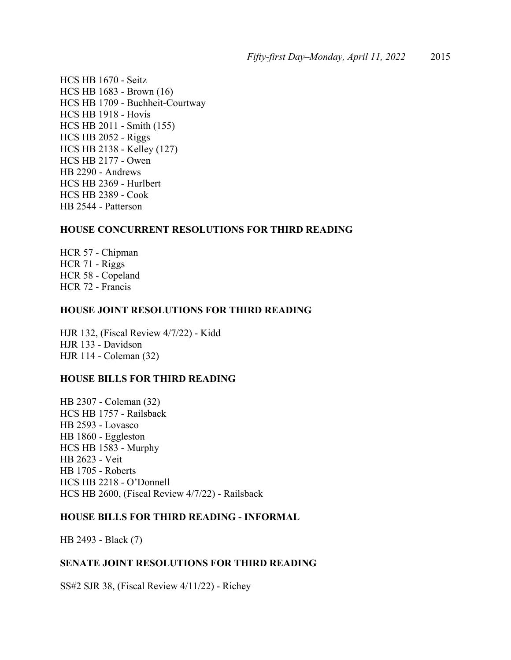HCS HB 1670 - Seitz HCS HB 1683 - Brown (16) HCS HB 1709 - Buchheit-Courtway HCS HB 1918 - Hovis HCS HB 2011 - Smith (155) HCS HB 2052 - Riggs HCS HB 2138 - Kelley (127) HCS HB 2177 - Owen HB 2290 - Andrews HCS HB 2369 - Hurlbert HCS HB 2389 - Cook HB 2544 - Patterson

# **HOUSE CONCURRENT RESOLUTIONS FOR THIRD READING**

HCR 57 - Chipman HCR 71 - Riggs HCR 58 - Copeland HCR 72 - Francis

## **HOUSE JOINT RESOLUTIONS FOR THIRD READING**

HJR 132, (Fiscal Review 4/7/22) - Kidd HJR 133 - Davidson HJR 114 - Coleman (32)

## **HOUSE BILLS FOR THIRD READING**

HB 2307 - Coleman (32) HCS HB 1757 - Railsback HB 2593 - Lovasco HB 1860 - Eggleston HCS HB 1583 - Murphy HB 2623 - Veit HB 1705 - Roberts HCS HB 2218 - O'Donnell HCS HB 2600, (Fiscal Review 4/7/22) - Railsback

### **HOUSE BILLS FOR THIRD READING - INFORMAL**

HB 2493 - Black (7)

### **SENATE JOINT RESOLUTIONS FOR THIRD READING**

SS#2 SJR 38, (Fiscal Review 4/11/22) - Richey